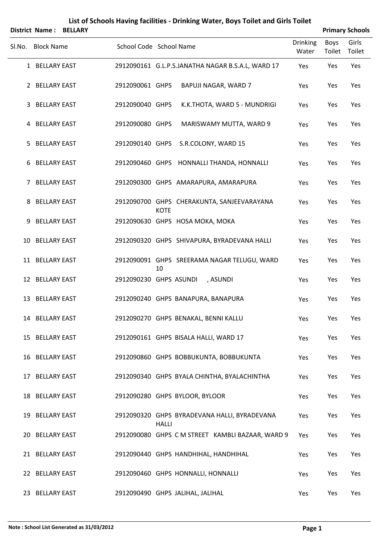|        | District Name:      | <b>BELLARY</b> |                         |              |                                                   |                          |                | <b>Primary Schools</b> |
|--------|---------------------|----------------|-------------------------|--------------|---------------------------------------------------|--------------------------|----------------|------------------------|
| SI.No. | <b>Block Name</b>   |                | School Code School Name |              |                                                   | <b>Drinking</b><br>Water | Boys<br>Toilet | Girls<br>Toilet        |
|        | 1 BELLARY EAST      |                |                         |              | 2912090161 G.L.P.S.JANATHA NAGAR B.S.A.L, WARD 17 | Yes                      | Yes            | Yes                    |
|        | 2 BELLARY EAST      |                | 2912090061 GHPS         |              | BAPUJI NAGAR, WARD 7                              | Yes                      | Yes            | Yes                    |
| 3      | <b>BELLARY EAST</b> |                | 2912090040 GHPS         |              | K.K.THOTA, WARD 5 - MUNDRIGI                      | Yes                      | Yes            | Yes                    |
| 4      | <b>BELLARY EAST</b> |                | 2912090080 GHPS         |              | MARISWAMY MUTTA, WARD 9                           | Yes                      | Yes            | Yes                    |
| 5.     | <b>BELLARY EAST</b> |                | 2912090140 GHPS         |              | S.R.COLONY, WARD 15                               | Yes                      | Yes            | Yes                    |
| 6      | <b>BELLARY EAST</b> |                |                         |              | 2912090460 GHPS HONNALLI THANDA, HONNALLI         | Yes                      | Yes            | Yes                    |
| 7      | <b>BELLARY EAST</b> |                |                         |              | 2912090300 GHPS AMARAPURA, AMARAPURA              | Yes                      | Yes            | Yes                    |
| 8      | <b>BELLARY EAST</b> |                |                         | <b>KOTE</b>  | 2912090700 GHPS CHERAKUNTA, SANJEEVARAYANA        | Yes                      | Yes            | Yes                    |
| 9      | <b>BELLARY EAST</b> |                |                         |              | 2912090630 GHPS HOSA MOKA, MOKA                   | Yes                      | Yes            | Yes                    |
|        | 10 BELLARY EAST     |                |                         |              | 2912090320 GHPS SHIVAPURA, BYRADEVANA HALLI       | Yes                      | Yes            | Yes                    |
|        | 11 BELLARY EAST     |                |                         | 10           | 2912090091 GHPS SREERAMA NAGAR TELUGU, WARD       | Yes                      | Yes            | Yes                    |
|        | 12 BELLARY EAST     |                | 2912090230 GHPS ASUNDI  |              | , ASUNDI                                          | Yes                      | Yes            | Yes                    |
| 13     | <b>BELLARY EAST</b> |                |                         |              | 2912090240 GHPS BANAPURA, BANAPURA                | Yes                      | Yes            | Yes                    |
|        | 14 BELLARY EAST     |                |                         |              | 2912090270 GHPS BENAKAL, BENNI KALLU              | Yes                      | Yes            | Yes                    |
|        | 15 BELLARY EAST     |                |                         |              | 2912090161 GHPS BISALA HALLI, WARD 17             | Yes                      | Yes            | Yes                    |
|        | 16 BELLARY EAST     |                |                         |              | 2912090860 GHPS BOBBUKUNTA, BOBBUKUNTA            | Yes                      | Yes            | Yes                    |
|        | 17 BELLARY EAST     |                |                         |              | 2912090340 GHPS BYALA CHINTHA, BYALACHINTHA       | Yes                      | Yes            | Yes                    |
|        | 18 BELLARY EAST     |                |                         |              | 2912090280 GHPS BYLOOR, BYLOOR                    | Yes                      | Yes            | Yes                    |
|        | 19 BELLARY EAST     |                |                         | <b>HALLI</b> | 2912090320 GHPS BYRADEVANA HALLI, BYRADEVANA      | Yes                      | Yes            | Yes                    |
|        | 20 BELLARY EAST     |                |                         |              | 2912090080 GHPS C M STREET KAMBLI BAZAAR, WARD 9  | Yes                      | Yes            | Yes                    |
|        | 21 BELLARY EAST     |                |                         |              | 2912090440 GHPS HANDHIHAL, HANDHIHAL              | Yes                      | Yes            | Yes                    |
|        | 22 BELLARY EAST     |                |                         |              | 2912090460 GHPS HONNALLI, HONNALLI                | Yes                      | Yes            | Yes                    |
|        | 23 BELLARY EAST     |                |                         |              | 2912090490 GHPS JALIHAL, JALIHAL                  | Yes                      | Yes            | Yes                    |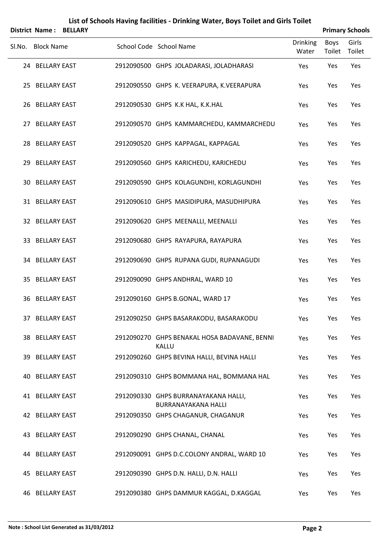| <b>District Name:</b>  | <b>BELLARY</b> |                                                              |                          |                       | <b>Primary Schools</b> |
|------------------------|----------------|--------------------------------------------------------------|--------------------------|-----------------------|------------------------|
| Sl.No. Block Name      |                | School Code School Name                                      | <b>Drinking</b><br>Water | <b>Boys</b><br>Toilet | Girls<br>Toilet        |
| 24 BELLARY EAST        |                | 2912090500 GHPS JOLADARASI, JOLADHARASI                      | Yes                      | Yes                   | Yes                    |
| 25 BELLARY EAST        |                | 2912090550 GHPS K. VEERAPURA, K. VEERAPURA                   | Yes                      | Yes                   | Yes                    |
| 26 BELLARY EAST        |                | 2912090530 GHPS K.K HAL, K.K.HAL                             | Yes                      | Yes                   | Yes                    |
| 27 BELLARY EAST        |                | 2912090570 GHPS KAMMARCHEDU, KAMMARCHEDU                     | Yes                      | Yes                   | Yes                    |
| 28 BELLARY EAST        |                | 2912090520 GHPS KAPPAGAL, KAPPAGAL                           | Yes                      | Yes                   | Yes                    |
| 29 BELLARY EAST        |                | 2912090560 GHPS KARICHEDU, KARICHEDU                         | Yes                      | Yes                   | Yes                    |
| <b>30 BELLARY EAST</b> |                | 2912090590 GHPS KOLAGUNDHI, KORLAGUNDHI                      | Yes                      | Yes                   | Yes                    |
| 31 BELLARY EAST        |                | 2912090610 GHPS MASIDIPURA, MASUDHIPURA                      | Yes                      | Yes                   | Yes                    |
| 32 BELLARY EAST        |                | 2912090620 GHPS MEENALLI, MEENALLI                           | Yes                      | Yes                   | Yes                    |
| 33 BELLARY EAST        |                | 2912090680 GHPS RAYAPURA, RAYAPURA                           | Yes                      | Yes                   | Yes                    |
| 34 BELLARY EAST        |                | 2912090690 GHPS RUPANA GUDI, RUPANAGUDI                      | Yes                      | Yes                   | Yes                    |
| 35 BELLARY EAST        |                | 2912090090 GHPS ANDHRAL, WARD 10                             | Yes                      | Yes                   | Yes                    |
| 36 BELLARY EAST        |                | 2912090160 GHPS B.GONAL, WARD 17                             | Yes                      | Yes                   | Yes                    |
| 37 BELLARY EAST        |                | 2912090250 GHPS BASARAKODU, BASARAKODU                       | Yes                      | Yes                   | Yes                    |
| 38 BELLARY EAST        |                | 2912090270 GHPS BENAKAL HOSA BADAVANE, BENNI<br><b>KALLU</b> | Yes                      | Yes                   | Yes                    |
| 39 BELLARY EAST        |                | 2912090260 GHPS BEVINA HALLI, BEVINA HALLI                   | Yes                      | Yes                   | Yes                    |
| 40 BELLARY EAST        |                | 2912090310 GHPS BOMMANA HAL, BOMMANA HAL                     | Yes                      | Yes                   | Yes                    |
| 41 BELLARY EAST        |                | 2912090330 GHPS BURRANAYAKANA HALLI,<br>BURRANAYAKANA HALLI  | Yes                      | Yes                   | Yes                    |
| 42 BELLARY EAST        |                | 2912090350 GHPS CHAGANUR, CHAGANUR                           | Yes                      | Yes                   | Yes                    |
| 43 BELLARY EAST        |                | 2912090290 GHPS CHANAL, CHANAL                               | Yes                      | Yes                   | Yes                    |
| 44 BELLARY EAST        |                | 2912090091 GHPS D.C.COLONY ANDRAL, WARD 10                   | Yes                      | Yes                   | Yes                    |
| 45 BELLARY EAST        |                | 2912090390 GHPS D.N. HALLI, D.N. HALLI                       | Yes                      | Yes                   | Yes                    |
| 46 BELLARY EAST        |                | 2912090380 GHPS DAMMUR KAGGAL, D.KAGGAL                      | Yes                      | Yes                   | Yes                    |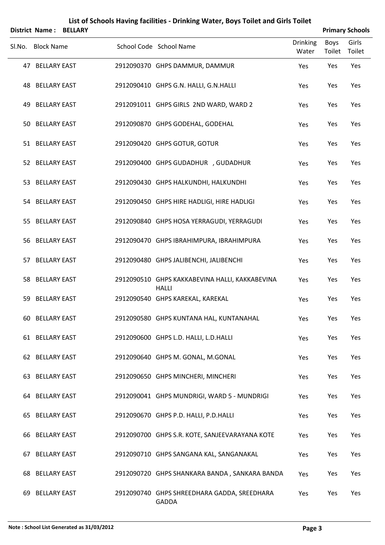|     |                        | District Name: BELLARY |                                                                |                          |                | <b>Primary Schools</b> |
|-----|------------------------|------------------------|----------------------------------------------------------------|--------------------------|----------------|------------------------|
|     | Sl.No. Block Name      |                        | School Code School Name                                        | <b>Drinking</b><br>Water | Boys<br>Toilet | Girls<br>Toilet        |
|     | 47 BELLARY EAST        |                        | 2912090370 GHPS DAMMUR, DAMMUR                                 | Yes                      | Yes            | Yes                    |
|     | <b>48 BELLARY EAST</b> |                        | 2912090410 GHPS G.N. HALLI, G.N.HALLI                          | Yes                      | Yes            | Yes                    |
| 49  | <b>BELLARY EAST</b>    |                        | 2912091011 GHPS GIRLS 2ND WARD, WARD 2                         | Yes                      | Yes            | Yes                    |
|     | 50 BELLARY EAST        |                        | 2912090870 GHPS GODEHAL, GODEHAL                               | Yes                      | Yes            | Yes                    |
|     | 51 BELLARY EAST        |                        | 2912090420 GHPS GOTUR, GOTUR                                   | Yes                      | Yes            | Yes                    |
|     | 52 BELLARY EAST        |                        | 2912090400 GHPS GUDADHUR , GUDADHUR                            | Yes                      | Yes            | Yes                    |
|     | 53 BELLARY EAST        |                        | 2912090430 GHPS HALKUNDHI, HALKUNDHI                           | Yes                      | Yes            | Yes                    |
|     | 54 BELLARY EAST        |                        | 2912090450 GHPS HIRE HADLIGI, HIRE HADLIGI                     | Yes                      | Yes            | Yes                    |
| 55  | <b>BELLARY EAST</b>    |                        | 2912090840 GHPS HOSA YERRAGUDI, YERRAGUDI                      | Yes                      | Yes            | Yes                    |
|     | 56 BELLARY EAST        |                        | 2912090470 GHPS IBRAHIMPURA, IBRAHIMPURA                       | Yes                      | Yes            | Yes                    |
|     | 57 BELLARY EAST        |                        | 2912090480 GHPS JALIBENCHI, JALIBENCHI                         | Yes                      | Yes            | Yes                    |
|     | 58 BELLARY EAST        |                        | 2912090510 GHPS KAKKABEVINA HALLI, KAKKABEVINA<br><b>HALLI</b> | Yes                      | Yes            | Yes                    |
| 59  | <b>BELLARY EAST</b>    |                        | 2912090540 GHPS KAREKAL, KAREKAL                               | Yes                      | Yes            | Yes                    |
|     | 60 BELLARY EAST        |                        | 2912090580 GHPS KUNTANA HAL, KUNTANAHAL                        | Yes                      | Yes            | Yes                    |
|     | 61 BELLARY EAST        |                        | 2912090600 GHPS L.D. HALLI, L.D.HALLI                          | Yes                      | Yes            | Yes                    |
|     | 62 BELLARY EAST        |                        | 2912090640 GHPS M. GONAL, M.GONAL                              | Yes                      | Yes            | Yes                    |
|     | 63 BELLARY EAST        |                        | 2912090650 GHPS MINCHERI, MINCHERI                             | Yes                      | Yes            | Yes                    |
|     | 64 BELLARY EAST        |                        | 2912090041 GHPS MUNDRIGI, WARD 5 - MUNDRIGI                    | Yes                      | Yes            | Yes                    |
| 65. | <b>BELLARY EAST</b>    |                        | 2912090670 GHPS P.D. HALLI, P.D.HALLI                          | Yes                      | Yes            | Yes                    |
|     | 66 BELLARY EAST        |                        | 2912090700 GHPS S.R. KOTE, SANJEEVARAYANA KOTE                 | Yes                      | Yes            | Yes                    |
|     | 67 BELLARY EAST        |                        | 2912090710 GHPS SANGANA KAL, SANGANAKAL                        | Yes                      | Yes            | Yes                    |
| 68  | <b>BELLARY EAST</b>    |                        | 2912090720 GHPS SHANKARA BANDA, SANKARA BANDA                  | Yes                      | Yes            | Yes                    |
| 69  | <b>BELLARY EAST</b>    |                        | 2912090740 GHPS SHREEDHARA GADDA, SREEDHARA<br>GADDA           | Yes                      | Yes            | Yes                    |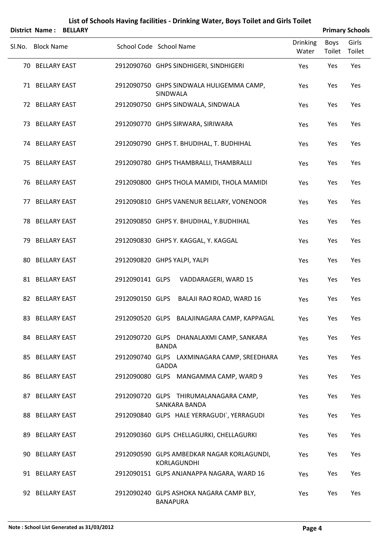|     | <b>District Name:</b> | <b>BELLARY</b> |                 | List of Schools Having facilities - Drinking Water, Boys Toilet and Girls Toilet |                | <b>Primary Schools</b> |
|-----|-----------------------|----------------|-----------------|----------------------------------------------------------------------------------|----------------|------------------------|
|     | Sl.No. Block Name     |                |                 | <b>Drinking</b><br>School Code School Name<br>Water                              | Boys<br>Toilet | Girls<br>Toilet        |
|     | 70 BELLARY EAST       |                |                 | 2912090760 GHPS SINDHIGERI, SINDHIGERI<br>Yes                                    | Yes            | Yes                    |
|     | 71 BELLARY EAST       |                |                 | 2912090750 GHPS SINDWALA HULIGEMMA CAMP,<br>Yes<br>SINDWALA                      | Yes            | Yes                    |
|     | 72 BELLARY EAST       |                |                 | 2912090750 GHPS SINDWALA, SINDWALA<br>Yes                                        | Yes            | Yes                    |
|     | 73 BELLARY EAST       |                |                 | 2912090770 GHPS SIRWARA, SIRIWARA<br>Yes                                         | Yes            | Yes                    |
|     | 74 BELLARY EAST       |                |                 | 2912090790 GHPS T. BHUDIHAL, T. BUDHIHAL<br>Yes                                  | Yes            | Yes                    |
|     | 75 BELLARY EAST       |                |                 | 2912090780 GHPS THAMBRALLI, THAMBRALLI<br>Yes                                    | Yes            | Yes                    |
|     | 76 BELLARY EAST       |                |                 | 2912090800 GHPS THOLA MAMIDI, THOLA MAMIDI<br>Yes                                | Yes            | Yes                    |
|     | 77 BELLARY EAST       |                |                 | 2912090810 GHPS VANENUR BELLARY, VONENOOR<br>Yes                                 | Yes            | Yes                    |
|     | 78 BELLARY EAST       |                |                 | 2912090850 GHPS Y. BHUDIHAL, Y.BUDHIHAL<br>Yes                                   | Yes            | Yes                    |
|     | 79 BELLARY EAST       |                |                 | 2912090830 GHPS Y. KAGGAL, Y. KAGGAL<br>Yes                                      | Yes            | Yes                    |
| 80. | <b>BELLARY EAST</b>   |                |                 | 2912090820 GHPS YALPI, YALPI<br>Yes                                              | Yes            | Yes                    |
|     | 81 BELLARY EAST       |                | 2912090141 GLPS | VADDARAGERI, WARD 15<br>Yes                                                      | Yes            | Yes                    |
|     | 82 BELLARY EAST       |                | 2912090150 GLPS | BALAJI RAO ROAD, WARD 16<br>Yes                                                  | Yes            | Yes                    |
|     | 83 BELLARY EAST       |                |                 | 2912090520 GLPS BALAJINAGARA CAMP, KAPPAGAL<br>Yes                               | Yes            | Yes                    |
|     | 84 BELLARY EAST       |                |                 | 2912090720 GLPS DHANALAXMI CAMP, SANKARA<br>Yes<br><b>BANDA</b>                  | Yes            | Yes                    |
|     | 85 BELLARY EAST       |                |                 | 2912090740 GLPS LAXMINAGARA CAMP, SREEDHARA<br>Yes<br><b>GADDA</b>               | Yes            | Yes                    |
|     | 86 BELLARY EAST       |                |                 | 2912090080 GLPS MANGAMMA CAMP, WARD 9<br>Yes                                     | Yes            | Yes                    |
|     | 87 BELLARY EAST       |                |                 | 2912090720 GLPS THIRUMALANAGARA CAMP,<br>Yes<br>SANKARA BANDA                    | Yes            | Yes                    |
|     | 88 BELLARY EAST       |                |                 | 2912090840 GLPS HALE YERRAGUDI`, YERRAGUDI<br>Yes                                | Yes            | Yes                    |
|     | 89 BELLARY EAST       |                |                 | 2912090360 GLPS CHELLAGURKI, CHELLAGURKI<br>Yes                                  | Yes            | Yes                    |
|     | 90 BELLARY EAST       |                |                 | 2912090590 GLPS AMBEDKAR NAGAR KORLAGUNDI,<br>Yes<br>KORLAGUNDHI                 | Yes            | Yes                    |
|     | 91 BELLARY EAST       |                |                 | 2912090151 GLPS ANJANAPPA NAGARA, WARD 16<br>Yes                                 | Yes            | Yes                    |
|     | 92 BELLARY EAST       |                |                 | 2912090240 GLPS ASHOKA NAGARA CAMP BLY,<br>Yes<br><b>BANAPURA</b>                | Yes            | Yes                    |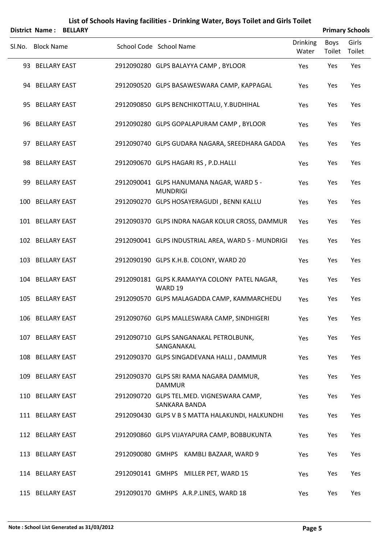|        | <b>District Name:</b> | <b>BELLARY</b> |                                                             |                          |                | <b>Primary Schools</b> |
|--------|-----------------------|----------------|-------------------------------------------------------------|--------------------------|----------------|------------------------|
| SI.No. | <b>Block Name</b>     |                | School Code School Name                                     | <b>Drinking</b><br>Water | Boys<br>Toilet | Girls<br>Toilet        |
|        | 93 BELLARY EAST       |                | 2912090280 GLPS BALAYYA CAMP, BYLOOR                        | Yes                      | Yes            | Yes                    |
|        | 94 BELLARY EAST       |                | 2912090520 GLPS BASAWESWARA CAMP, KAPPAGAL                  | Yes                      | Yes            | Yes                    |
|        | 95 BELLARY EAST       |                | 2912090850 GLPS BENCHIKOTTALU, Y.BUDHIHAL                   | Yes                      | Yes            | Yes                    |
|        | 96 BELLARY EAST       |                | 2912090280 GLPS GOPALAPURAM CAMP, BYLOOR                    | Yes                      | Yes            | Yes                    |
|        | 97 BELLARY EAST       |                | 2912090740 GLPS GUDARA NAGARA, SREEDHARA GADDA              | Yes                      | Yes            | Yes                    |
|        | 98 BELLARY EAST       |                | 2912090670 GLPS HAGARI RS, P.D.HALLI                        | Yes                      | Yes            | Yes                    |
|        | 99 BELLARY EAST       |                | 2912090041 GLPS HANUMANA NAGAR, WARD 5 -<br><b>MUNDRIGI</b> | Yes                      | Yes            | Yes                    |
|        | 100 BELLARY EAST      |                | 2912090270 GLPS HOSAYERAGUDI, BENNI KALLU                   | Yes                      | Yes            | Yes                    |
|        | 101 BELLARY EAST      |                | 2912090370 GLPS INDRA NAGAR KOLUR CROSS, DAMMUR             | Yes                      | Yes            | Yes                    |
|        | 102 BELLARY EAST      |                | 2912090041 GLPS INDUSTRIAL AREA, WARD 5 - MUNDRIGI          | Yes                      | Yes            | Yes                    |
|        | 103 BELLARY EAST      |                | 2912090190 GLPS K.H.B. COLONY, WARD 20                      | Yes                      | Yes            | Yes                    |
|        | 104 BELLARY EAST      |                | 2912090181 GLPS K.RAMAYYA COLONY PATEL NAGAR,<br>WARD 19    | Yes                      | Yes            | Yes                    |
|        | 105 BELLARY EAST      |                | 2912090570 GLPS MALAGADDA CAMP, KAMMARCHEDU                 | Yes                      | Yes            | Yes                    |
|        | 106 BELLARY EAST      |                | 2912090760 GLPS MALLESWARA CAMP, SINDHIGERI                 | Yes                      | Yes            | Yes                    |
|        | 107 BELLARY EAST      |                | 2912090710 GLPS SANGANAKAL PETROLBUNK,<br>SANGANAKAL        | Yes                      | Yes            | Yes                    |
|        | 108 BELLARY EAST      |                | 2912090370 GLPS SINGADEVANA HALLI, DAMMUR                   | Yes                      | Yes            | Yes                    |
|        | 109 BELLARY EAST      |                | 2912090370 GLPS SRI RAMA NAGARA DAMMUR,<br><b>DAMMUR</b>    | Yes                      | Yes            | Yes                    |
|        | 110 BELLARY EAST      |                | 2912090720 GLPS TEL.MED. VIGNESWARA CAMP,<br>SANKARA BANDA  | Yes                      | Yes            | Yes                    |
|        | 111 BELLARY EAST      |                | 2912090430 GLPS V B S MATTA HALAKUNDI, HALKUNDHI            | Yes                      | Yes            | Yes                    |
|        | 112 BELLARY EAST      |                | 2912090860 GLPS VIJAYAPURA CAMP, BOBBUKUNTA                 | Yes                      | Yes            | Yes                    |
|        | 113 BELLARY EAST      |                | 2912090080 GMHPS KAMBLI BAZAAR, WARD 9                      | Yes                      | Yes            | Yes                    |
|        | 114 BELLARY EAST      |                | 2912090141 GMHPS MILLER PET, WARD 15                        | Yes                      | Yes            | Yes                    |
|        | 115 BELLARY EAST      |                | 2912090170 GMHPS A.R.P.LINES, WARD 18                       | Yes                      | Yes            | Yes                    |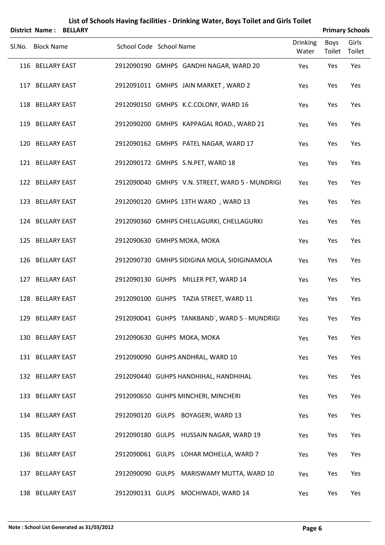|                   | District Name: BELLARY |                         |                                                 |                          |                | <b>Primary Schools</b> |
|-------------------|------------------------|-------------------------|-------------------------------------------------|--------------------------|----------------|------------------------|
| Sl.No. Block Name |                        | School Code School Name |                                                 | <b>Drinking</b><br>Water | Boys<br>Toilet | Girls<br>Toilet        |
| 116 BELLARY EAST  |                        |                         | 2912090190 GMHPS GANDHI NAGAR, WARD 20          | Yes                      | Yes            | Yes                    |
| 117 BELLARY EAST  |                        |                         | 2912091011 GMHPS JAIN MARKET, WARD 2            | Yes                      | Yes            | Yes                    |
| 118 BELLARY EAST  |                        |                         | 2912090150 GMHPS K.C.COLONY, WARD 16            | Yes                      | Yes            | Yes                    |
| 119 BELLARY EAST  |                        |                         | 2912090200 GMHPS KAPPAGAL ROAD., WARD 21        | Yes                      | Yes            | Yes                    |
| 120 BELLARY EAST  |                        |                         | 2912090162 GMHPS PATEL NAGAR, WARD 17           | Yes                      | Yes            | Yes                    |
| 121 BELLARY EAST  |                        |                         | 2912090172 GMHPS S.N.PET, WARD 18               | Yes                      | Yes            | Yes                    |
| 122 BELLARY EAST  |                        |                         | 2912090040 GMHPS V.N. STREET, WARD 5 - MUNDRIGI | Yes                      | Yes            | Yes                    |
| 123 BELLARY EAST  |                        |                         | 2912090120 GMHPS 13TH WARD, WARD 13             | Yes                      | Yes            | Yes                    |
| 124 BELLARY EAST  |                        |                         | 2912090360 GMHPS CHELLAGURKI, CHELLAGURKI       | Yes                      | Yes            | Yes                    |
| 125 BELLARY EAST  |                        |                         | 2912090630 GMHPS MOKA, MOKA                     | Yes                      | Yes            | Yes                    |
| 126 BELLARY EAST  |                        |                         | 2912090730 GMHPS SIDIGINA MOLA, SIDIGINAMOLA    | Yes                      | Yes            | Yes                    |
| 127 BELLARY EAST  |                        |                         | 2912090130 GUHPS MILLER PET, WARD 14            | Yes                      | Yes            | Yes                    |
| 128 BELLARY EAST  |                        |                         | 2912090100 GUHPS TAZIA STREET, WARD 11          | Yes                      | Yes            | Yes                    |
| 129 BELLARY EAST  |                        |                         | 2912090041 GUHPS TANKBAND', WARD 5 - MUNDRIGI   | Yes                      | Yes            | Yes                    |
| 130 BELLARY EAST  |                        |                         | 2912090630 GUHPS MOKA, MOKA                     | Yes                      | Yes            | Yes                    |
| 131 BELLARY EAST  |                        |                         | 2912090090 GUHPS ANDHRAL, WARD 10               | Yes                      | Yes            | Yes                    |
| 132 BELLARY EAST  |                        |                         | 2912090440 GUHPS HANDHIHAL, HANDHIHAL           | Yes                      | Yes            | Yes                    |
| 133 BELLARY EAST  |                        |                         | 2912090650 GUHPS MINCHERI, MINCHERI             | Yes                      | Yes            | Yes                    |
| 134 BELLARY EAST  |                        |                         | 2912090120 GULPS BOYAGERI, WARD 13              | Yes                      | Yes            | Yes                    |
| 135 BELLARY EAST  |                        |                         | 2912090180 GULPS HUSSAIN NAGAR, WARD 19         | Yes                      | Yes            | Yes                    |
| 136 BELLARY EAST  |                        |                         | 2912090061 GULPS LOHAR MOHELLA, WARD 7          | Yes                      | Yes            | Yes                    |
| 137 BELLARY EAST  |                        |                         | 2912090090 GULPS MARISWAMY MUTTA, WARD 10       | Yes                      | Yes            | Yes                    |
| 138 BELLARY EAST  |                        |                         | 2912090131 GULPS MOCHIWADI, WARD 14             | Yes                      | Yes            | Yes                    |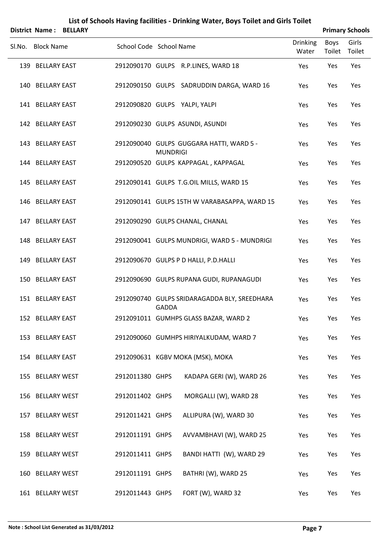| <b>District Name:</b> | <b>BELLARY</b> |                         |                 | List of Schools Having facilities - Drinking Water, Boys Toilet and Girls Toilet |                          |                | <b>Primary Schools</b> |
|-----------------------|----------------|-------------------------|-----------------|----------------------------------------------------------------------------------|--------------------------|----------------|------------------------|
| Sl.No. Block Name     |                | School Code School Name |                 |                                                                                  | <b>Drinking</b><br>Water | Boys<br>Toilet | Girls<br>Toilet        |
| 139 BELLARY EAST      |                |                         |                 | 2912090170 GULPS R.P.LINES, WARD 18                                              | Yes                      | Yes            | Yes                    |
| 140 BELLARY EAST      |                |                         |                 | 2912090150 GULPS SADRUDDIN DARGA, WARD 16                                        | Yes                      | Yes            | Yes                    |
| 141 BELLARY EAST      |                |                         |                 | 2912090820 GULPS YALPI, YALPI                                                    | Yes                      | Yes            | Yes                    |
| 142 BELLARY EAST      |                |                         |                 | 2912090230 GULPS ASUNDI, ASUNDI                                                  | Yes                      | Yes            | Yes                    |
| 143 BELLARY EAST      |                |                         | <b>MUNDRIGI</b> | 2912090040 GULPS GUGGARA HATTI, WARD 5 -                                         | Yes                      | Yes            | Yes                    |
| 144 BELLARY EAST      |                |                         |                 | 2912090520 GULPS KAPPAGAL, KAPPAGAL                                              | Yes                      | Yes            | Yes                    |
| 145 BELLARY EAST      |                |                         |                 | 2912090141 GULPS T.G.OIL MILLS, WARD 15                                          | Yes                      | Yes            | Yes                    |
| 146 BELLARY EAST      |                |                         |                 | 2912090141 GULPS 15TH W VARABASAPPA, WARD 15                                     | Yes                      | Yes            | Yes                    |
| 147 BELLARY EAST      |                |                         |                 | 2912090290 GULPS CHANAL, CHANAL                                                  | Yes                      | Yes            | Yes                    |
| 148 BELLARY EAST      |                |                         |                 | 2912090041 GULPS MUNDRIGI, WARD 5 - MUNDRIGI                                     | Yes                      | Yes            | Yes                    |
| 149 BELLARY EAST      |                |                         |                 | 2912090670 GULPS P D HALLI, P.D.HALLI                                            | Yes                      | Yes            | Yes                    |
| 150 BELLARY EAST      |                |                         |                 | 2912090690 GULPS RUPANA GUDI, RUPANAGUDI                                         | Yes                      | Yes            | Yes                    |
| 151 BELLARY EAST      |                |                         | <b>GADDA</b>    | 2912090740 GULPS SRIDARAGADDA BLY, SREEDHARA                                     | Yes                      | Yes            | Yes                    |
| 152 BELLARY EAST      |                |                         |                 | 2912091011 GUMHPS GLASS BAZAR, WARD 2                                            | Yes                      | Yes            | Yes                    |
| 153 BELLARY EAST      |                |                         |                 | 2912090060 GUMHPS HIRIYALKUDAM, WARD 7                                           | Yes                      | Yes            | Yes                    |
| 154 BELLARY EAST      |                |                         |                 | 2912090631 KGBV MOKA (MSK), MOKA                                                 | Yes                      | Yes            | Yes                    |
| 155 BELLARY WEST      |                | 2912011380 GHPS         |                 | KADAPA GERI (W), WARD 26                                                         | Yes                      | Yes            | Yes                    |
| 156 BELLARY WEST      |                | 2912011402 GHPS         |                 | MORGALLI (W), WARD 28                                                            | Yes                      | Yes            | Yes                    |
| 157 BELLARY WEST      |                | 2912011421 GHPS         |                 | ALLIPURA (W), WARD 30                                                            | Yes                      | Yes            | Yes                    |
| 158 BELLARY WEST      |                | 2912011191 GHPS         |                 | AVVAMBHAVI (W), WARD 25                                                          | Yes                      | Yes            | Yes                    |
| 159 BELLARY WEST      |                | 2912011411 GHPS         |                 | BANDI HATTI (W), WARD 29                                                         | Yes                      | Yes            | Yes                    |
| 160 BELLARY WEST      |                | 2912011191 GHPS         |                 | BATHRI (W), WARD 25                                                              | Yes                      | Yes            | Yes                    |
| 161 BELLARY WEST      |                | 2912011443 GHPS         |                 | FORT (W), WARD 32                                                                | Yes                      | Yes            | Yes                    |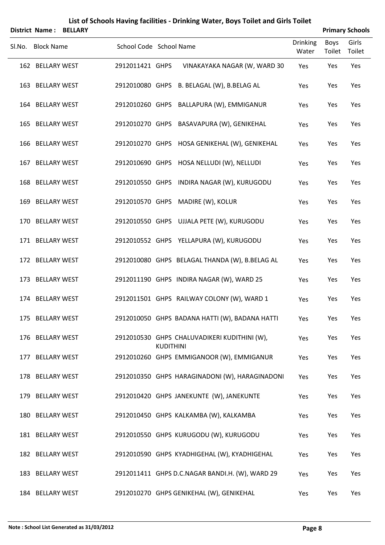|        |                   | <b>District Name: BELLARY</b> |                         |                  |                                                 |                          |                       | <b>Primary Schools</b> |
|--------|-------------------|-------------------------------|-------------------------|------------------|-------------------------------------------------|--------------------------|-----------------------|------------------------|
| SI.No. | <b>Block Name</b> |                               | School Code School Name |                  |                                                 | <b>Drinking</b><br>Water | <b>Boys</b><br>Toilet | Girls<br>Toilet        |
|        | 162 BELLARY WEST  |                               | 2912011421 GHPS         |                  | VINAKAYAKA NAGAR (W, WARD 30                    | Yes                      | Yes                   | Yes                    |
|        | 163 BELLARY WEST  |                               |                         |                  | 2912010080 GHPS B. BELAGAL (W), B.BELAG AL      | Yes                      | Yes                   | Yes                    |
|        | 164 BELLARY WEST  |                               |                         |                  | 2912010260 GHPS BALLAPURA (W), EMMIGANUR        | Yes                      | Yes                   | Yes                    |
|        | 165 BELLARY WEST  |                               |                         |                  | 2912010270 GHPS BASAVAPURA (W), GENIKEHAL       | Yes                      | Yes                   | Yes                    |
|        | 166 BELLARY WEST  |                               |                         |                  | 2912010270 GHPS HOSA GENIKEHAL (W), GENIKEHAL   | Yes                      | Yes                   | Yes                    |
|        | 167 BELLARY WEST  |                               |                         |                  | 2912010690 GHPS HOSA NELLUDI (W), NELLUDI       | Yes                      | Yes                   | Yes                    |
|        | 168 BELLARY WEST  |                               |                         |                  | 2912010550 GHPS INDIRA NAGAR (W), KURUGODU      | Yes                      | Yes                   | Yes                    |
|        | 169 BELLARY WEST  |                               |                         |                  | 2912010570 GHPS MADIRE (W), KOLUR               | Yes                      | Yes                   | Yes                    |
|        | 170 BELLARY WEST  |                               |                         |                  | 2912010550 GHPS UJJALA PETE (W), KURUGODU       | Yes                      | Yes                   | Yes                    |
|        | 171 BELLARY WEST  |                               |                         |                  | 2912010552 GHPS YELLAPURA (W), KURUGODU         | Yes                      | Yes                   | Yes                    |
|        | 172 BELLARY WEST  |                               |                         |                  | 2912010080 GHPS BELAGAL THANDA (W), B.BELAG AL  | Yes                      | Yes                   | Yes                    |
|        | 173 BELLARY WEST  |                               |                         |                  | 2912011190 GHPS INDIRA NAGAR (W), WARD 25       | Yes                      | Yes                   | Yes                    |
|        | 174 BELLARY WEST  |                               |                         |                  | 2912011501 GHPS RAILWAY COLONY (W), WARD 1      | Yes                      | Yes                   | Yes                    |
|        | 175 BELLARY WEST  |                               |                         |                  | 2912010050 GHPS BADANA HATTI (W), BADANA HATTI  | Yes                      | Yes                   | Yes                    |
|        | 176 BELLARY WEST  |                               |                         | <b>KUDITHINI</b> | 2912010530 GHPS CHALUVADIKERI KUDITHINI (W),    | Yes                      | Yes                   | Yes                    |
|        | 177 BELLARY WEST  |                               |                         |                  | 2912010260 GHPS EMMIGANOOR (W), EMMIGANUR       | Yes                      | Yes                   | Yes                    |
|        | 178 BELLARY WEST  |                               |                         |                  | 2912010350 GHPS HARAGINADONI (W), HARAGINADONI  | Yes                      | Yes                   | Yes                    |
|        | 179 BELLARY WEST  |                               |                         |                  | 2912010420 GHPS JANEKUNTE (W), JANEKUNTE        | Yes                      | Yes                   | Yes                    |
|        | 180 BELLARY WEST  |                               |                         |                  | 2912010450 GHPS KALKAMBA (W), KALKAMBA          | Yes                      | Yes                   | Yes                    |
|        | 181 BELLARY WEST  |                               |                         |                  | 2912010550 GHPS KURUGODU (W), KURUGODU          | Yes                      | Yes                   | Yes                    |
|        | 182 BELLARY WEST  |                               |                         |                  | 2912010590 GHPS KYADHIGEHAL (W), KYADHIGEHAL    | Yes                      | Yes                   | Yes                    |
|        | 183 BELLARY WEST  |                               |                         |                  | 2912011411 GHPS D.C.NAGAR BANDI.H. (W), WARD 29 | Yes                      | Yes                   | Yes                    |
|        | 184 BELLARY WEST  |                               |                         |                  | 2912010270 GHPS GENIKEHAL (W), GENIKEHAL        | Yes                      | Yes                   | Yes                    |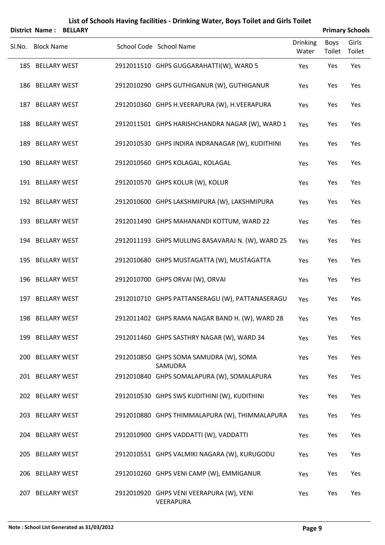|        |                       |                | List of Schools Having facilities - Drinking Water, Boys Toilet and Girls Toilet |                          |                |                        |
|--------|-----------------------|----------------|----------------------------------------------------------------------------------|--------------------------|----------------|------------------------|
|        | <b>District Name:</b> | <b>BELLARY</b> |                                                                                  |                          |                | <b>Primary Schools</b> |
| SI.No. | <b>Block Name</b>     |                | School Code School Name                                                          | <b>Drinking</b><br>Water | Boys<br>Toilet | Girls<br>Toilet        |
|        | 185 BELLARY WEST      |                | 2912011510 GHPS GUGGARAHATTI(W), WARD 5                                          | Yes                      | Yes            | Yes                    |
|        | 186 BELLARY WEST      |                | 2912010290 GHPS GUTHIGANUR (W), GUTHIGANUR                                       | Yes                      | Yes            | Yes                    |
|        | 187 BELLARY WEST      |                | 2912010360 GHPS H.VEERAPURA (W), H.VEERAPURA                                     | Yes                      | Yes            | Yes                    |
|        | 188 BELLARY WEST      |                | 2912011501 GHPS HARISHCHANDRA NAGAR (W), WARD 1                                  | Yes                      | Yes            | Yes                    |
|        | 189 BELLARY WEST      |                | 2912010530 GHPS INDIRA INDRANAGAR (W), KUDITHINI                                 | Yes                      | Yes            | Yes                    |
|        | 190 BELLARY WEST      |                | 2912010560 GHPS KOLAGAL, KOLAGAL                                                 | Yes                      | Yes            | Yes                    |
|        | 191 BELLARY WEST      |                | 2912010570 GHPS KOLUR (W), KOLUR                                                 | Yes                      | Yes            | Yes                    |
|        | 192 BELLARY WEST      |                | 2912010600 GHPS LAKSHMIPURA (W), LAKSHMIPURA                                     | Yes                      | Yes            | Yes                    |
|        | 193 BELLARY WEST      |                | 2912011490 GHPS MAHANANDI KOTTUM, WARD 22                                        | Yes                      | Yes            | Yes                    |
|        | 194 BELLARY WEST      |                | 2912011193 GHPS MULLING BASAVARAJ N. (W), WARD 25                                | Yes                      | Yes            | Yes                    |
|        | 195 BELLARY WEST      |                | 2912010680 GHPS MUSTAGATTA (W), MUSTAGATTA                                       | Yes                      | Yes            | Yes                    |
|        | 196 BELLARY WEST      |                | 2912010700 GHPS ORVAI (W), ORVAI                                                 | Yes                      | Yes            | Yes                    |
|        | 197 BELLARY WEST      |                | 2912010710 GHPS PATTANSERAGU (W), PATTANASERAGU                                  | Yes                      | Yes            | Yes                    |
|        | 198 BELLARY WEST      |                | 2912011402 GHPS RAMA NAGAR BAND H. (W), WARD 28                                  | Yes                      | Yes            | Yes                    |
|        | 199 BELLARY WEST      |                | 2912011460 GHPS SASTHRY NAGAR (W), WARD 34                                       | Yes                      | Yes            | Yes                    |
|        | 200 BELLARY WEST      |                | 2912010850 GHPS SOMA SAMUDRA (W), SOMA<br>SAMUDRA                                | Yes                      | Yes            | Yes                    |
|        | 201 BELLARY WEST      |                | 2912010840 GHPS SOMALAPURA (W), SOMALAPURA                                       | Yes                      | Yes            | Yes                    |
|        | 202 BELLARY WEST      |                | 2912010530 GHPS SWS KUDITHINI (W), KUDITHINI                                     | Yes                      | Yes            | Yes                    |
|        | 203 BELLARY WEST      |                | 2912010880 GHPS THIMMALAPURA (W), THIMMALAPURA                                   | Yes                      | Yes            | Yes                    |
|        | 204 BELLARY WEST      |                | 2912010900 GHPS VADDATTI (W), VADDATTI                                           | Yes                      | Yes            | Yes                    |
|        | 205 BELLARY WEST      |                | 2912010551 GHPS VALMIKI NAGARA (W), KURUGODU                                     | Yes                      | Yes            | Yes                    |
|        | 206 BELLARY WEST      |                | 2912010260 GHPS VENI CAMP (W), EMMIGANUR                                         | Yes                      | Yes            | Yes                    |
|        | 207 BELLARY WEST      |                | 2912010920 GHPS VENI VEERAPURA (W), VENI<br>VEERAPURA                            | Yes                      | Yes            | Yes                    |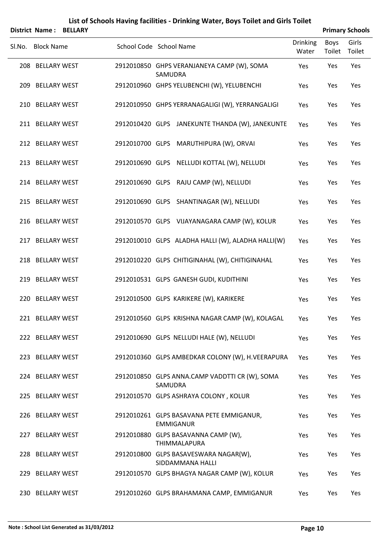|        | <b>District Name:</b> | <b>BELLARY</b> | List of Schools Having facilities - Drinking Water, Boys Toilet and Girls Toilet |                 |             | <b>Primary Schools</b> |
|--------|-----------------------|----------------|----------------------------------------------------------------------------------|-----------------|-------------|------------------------|
| SI.No. | <b>Block Name</b>     |                | School Code School Name                                                          | <b>Drinking</b> | <b>Boys</b> | Girls                  |
|        |                       |                |                                                                                  | Water           | Toilet      | Toilet                 |
|        | 208 BELLARY WEST      |                | 2912010850 GHPS VERANJANEYA CAMP (W), SOMA<br>SAMUDRA                            | Yes             | Yes         | Yes                    |
|        | 209 BELLARY WEST      |                | 2912010960 GHPS YELUBENCHI (W), YELUBENCHI                                       | Yes             | Yes         | Yes                    |
|        | 210 BELLARY WEST      |                | 2912010950 GHPS YERRANAGALIGI (W), YERRANGALIGI                                  | Yes             | Yes         | Yes                    |
|        | 211 BELLARY WEST      |                | 2912010420 GLPS JANEKUNTE THANDA (W), JANEKUNTE                                  | Yes             | Yes         | Yes                    |
|        | 212 BELLARY WEST      |                | 2912010700 GLPS MARUTHIPURA (W), ORVAI                                           | Yes             | Yes         | Yes                    |
|        | 213 BELLARY WEST      |                | 2912010690 GLPS NELLUDI KOTTAL (W), NELLUDI                                      | Yes             | Yes         | Yes                    |
|        | 214 BELLARY WEST      |                | 2912010690 GLPS RAJU CAMP (W), NELLUDI                                           | Yes             | Yes         | Yes                    |
|        | 215 BELLARY WEST      |                | 2912010690 GLPS SHANTINAGAR (W), NELLUDI                                         | Yes             | Yes         | Yes                    |
|        | 216 BELLARY WEST      |                | 2912010570 GLPS VIJAYANAGARA CAMP (W), KOLUR                                     | Yes             | Yes         | Yes                    |
|        | 217 BELLARY WEST      |                | 2912010010 GLPS ALADHA HALLI (W), ALADHA HALLI(W)                                | Yes             | Yes         | Yes                    |
|        | 218 BELLARY WEST      |                | 2912010220 GLPS CHITIGINAHAL (W), CHITIGINAHAL                                   | Yes             | Yes         | Yes                    |
|        | 219 BELLARY WEST      |                | 2912010531 GLPS GANESH GUDI, KUDITHINI                                           | Yes             | Yes         | Yes                    |
|        | 220 BELLARY WEST      |                | 2912010500 GLPS KARIKERE (W), KARIKERE                                           | Yes             | Yes         | Yes                    |
|        | 221 BELLARY WEST      |                | 2912010560 GLPS KRISHNA NAGAR CAMP (W), KOLAGAL                                  | Yes             | Yes         | Yes                    |
|        | 222 BELLARY WEST      |                | 2912010690 GLPS NELLUDI HALE (W), NELLUDI                                        | Yes             | Yes         | Yes                    |
|        | 223 BELLARY WEST      |                | 2912010360 GLPS AMBEDKAR COLONY (W), H.VEERAPURA                                 | Yes             | Yes         | Yes                    |
|        | 224 BELLARY WEST      |                | 2912010850 GLPS ANNA.CAMP VADDTTI CR (W), SOMA<br>SAMUDRA                        | Yes             | Yes         | Yes                    |
|        | 225 BELLARY WEST      |                | 2912010570 GLPS ASHRAYA COLONY, KOLUR                                            | Yes             | Yes         | Yes                    |
|        | 226 BELLARY WEST      |                | 2912010261 GLPS BASAVANA PETE EMMIGANUR,<br><b>EMMIGANUR</b>                     | Yes             | Yes         | Yes                    |
|        | 227 BELLARY WEST      |                | 2912010880 GLPS BASAVANNA CAMP (W),<br>THIMMALAPURA                              | Yes             | Yes         | Yes                    |
|        | 228 BELLARY WEST      |                | 2912010800 GLPS BASAVESWARA NAGAR(W),<br>SIDDAMMANA HALLI                        | Yes             | Yes         | Yes                    |
|        | 229 BELLARY WEST      |                | 2912010570 GLPS BHAGYA NAGAR CAMP (W), KOLUR                                     | Yes             | Yes         | Yes                    |
|        | 230 BELLARY WEST      |                | 2912010260 GLPS BRAHAMANA CAMP, EMMIGANUR                                        | Yes             | Yes         | Yes                    |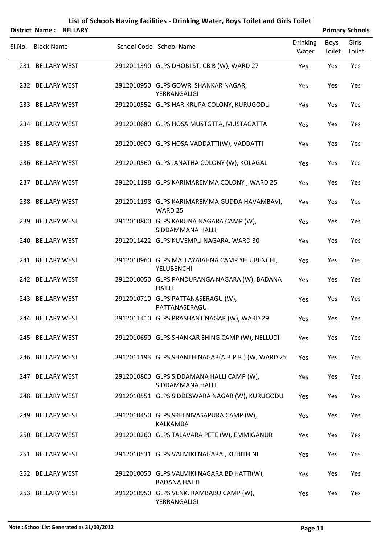|        | District Name:    | <b>BELLARY</b> | List of Schools Having facilities - Drinking Water, Boys Toilet and Girls Toilet |                          |                | <b>Primary Schools</b> |
|--------|-------------------|----------------|----------------------------------------------------------------------------------|--------------------------|----------------|------------------------|
| Sl.No. | <b>Block Name</b> |                | School Code School Name                                                          | <b>Drinking</b><br>Water | Boys<br>Toilet | Girls<br>Toilet        |
|        | 231 BELLARY WEST  |                | 2912011390 GLPS DHOBI ST. CB B (W), WARD 27                                      | Yes                      | Yes            | Yes                    |
|        | 232 BELLARY WEST  |                | 2912010950 GLPS GOWRI SHANKAR NAGAR,<br>YERRANGALIGI                             | Yes                      | Yes            | Yes                    |
|        | 233 BELLARY WEST  |                | 2912010552 GLPS HARIKRUPA COLONY, KURUGODU                                       | Yes                      | Yes            | Yes                    |
|        | 234 BELLARY WEST  |                | 2912010680 GLPS HOSA MUSTGTTA, MUSTAGATTA                                        | Yes                      | Yes            | Yes                    |
|        | 235 BELLARY WEST  |                | 2912010900 GLPS HOSA VADDATTI(W), VADDATTI                                       | Yes                      | Yes            | Yes                    |
|        | 236 BELLARY WEST  |                | 2912010560 GLPS JANATHA COLONY (W), KOLAGAL                                      | Yes                      | Yes            | Yes                    |
|        | 237 BELLARY WEST  |                | 2912011198 GLPS KARIMAREMMA COLONY, WARD 25                                      | Yes                      | Yes            | Yes                    |
|        | 238 BELLARY WEST  |                | 2912011198 GLPS KARIMAREMMA GUDDA HAVAMBAVI,<br>WARD 25                          | Yes                      | Yes            | Yes                    |
|        | 239 BELLARY WEST  |                | 2912010800 GLPS KARUNA NAGARA CAMP (W),<br>SIDDAMMANA HALLI                      | Yes                      | Yes            | Yes                    |
|        | 240 BELLARY WEST  |                | 2912011422 GLPS KUVEMPU NAGARA, WARD 30                                          | Yes                      | Yes            | Yes                    |
|        | 241 BELLARY WEST  |                | 2912010960 GLPS MALLAYAIAHNA CAMP YELUBENCHI,<br><b>YELUBENCHI</b>               | Yes                      | Yes            | Yes                    |
|        | 242 BELLARY WEST  |                | 2912010050 GLPS PANDURANGA NAGARA (W), BADANA<br><b>HATTI</b>                    | Yes                      | Yes            | Yes                    |
|        | 243 BELLARY WEST  |                | 2912010710 GLPS PATTANASERAGU (W),<br>PATTANASERAGU                              | Yes                      | Yes            | Yes                    |
|        | 244 BELLARY WEST  |                | 2912011410 GLPS PRASHANT NAGAR (W), WARD 29                                      | Yes                      | Yes            | Yes                    |
|        | 245 BELLARY WEST  |                | 2912010690 GLPS SHANKAR SHING CAMP (W), NELLUDI                                  | Yes                      | Yes            | Yes                    |
|        | 246 BELLARY WEST  |                | 2912011193 GLPS SHANTHINAGAR(AIR.P.R.) (W, WARD 25                               | Yes                      | Yes            | Yes                    |
|        | 247 BELLARY WEST  |                | 2912010800 GLPS SIDDAMANA HALLI CAMP (W),<br>SIDDAMMANA HALLI                    | Yes                      | Yes            | Yes                    |
|        | 248 BELLARY WEST  |                | 2912010551 GLPS SIDDESWARA NAGAR (W), KURUGODU                                   | Yes                      | Yes            | Yes                    |
|        | 249 BELLARY WEST  |                | 2912010450 GLPS SREENIVASAPURA CAMP (W),<br>KALKAMBA                             | Yes                      | Yes            | Yes                    |
|        | 250 BELLARY WEST  |                | 2912010260 GLPS TALAVARA PETE (W), EMMIGANUR                                     | Yes                      | Yes            | Yes                    |
|        | 251 BELLARY WEST  |                | 2912010531 GLPS VALMIKI NAGARA, KUDITHINI                                        | Yes                      | Yes            | Yes                    |
|        | 252 BELLARY WEST  |                | 2912010050 GLPS VALMIKI NAGARA BD HATTI(W),<br><b>BADANA HATTI</b>               | Yes                      | Yes            | Yes                    |
|        | 253 BELLARY WEST  |                | 2912010950 GLPS VENK. RAMBABU CAMP (W),                                          | Yes                      | Yes            | Yes                    |

YERRANGALIGI

#### **Note : School List Generated as 31/03/2012 Page 11**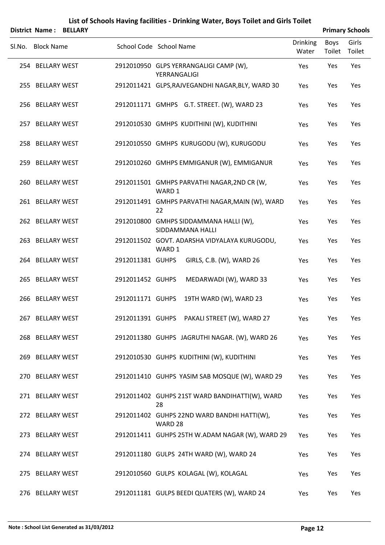#### **List of Schools Having facilities ‐ Drinking Water, Boys Toilet and Girls Toilet District Name : BELLARY Primary Schools**

| . סוווסנו ועם הוכי | <b>DLLLANI</b> |                  |                                                            |                          |                | <b>FIIIIIAI Y JUIUUIS</b> |
|--------------------|----------------|------------------|------------------------------------------------------------|--------------------------|----------------|---------------------------|
| Sl.No. Block Name  |                |                  | School Code School Name                                    | <b>Drinking</b><br>Water | Boys<br>Toilet | Girls<br>Toilet           |
| 254 BELLARY WEST   |                |                  | 2912010950 GLPS YERRANGALIGI CAMP (W),<br>YERRANGALIGI     | Yes                      | Yes            | Yes                       |
| 255 BELLARY WEST   |                |                  | 2912011421 GLPS, RAJVEGANDHI NAGAR, BLY, WARD 30           | Yes                      | Yes            | Yes                       |
| 256 BELLARY WEST   |                |                  | 2912011171 GMHPS G.T. STREET. (W), WARD 23                 | Yes                      | Yes            | Yes                       |
| 257 BELLARY WEST   |                |                  | 2912010530 GMHPS KUDITHINI (W), KUDITHINI                  | Yes                      | Yes            | Yes                       |
| 258 BELLARY WEST   |                |                  | 2912010550 GMHPS KURUGODU (W), KURUGODU                    | Yes                      | Yes            | Yes                       |
| 259 BELLARY WEST   |                |                  | 2912010260 GMHPS EMMIGANUR (W), EMMIGANUR                  | Yes                      | Yes            | Yes                       |
| 260 BELLARY WEST   |                |                  | 2912011501 GMHPS PARVATHI NAGAR, 2ND CR (W,<br>WARD 1      | Yes                      | Yes            | Yes                       |
| 261 BELLARY WEST   |                |                  | 2912011491 GMHPS PARVATHI NAGAR, MAIN (W), WARD<br>22      | Yes                      | Yes            | Yes                       |
| 262 BELLARY WEST   |                |                  | 2912010800 GMHPS SIDDAMMANA HALLI (W),<br>SIDDAMMANA HALLI | Yes                      | Yes            | Yes                       |
| 263 BELLARY WEST   |                |                  | 2912011502 GOVT. ADARSHA VIDYALAYA KURUGODU,<br>WARD 1     | Yes                      | Yes            | Yes                       |
| 264 BELLARY WEST   |                | 2912011381 GUHPS | GIRLS, C.B. (W), WARD 26                                   | Yes                      | Yes            | Yes                       |
| 265 BELLARY WEST   |                | 2912011452 GUHPS | MEDARWADI (W), WARD 33                                     | Yes                      | Yes            | Yes                       |
| 266 BELLARY WEST   |                | 2912011171 GUHPS | 19TH WARD (W), WARD 23                                     | Yes                      | Yes            | Yes                       |
| 267 BELLARY WEST   |                | 2912011391 GUHPS | PAKALI STREET (W), WARD 27                                 | Yes                      | Yes            | Yes                       |
| 268 BELLARY WEST   |                |                  | 2912011380 GUHPS JAGRUTHI NAGAR. (W), WARD 26              | Yes                      | Yes            | Yes                       |
| 269 BELLARY WEST   |                |                  | 2912010530 GUHPS KUDITHINI (W), KUDITHINI                  | Yes                      | Yes            | Yes                       |
| 270 BELLARY WEST   |                |                  | 2912011410 GUHPS YASIM SAB MOSQUE (W), WARD 29             | Yes                      | Yes            | Yes                       |
| 271 BELLARY WEST   |                |                  | 2912011402 GUHPS 21ST WARD BANDIHATTI(W), WARD<br>28       | Yes                      | Yes            | Yes                       |
| 272 BELLARY WEST   |                |                  | 2912011402 GUHPS 22ND WARD BANDHI HATTI(W),<br>WARD 28     | Yes                      | Yes            | Yes                       |
| 273 BELLARY WEST   |                |                  | 2912011411 GUHPS 25TH W.ADAM NAGAR (W), WARD 29            | Yes                      | Yes            | Yes                       |
| 274 BELLARY WEST   |                |                  | 2912011180 GULPS 24TH WARD (W), WARD 24                    | Yes                      | Yes            | Yes                       |
| 275 BELLARY WEST   |                |                  | 2912010560 GULPS KOLAGAL (W), KOLAGAL                      | Yes                      | Yes            | Yes                       |
| 276 BELLARY WEST   |                |                  | 2912011181 GULPS BEEDI QUATERS (W), WARD 24                | Yes                      | Yes            | Yes                       |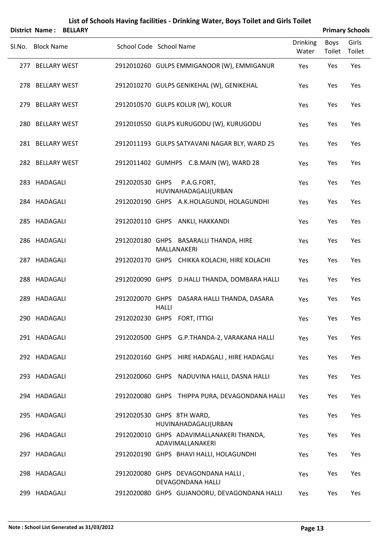|                   | <b>District Name: BELLARY</b> |                           |              |                                                                   |                          |                | <b>Primary Schools</b> |
|-------------------|-------------------------------|---------------------------|--------------|-------------------------------------------------------------------|--------------------------|----------------|------------------------|
| Sl.No. Block Name |                               | School Code School Name   |              |                                                                   | <b>Drinking</b><br>Water | Boys<br>Toilet | Girls<br>Toilet        |
| 277 BELLARY WEST  |                               |                           |              | 2912010260 GULPS EMMIGANOOR (W), EMMIGANUR                        | Yes                      | Yes            | Yes                    |
| 278 BELLARY WEST  |                               |                           |              | 2912010270 GULPS GENIKEHAL (W), GENIKEHAL                         | Yes                      | Yes            | Yes                    |
| 279 BELLARY WEST  |                               |                           |              | 2912010570 GULPS KOLUR (W), KOLUR                                 | Yes                      | Yes            | Yes                    |
| 280 BELLARY WEST  |                               |                           |              | 2912010550 GULPS KURUGODU (W), KURUGODU                           | Yes                      | Yes            | Yes                    |
| 281 BELLARY WEST  |                               |                           |              | 2912011193 GULPS SATYAVANI NAGAR BLY, WARD 25                     | Yes                      | Yes            | Yes                    |
| 282 BELLARY WEST  |                               |                           |              | 2912011402 GUMHPS C.B.MAIN (W), WARD 28                           | Yes                      | Yes            | Yes                    |
| 283 HADAGALI      |                               | 2912020530 GHPS           |              | P.A.G.FORT,                                                       | Yes                      | Yes            | Yes                    |
| 284 HADAGALI      |                               |                           |              | HUVINAHADAGALI(URBAN<br>2912020190 GHPS A.K.HOLAGUNDI, HOLAGUNDHI | Yes                      | Yes            | Yes                    |
| 285 HADAGALI      |                               |                           |              | 2912020110 GHPS ANKLI, HAKKANDI                                   | Yes                      | Yes            | Yes                    |
| 286 HADAGALI      |                               |                           |              | 2912020180 GHPS BASARALLI THANDA, HIRE<br>MALLANAKERI             | Yes                      | Yes            | Yes                    |
| 287 HADAGALI      |                               |                           |              | 2912020170 GHPS CHIKKA KOLACHI, HIRE KOLACHI                      | Yes                      | Yes            | Yes                    |
| 288 HADAGALI      |                               |                           |              | 2912020090 GHPS D.HALLI THANDA, DOMBARA HALLI                     | Yes                      | Yes            | Yes                    |
| 289 HADAGALI      |                               |                           | <b>HALLI</b> | 2912020070 GHPS DASARA HALLI THANDA, DASARA                       | Yes                      | Yes            | Yes                    |
| 290 HADAGALI      |                               |                           |              | 2912020230 GHPS FORT, ITTIGI                                      | Yes                      | Yes            | Yes                    |
| 291 HADAGALI      |                               |                           |              | 2912020500 GHPS G.P.THANDA-2, VARAKANA HALLI                      | Yes                      | Yes            | Yes                    |
| 292 HADAGALI      |                               |                           |              | 2912020160 GHPS HIRE HADAGALI, HIRE HADAGALI                      | Yes                      | Yes            | Yes                    |
| 293 HADAGALI      |                               |                           |              | 2912020060 GHPS NADUVINA HALLI, DASNA HALLI                       | Yes                      | Yes            | Yes                    |
| 294 HADAGALI      |                               |                           |              | 2912020080 GHPS THIPPA PURA, DEVAGONDANA HALLI                    | Yes                      | Yes            | Yes                    |
| 295 HADAGALI      |                               | 2912020530 GHPS 8TH WARD, |              | HUVINAHADAGALI(URBAN                                              | Yes                      | Yes            | Yes                    |
| 296 HADAGALI      |                               |                           |              | 2912020010 GHPS ADAVIMALLANAKERI THANDA,<br>ADAVIMALLANAKERI      | Yes                      | Yes            | Yes                    |
| 297 HADAGALI      |                               |                           |              | 2912020190 GHPS BHAVI HALLI, HOLAGUNDHI                           | Yes                      | Yes            | Yes                    |
| 298 HADAGALI      |                               |                           |              | 2912020080 GHPS DEVAGONDANA HALLI,<br>DEVAGONDANA HALLI           | Yes                      | Yes            | Yes                    |
| 299 HADAGALI      |                               |                           |              | 2912020080 GHPS GUJANOORU, DEVAGONDANA HALLI                      | Yes                      | Yes            | Yes                    |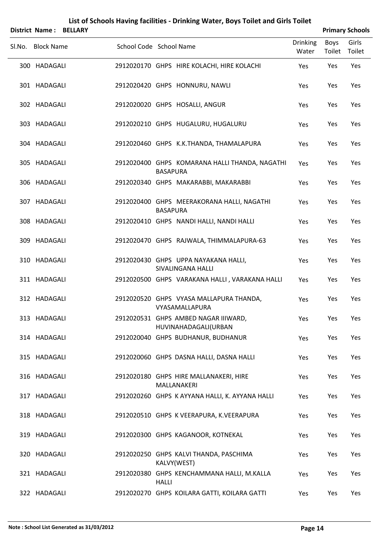| <b>District Name: BELLARY</b> |                         |                 |                                                              |                          |                       | <b>Primary Schools</b> |
|-------------------------------|-------------------------|-----------------|--------------------------------------------------------------|--------------------------|-----------------------|------------------------|
| Sl.No. Block Name             | School Code School Name |                 |                                                              | <b>Drinking</b><br>Water | Boys<br>Toilet Toilet | Girls                  |
| 300 HADAGALI                  |                         |                 | 2912020170 GHPS HIRE KOLACHI, HIRE KOLACHI                   | Yes                      | Yes                   | Yes                    |
| 301 HADAGALI                  |                         |                 | 2912020420 GHPS HONNURU, NAWLI                               | Yes                      | Yes                   | Yes                    |
| 302 HADAGALI                  |                         |                 | 2912020020 GHPS HOSALLI, ANGUR                               | Yes                      | Yes                   | Yes                    |
| 303 HADAGALI                  |                         |                 | 2912020210 GHPS HUGALURU, HUGALURU                           | Yes                      | Yes                   | Yes                    |
| 304 HADAGALI                  |                         |                 | 2912020460 GHPS K.K.THANDA, THAMALAPURA                      | Yes                      | Yes                   | Yes                    |
| 305 HADAGALI                  |                         | <b>BASAPURA</b> | 2912020400 GHPS KOMARANA HALLI THANDA, NAGATHI               | Yes                      | Yes                   | Yes                    |
| 306 HADAGALI                  |                         |                 | 2912020340 GHPS MAKARABBI, MAKARABBI                         | Yes                      | Yes                   | Yes                    |
| 307 HADAGALI                  |                         | <b>BASAPURA</b> | 2912020400 GHPS MEERAKORANA HALLI, NAGATHI                   | Yes                      | Yes                   | Yes                    |
| 308 HADAGALI                  |                         |                 | 2912020410 GHPS NANDI HALLI, NANDI HALLI                     | Yes                      | Yes                   | Yes                    |
| 309 HADAGALI                  |                         |                 | 2912020470 GHPS RAJWALA, THIMMALAPURA-63                     | Yes                      | Yes                   | Yes                    |
| 310 HADAGALI                  |                         |                 | 2912020430 GHPS UPPA NAYAKANA HALLI,<br>SIVALINGANA HALLI    | Yes                      | Yes                   | Yes                    |
| 311 HADAGALI                  |                         |                 | 2912020500 GHPS VARAKANA HALLI, VARAKANA HALLI               | Yes                      | Yes                   | Yes                    |
| 312 HADAGALI                  |                         |                 | 2912020520 GHPS VYASA MALLAPURA THANDA,<br>VYASAMALLAPURA    | Yes                      | Yes                   | Yes                    |
| 313 HADAGALI                  |                         |                 | 2912020531 GHPS AMBED NAGAR IIIWARD,<br>HUVINAHADAGALI(URBAN | Yes                      | Yes                   | Yes                    |
| 314 HADAGALI                  |                         |                 | 2912020040 GHPS BUDHANUR, BUDHANUR                           | Yes                      | Yes                   | Yes                    |
| 315 HADAGALI                  |                         |                 | 2912020060 GHPS DASNA HALLI, DASNA HALLI                     | Yes                      | Yes                   | Yes                    |
| 316 HADAGALI                  |                         |                 | 2912020180 GHPS HIRE MALLANAKERI, HIRE<br>MALLANAKERI        | Yes                      | Yes                   | Yes                    |
| 317 HADAGALI                  |                         |                 | 2912020260 GHPS K AYYANA HALLI, K. AYYANA HALLI              | Yes                      | Yes                   | Yes                    |
| 318 HADAGALI                  |                         |                 | 2912020510 GHPS K VEERAPURA, K.VEERAPURA                     | Yes                      | Yes                   | Yes                    |
| 319 HADAGALI                  |                         |                 | 2912020300 GHPS KAGANOOR, KOTNEKAL                           | Yes                      | Yes                   | Yes                    |
| 320 HADAGALI                  |                         |                 | 2912020250 GHPS KALVI THANDA, PASCHIMA<br>KALVY(WEST)        | Yes                      | Yes                   | Yes                    |
| 321 HADAGALI                  |                         | <b>HALLI</b>    | 2912020380 GHPS KENCHAMMANA HALLI, M.KALLA                   | Yes                      | Yes                   | Yes                    |

322 HADAGALI 2912020270 GHPS KOILARA GATTI, KOILARA GATTI Yes Yes Yes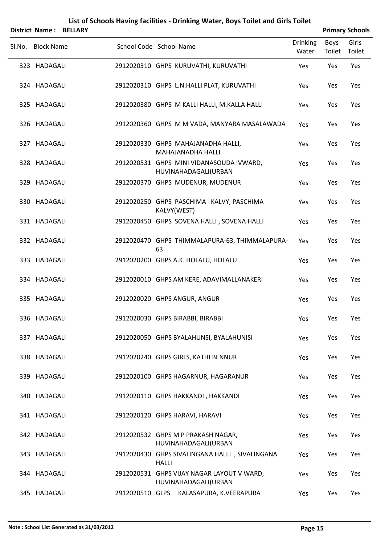|        | List of Schools Having facilities - Drinking Water, Boys Toilet and Girls Toilet |                |  |                                                                    |                          |                |                        |  |  |  |  |  |
|--------|----------------------------------------------------------------------------------|----------------|--|--------------------------------------------------------------------|--------------------------|----------------|------------------------|--|--|--|--|--|
|        | <b>District Name:</b>                                                            | <b>BELLARY</b> |  |                                                                    |                          |                | <b>Primary Schools</b> |  |  |  |  |  |
| Sl.No. | <b>Block Name</b>                                                                |                |  | School Code School Name                                            | <b>Drinking</b><br>Water | Boys<br>Toilet | Girls<br>Toilet        |  |  |  |  |  |
|        | 323 HADAGALI                                                                     |                |  | 2912020310 GHPS KURUVATHI, KURUVATHI                               | Yes                      | Yes            | Yes                    |  |  |  |  |  |
|        | 324 HADAGALI                                                                     |                |  | 2912020310 GHPS L.N.HALLI PLAT, KURUVATHI                          | Yes                      | Yes            | Yes                    |  |  |  |  |  |
|        | 325 HADAGALI                                                                     |                |  | 2912020380 GHPS M KALLI HALLI, M.KALLA HALLI                       | Yes                      | Yes            | Yes                    |  |  |  |  |  |
|        | 326 HADAGALI                                                                     |                |  | 2912020360 GHPS M M VADA, MANYARA MASALAWADA                       | Yes                      | Yes            | Yes                    |  |  |  |  |  |
| 327    | HADAGALI                                                                         |                |  | 2912020330 GHPS MAHAJANADHA HALLI,<br>MAHAJANADHA HALLI            | Yes                      | Yes            | Yes                    |  |  |  |  |  |
|        | 328 HADAGALI                                                                     |                |  | 2912020531 GHPS MINI VIDANASOUDA IVWARD,<br>HUVINAHADAGALI(URBAN   | Yes                      | Yes            | Yes                    |  |  |  |  |  |
|        | 329 HADAGALI                                                                     |                |  | 2912020370 GHPS MUDENUR, MUDENUR                                   | Yes                      | Yes            | Yes                    |  |  |  |  |  |
|        | 330 HADAGALI                                                                     |                |  | 2912020250 GHPS PASCHIMA KALVY, PASCHIMA<br>KALVY(WEST)            | Yes                      | Yes            | Yes                    |  |  |  |  |  |
|        | 331 HADAGALI                                                                     |                |  | 2912020450 GHPS SOVENA HALLI, SOVENA HALLI                         | Yes                      | Yes            | Yes                    |  |  |  |  |  |
|        | 332 HADAGALI                                                                     |                |  | 2912020470 GHPS THIMMALAPURA-63, THIMMALAPURA-<br>63               | Yes                      | Yes            | Yes                    |  |  |  |  |  |
|        | 333 HADAGALI                                                                     |                |  | 2912020200 GHPS A.K. HOLALU, HOLALU                                | Yes                      | Yes            | Yes                    |  |  |  |  |  |
|        | 334 HADAGALI                                                                     |                |  | 2912020010 GHPS AM KERE, ADAVIMALLANAKERI                          | Yes                      | Yes            | Yes                    |  |  |  |  |  |
|        | 335 HADAGALI                                                                     |                |  | 2912020020 GHPS ANGUR, ANGUR                                       | Yes                      | Yes            | Yes                    |  |  |  |  |  |
|        | 336 HADAGALI                                                                     |                |  | 2912020030 GHPS BIRABBI, BIRABBI                                   | Yes                      | Yes            | Yes                    |  |  |  |  |  |
| 337    | HADAGALI                                                                         |                |  | 2912020050 GHPS BYALAHUNSI, BYALAHUNISI                            | Yes                      | Yes            | Yes                    |  |  |  |  |  |
|        | 338 HADAGALI                                                                     |                |  | 2912020240 GHPS GIRLS, KATHI BENNUR                                | Yes                      | Yes            | Yes                    |  |  |  |  |  |
|        | 339 HADAGALI                                                                     |                |  | 2912020100 GHPS HAGARNUR, HAGARANUR                                | Yes                      | Yes            | Yes                    |  |  |  |  |  |
|        | 340 HADAGALI                                                                     |                |  | 2912020110 GHPS HAKKANDI, HAKKANDI                                 | Yes                      | Yes            | Yes                    |  |  |  |  |  |
|        | 341 HADAGALI                                                                     |                |  | 2912020120 GHPS HARAVI, HARAVI                                     | Yes                      | Yes            | Yes                    |  |  |  |  |  |
|        | 342 HADAGALI                                                                     |                |  | 2912020532 GHPS M P PRAKASH NAGAR,<br>HUVINAHADAGALI(URBAN         | Yes                      | Yes            | Yes                    |  |  |  |  |  |
|        | 343 HADAGALI                                                                     |                |  | 2912020430 GHPS SIVALINGANA HALLI, SIVALINGANA<br><b>HALLI</b>     | Yes                      | Yes            | Yes                    |  |  |  |  |  |
|        | 344 HADAGALI                                                                     |                |  | 2912020531 GHPS VIJAY NAGAR LAYOUT V WARD,<br>HUVINAHADAGALI(URBAN | Yes                      | Yes            | Yes                    |  |  |  |  |  |

345 HADAGALI 2912020510 GLPS KALASAPURA, K.VEERAPURA Yes Yes Yes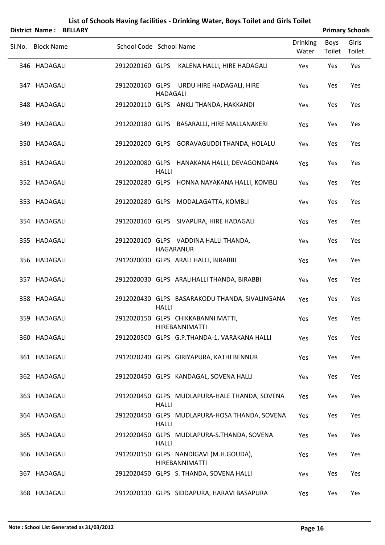|        |                       |                |                         |                 | List of Schools Having facilities - Drinking Water, Boys Toilet and Girls Toilet |                          |                |                        |
|--------|-----------------------|----------------|-------------------------|-----------------|----------------------------------------------------------------------------------|--------------------------|----------------|------------------------|
|        | <b>District Name:</b> | <b>BELLARY</b> |                         |                 |                                                                                  |                          |                | <b>Primary Schools</b> |
| Sl.No. | <b>Block Name</b>     |                | School Code School Name |                 |                                                                                  | <b>Drinking</b><br>Water | Boys<br>Toilet | Girls<br>Toilet        |
|        | 346 HADAGALI          |                | 2912020160 GLPS         |                 | KALENA HALLI, HIRE HADAGALI                                                      | Yes                      | Yes            | Yes                    |
|        | 347 HADAGALI          |                |                         | <b>HADAGALI</b> | 2912020160 GLPS URDU HIRE HADAGALI, HIRE                                         | Yes                      | Yes            | Yes                    |
|        | 348 HADAGALI          |                |                         |                 | 2912020110 GLPS ANKLI THANDA, HAKKANDI                                           | Yes                      | Yes            | Yes                    |
|        | 349 HADAGALI          |                |                         |                 | 2912020180 GLPS BASARALLI, HIRE MALLANAKERI                                      | Yes                      | Yes            | Yes                    |
|        | 350 HADAGALI          |                |                         |                 | 2912020200 GLPS GORAVAGUDDI THANDA, HOLALU                                       | Yes                      | Yes            | Yes                    |
|        | 351 HADAGALI          |                |                         | <b>HALLI</b>    | 2912020080 GLPS HANAKANA HALLI, DEVAGONDANA                                      | Yes                      | Yes            | Yes                    |
|        | 352 HADAGALI          |                |                         |                 | 2912020280 GLPS HONNA NAYAKANA HALLI, KOMBLI                                     | Yes                      | Yes            | Yes                    |
|        | 353 HADAGALI          |                |                         |                 | 2912020280 GLPS MODALAGATTA, KOMBLI                                              | Yes                      | Yes            | Yes                    |
|        | 354 HADAGALI          |                |                         |                 | 2912020160 GLPS SIVAPURA, HIRE HADAGALI                                          | Yes                      | Yes            | Yes                    |
|        | 355 HADAGALI          |                |                         |                 | 2912020100 GLPS VADDINA HALLI THANDA,<br><b>HAGARANUR</b>                        | Yes                      | Yes            | Yes                    |
|        | 356 HADAGALI          |                |                         |                 | 2912020030 GLPS ARALI HALLI, BIRABBI                                             | Yes                      | Yes            | Yes                    |
| 357    | <b>HADAGALI</b>       |                |                         |                 | 2912020030 GLPS ARALIHALLI THANDA, BIRABBI                                       | Yes                      | Yes            | Yes                    |
|        | 358 HADAGALI          |                |                         | <b>HALLI</b>    | 2912020430 GLPS BASARAKODU THANDA, SIVALINGANA                                   | Yes                      | Yes            | Yes                    |
|        | 359 HADAGALI          |                |                         |                 | 2912020150 GLPS CHIKKABANNI MATTI,<br>HIREBANNIMATTI                             | Yes                      | Yes            | Yes                    |
|        | 360 HADAGALI          |                |                         |                 | 2912020500 GLPS G.P.THANDA-1, VARAKANA HALLI                                     | Yes                      | Yes            | Yes                    |
|        | 361 HADAGALI          |                |                         |                 | 2912020240 GLPS GIRIYAPURA, KATHI BENNUR                                         | Yes                      | Yes            | Yes                    |
|        | 362 HADAGALI          |                |                         |                 | 2912020450 GLPS KANDAGAL, SOVENA HALLI                                           | Yes                      | Yes            | Yes                    |
| 363    | HADAGALI              |                |                         | <b>HALLI</b>    | 2912020450 GLPS MUDLAPURA-HALE THANDA, SOVENA                                    | Yes                      | Yes            | Yes                    |
|        | 364 HADAGALI          |                |                         | HALLI           | 2912020450 GLPS MUDLAPURA-HOSA THANDA, SOVENA                                    | Yes                      | Yes            | Yes                    |
| 365    | HADAGALI              |                |                         | <b>HALLI</b>    | 2912020450 GLPS MUDLAPURA-S.THANDA, SOVENA                                       | Yes                      | Yes            | Yes                    |
|        | 366 HADAGALI          |                |                         |                 | 2912020150 GLPS NANDIGAVI (M.H.GOUDA),<br>HIREBANNIMATTI                         | Yes                      | Yes            | Yes                    |
| 367    | HADAGALI              |                |                         |                 | 2912020450 GLPS S. THANDA, SOVENA HALLI                                          | Yes                      | Yes            | Yes                    |
|        |                       |                |                         |                 |                                                                                  |                          |                |                        |

368 HADAGALI 2912020130 GLPS SIDDAPURA, HARAVI BASAPURA Yes Yes Yes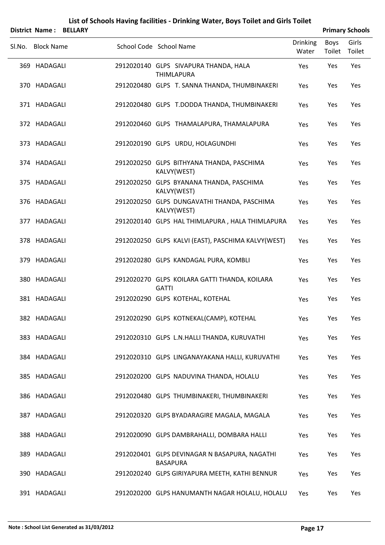|        | District Name:               | <b>BELLARY</b> |                         |                 |                                                                                                        |                          |                       | <b>Primary Schools</b> |
|--------|------------------------------|----------------|-------------------------|-----------------|--------------------------------------------------------------------------------------------------------|--------------------------|-----------------------|------------------------|
| Sl.No. | <b>Block Name</b>            |                | School Code School Name |                 |                                                                                                        | <b>Drinking</b><br>Water | <b>Boys</b><br>Toilet | Girls<br>Toilet        |
|        | 369 HADAGALI                 |                |                         |                 | 2912020140 GLPS SIVAPURA THANDA, HALA<br><b>THIMLAPURA</b>                                             | Yes                      | Yes                   | Yes                    |
|        | 370 HADAGALI                 |                |                         |                 | 2912020480 GLPS T. SANNA THANDA, THUMBINAKERI                                                          | Yes                      | Yes                   | Yes                    |
|        | 371 HADAGALI                 |                |                         |                 | 2912020480 GLPS T.DODDA THANDA, THUMBINAKERI                                                           | Yes                      | Yes                   | Yes                    |
|        | 372 HADAGALI                 |                |                         |                 | 2912020460 GLPS THAMALAPURA, THAMALAPURA                                                               | Yes                      | Yes                   | Yes                    |
|        | 373 HADAGALI                 |                |                         |                 | 2912020190 GLPS URDU, HOLAGUNDHI                                                                       | Yes                      | Yes                   | Yes                    |
|        | 374 HADAGALI                 |                |                         |                 | 2912020250 GLPS BITHYANA THANDA, PASCHIMA<br>KALVY(WEST)                                               | Yes                      | Yes                   | Yes                    |
|        | 375 HADAGALI                 |                |                         |                 | 2912020250 GLPS BYANANA THANDA, PASCHIMA<br>KALVY(WEST)                                                | Yes                      | Yes                   | Yes                    |
|        | 376 HADAGALI                 |                |                         |                 | 2912020250 GLPS DUNGAVATHI THANDA, PASCHIMA<br>KALVY(WEST)                                             | Yes                      | Yes                   | Yes                    |
|        | 377 HADAGALI<br>378 HADAGALI |                |                         |                 | 2912020140 GLPS HAL THIMLAPURA, HALA THIMLAPURA<br>2912020250 GLPS KALVI (EAST), PASCHIMA KALVY (WEST) | Yes                      | Yes                   | Yes<br>Yes             |
|        | 379 HADAGALI                 |                |                         |                 | 2912020280 GLPS KANDAGAL PURA, KOMBLI                                                                  | Yes<br>Yes               | Yes<br>Yes            | Yes                    |
|        | 380 HADAGALI                 |                |                         |                 | 2912020270 GLPS KOILARA GATTI THANDA, KOILARA                                                          | Yes                      | Yes                   | Yes                    |
|        | 381 HADAGALI                 |                |                         | <b>GATTI</b>    | 2912020290 GLPS KOTEHAL, KOTEHAL                                                                       | Yes                      | Yes                   | Yes                    |
|        | 382 HADAGALI                 |                |                         |                 | 2912020290 GLPS KOTNEKAL(CAMP), KOTEHAL                                                                | Yes                      | Yes                   | Yes                    |
|        | 383 HADAGALI                 |                |                         |                 | 2912020310 GLPS L.N.HALLI THANDA, KURUVATHI                                                            | Yes                      | Yes                   | Yes                    |
|        | 384 HADAGALI                 |                |                         |                 | 2912020310 GLPS LINGANAYAKANA HALLI, KURUVATHI                                                         | Yes                      | Yes                   | Yes                    |
|        | 385 HADAGALI                 |                |                         |                 | 2912020200 GLPS NADUVINA THANDA, HOLALU                                                                | Yes                      | Yes                   | Yes                    |
|        | 386 HADAGALI                 |                |                         |                 | 2912020480 GLPS THUMBINAKERI, THUMBINAKERI                                                             | Yes                      | Yes                   | Yes                    |
|        | 387 HADAGALI                 |                |                         |                 | 2912020320 GLPS BYADARAGIRE MAGALA, MAGALA                                                             | Yes                      | Yes                   | Yes                    |
|        | 388 HADAGALI                 |                |                         |                 | 2912020090 GLPS DAMBRAHALLI, DOMBARA HALLI                                                             | Yes                      | Yes                   | Yes                    |
|        | 389 HADAGALI                 |                |                         | <b>BASAPURA</b> | 2912020401 GLPS DEVINAGAR N BASAPURA, NAGATHI                                                          | Yes                      | Yes                   | Yes                    |
|        | 390 HADAGALI                 |                |                         |                 | 2912020240 GLPS GIRIYAPURA MEETH, KATHI BENNUR                                                         | Yes                      | Yes                   | Yes                    |
|        |                              |                |                         |                 |                                                                                                        |                          |                       |                        |

391 HADAGALI 2912020200 GLPS HANUMANTH NAGAR HOLALU, HOLALU Yes Yes Yes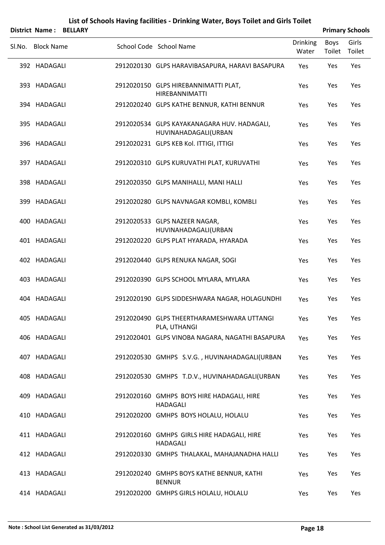|        | <b>District Name: BELLARY</b> |  |                                                                     |                          |                | <b>Primary Schools</b> |
|--------|-------------------------------|--|---------------------------------------------------------------------|--------------------------|----------------|------------------------|
| SI.No. | <b>Block Name</b>             |  | School Code School Name                                             | <b>Drinking</b><br>Water | Boys<br>Toilet | Girls<br>Toilet        |
|        | 392 HADAGALI                  |  | 2912020130 GLPS HARAVIBASAPURA, HARAVI BASAPURA                     | Yes                      | Yes            | Yes                    |
|        | 393 HADAGALI                  |  | 2912020150 GLPS HIREBANNIMATTI PLAT,<br><b>HIREBANNIMATTI</b>       | Yes                      | Yes            | Yes                    |
|        | 394 HADAGALI                  |  | 2912020240 GLPS KATHE BENNUR, KATHI BENNUR                          | Yes                      | Yes            | Yes                    |
|        | 395 HADAGALI                  |  | 2912020534 GLPS KAYAKANAGARA HUV. HADAGALI,<br>HUVINAHADAGALI(URBAN | Yes                      | Yes            | Yes                    |
|        | 396 HADAGALI                  |  | 2912020231 GLPS KEB Kol. ITTIGI, ITTIGI                             | Yes                      | Yes            | Yes                    |
|        | 397 HADAGALI                  |  | 2912020310 GLPS KURUVATHI PLAT, KURUVATHI                           | Yes                      | Yes            | Yes                    |
|        | 398 HADAGALI                  |  | 2912020350 GLPS MANIHALLI, MANI HALLI                               | Yes                      | Yes            | Yes                    |
|        | 399 HADAGALI                  |  | 2912020280 GLPS NAVNAGAR KOMBLI, KOMBLI                             | Yes                      | Yes            | Yes                    |
|        | 400 HADAGALI                  |  | 2912020533 GLPS NAZEER NAGAR,<br>HUVINAHADAGALI(URBAN               | Yes                      | Yes            | Yes                    |
|        | 401 HADAGALI                  |  | 2912020220 GLPS PLAT HYARADA, HYARADA                               | Yes                      | Yes            | Yes                    |
|        | 402 HADAGALI                  |  | 2912020440 GLPS RENUKA NAGAR, SOGI                                  | Yes                      | Yes            | Yes                    |
|        | 403 HADAGALI                  |  | 2912020390 GLPS SCHOOL MYLARA, MYLARA                               | Yes                      | Yes            | Yes                    |
| 404    | HADAGALI                      |  | 2912020190 GLPS SIDDESHWARA NAGAR, HOLAGUNDHI                       | Yes                      | Yes            | Yes                    |
|        | 405 HADAGALI                  |  | 2912020490 GLPS THEERTHARAMESHWARA UTTANGI<br>PLA, UTHANGI          | Yes                      | Yes            | Yes                    |
|        | 406 HADAGALI                  |  | 2912020401 GLPS VINOBA NAGARA, NAGATHI BASAPURA                     | Yes                      | Yes            | Yes                    |
|        | 407 HADAGALI                  |  | 2912020530 GMHPS S.V.G., HUVINAHADAGALI(URBAN                       | Yes                      | Yes            | Yes                    |
|        | 408 HADAGALI                  |  | 2912020530 GMHPS T.D.V., HUVINAHADAGALI(URBAN                       | Yes                      | Yes            | Yes                    |
|        | 409 HADAGALI                  |  | 2912020160 GMHPS BOYS HIRE HADAGALI, HIRE<br><b>HADAGALI</b>        | Yes                      | Yes            | Yes                    |
|        | 410 HADAGALI                  |  | 2912020200 GMHPS BOYS HOLALU, HOLALU                                | Yes                      | Yes            | Yes                    |
|        | 411 HADAGALI                  |  | 2912020160 GMHPS GIRLS HIRE HADAGALI, HIRE<br><b>HADAGALI</b>       | Yes                      | Yes            | Yes                    |
|        | 412 HADAGALI                  |  | 2912020330 GMHPS THALAKAL, MAHAJANADHA HALLI                        | Yes                      | Yes            | Yes                    |
|        | 413 HADAGALI                  |  | 2912020240 GMHPS BOYS KATHE BENNUR, KATHI<br><b>BENNUR</b>          | Yes                      | Yes            | Yes                    |
|        | 414 HADAGALI                  |  | 2912020200 GMHPS GIRLS HOLALU, HOLALU                               | Yes                      | Yes            | Yes                    |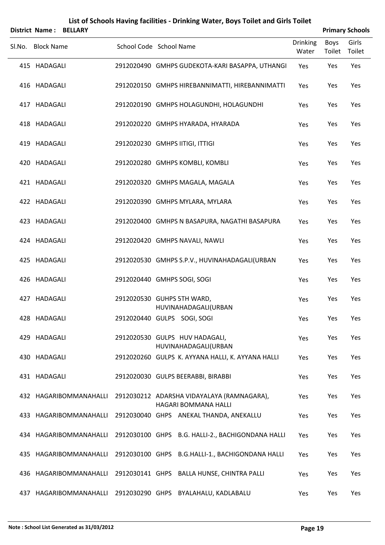|        | District Name:    | <b>BELLARY</b>         |                                 |                                                                    |                          | <b>Primary Schools</b> |                 |  |
|--------|-------------------|------------------------|---------------------------------|--------------------------------------------------------------------|--------------------------|------------------------|-----------------|--|
| Sl.No. | <b>Block Name</b> |                        | School Code School Name         |                                                                    | <b>Drinking</b><br>Water | <b>Boys</b><br>Toilet  | Girls<br>Toilet |  |
|        | 415 HADAGALI      |                        |                                 | 2912020490 GMHPS GUDEKOTA-KARI BASAPPA, UTHANGI                    | Yes                      | Yes                    | Yes             |  |
|        | 416 HADAGALI      |                        |                                 | 2912020150 GMHPS HIREBANNIMATTI, HIREBANNIMATTI                    | Yes                      | Yes                    | Yes             |  |
|        | 417 HADAGALI      |                        |                                 | 2912020190 GMHPS HOLAGUNDHI, HOLAGUNDHI                            | Yes                      | Yes                    | Yes             |  |
|        | 418 HADAGALI      |                        |                                 | 2912020220 GMHPS HYARADA, HYARADA                                  | Yes                      | Yes                    | Yes             |  |
|        | 419 HADAGALI      |                        | 2912020230 GMHPS IITIGI, ITTIGI |                                                                    | Yes                      | Yes                    | Yes             |  |
|        | 420 HADAGALI      |                        |                                 | 2912020280 GMHPS KOMBLI, KOMBLI                                    | Yes                      | Yes                    | Yes             |  |
|        | 421 HADAGALI      |                        |                                 | 2912020320 GMHPS MAGALA, MAGALA                                    | Yes                      | Yes                    | Yes             |  |
|        | 422 HADAGALI      |                        |                                 | 2912020390 GMHPS MYLARA, MYLARA                                    | Yes                      | Yes                    | Yes             |  |
|        | 423 HADAGALI      |                        |                                 | 2912020400 GMHPS N BASAPURA, NAGATHI BASAPURA                      | Yes                      | Yes                    | Yes             |  |
|        | 424 HADAGALI      |                        |                                 | 2912020420 GMHPS NAVALI, NAWLI                                     | Yes                      | Yes                    | Yes             |  |
|        | 425 HADAGALI      |                        |                                 | 2912020530 GMHPS S.P.V., HUVINAHADAGALI(URBAN                      | Yes                      | Yes                    | Yes             |  |
|        | 426 HADAGALI      |                        | 2912020440 GMHPS SOGI, SOGI     |                                                                    | Yes                      | Yes                    | Yes             |  |
|        | 427 HADAGALI      |                        | 2912020530 GUHPS 5TH WARD,      | HUVINAHADAGALI(URBAN                                               | Yes                      | Yes                    | Yes             |  |
|        | 428 HADAGALI      |                        | 2912020440 GULPS SOGI, SOGI     |                                                                    | Yes                      | Yes                    | Yes             |  |
|        | 429 HADAGALI      |                        |                                 | 2912020530 GULPS HUV HADAGALI,<br>HUVINAHADAGALI(URBAN             | Yes                      | Yes                    | Yes             |  |
|        | 430 HADAGALI      |                        |                                 | 2912020260 GULPS K. AYYANA HALLI, K. AYYANA HALLI                  | Yes                      | Yes                    | Yes             |  |
|        | 431 HADAGALI      |                        |                                 | 2912020030 GULPS BEERABBI, BIRABBI                                 | Yes                      | Yes                    | Yes             |  |
|        |                   | 432 HAGARIBOMMANAHALLI |                                 | 2912030212 ADARSHA VIDAYALAYA (RAMNAGARA),<br>HAGARI BOMMANA HALLI | Yes                      | Yes                    | Yes             |  |
|        |                   | 433 HAGARIBOMMANAHALLI |                                 | 2912030040 GHPS ANEKAL THANDA, ANEKALLU                            | Yes                      | Yes                    | Yes             |  |
|        |                   | 434 HAGARIBOMMANAHALLI |                                 | 2912030100 GHPS B.G. HALLI-2., BACHIGONDANA HALLI                  | Yes                      | Yes                    | Yes             |  |
|        |                   | 435 HAGARIBOMMANAHALLI |                                 | 2912030100 GHPS B.G.HALLI-1., BACHIGONDANA HALLI                   | Yes                      | Yes                    | Yes             |  |
|        |                   | 436 HAGARIBOMMANAHALLI |                                 | 2912030141 GHPS BALLA HUNSE, CHINTRA PALLI                         | Yes                      | Yes                    | Yes             |  |
|        |                   | 437 HAGARIBOMMANAHALLI |                                 | 2912030290 GHPS BYALAHALU, KADLABALU                               | Yes                      | Yes                    | Yes             |  |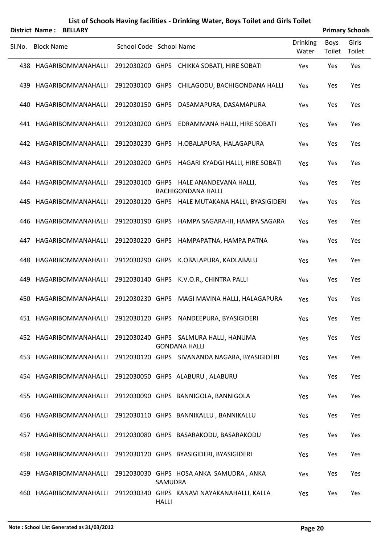|        | <b>District Name: BELLARY</b> |                         |              |                                                                     |                          |                | <b>Primary Schools</b> |
|--------|-------------------------------|-------------------------|--------------|---------------------------------------------------------------------|--------------------------|----------------|------------------------|
| SI.No. | <b>Block Name</b>             | School Code School Name |              |                                                                     | <b>Drinking</b><br>Water | Boys<br>Toilet | Girls<br>Toilet        |
|        | 438 HAGARIBOMMANAHALLI        |                         |              | 2912030200 GHPS CHIKKA SOBATI, HIRE SOBATI                          | Yes                      | Yes            | Yes                    |
| 439    | HAGARIBOMMANAHALLI            |                         |              | 2912030100 GHPS CHILAGODU, BACHIGONDANA HALLI                       | Yes                      | Yes            | Yes                    |
|        | 440 HAGARIBOMMANAHALLI        |                         |              | 2912030150 GHPS DASAMAPURA, DASAMAPURA                              | Yes                      | Yes            | Yes                    |
|        | 441 HAGARIBOMMANAHALLI        |                         |              | 2912030200 GHPS EDRAMMANA HALLI, HIRE SOBATI                        | Yes                      | Yes            | Yes                    |
|        | 442 HAGARIBOMMANAHALLI        |                         |              | 2912030230 GHPS H.OBALAPURA, HALAGAPURA                             | Yes                      | Yes            | Yes                    |
| 443.   | HAGARIBOMMANAHALLI            |                         |              | 2912030200 GHPS HAGARI KYADGI HALLI, HIRE SOBATI                    | Yes                      | Yes            | Yes                    |
|        | 444 HAGARIBOMMANAHALLI        |                         |              | 2912030100 GHPS HALE ANANDEVANA HALLI,<br><b>BACHIGONDANA HALLI</b> | Yes                      | Yes            | Yes                    |
| 445.   | HAGARIBOMMANAHALLI            |                         |              | 2912030120 GHPS HALE MUTAKANA HALLI, BYASIGIDERI                    | Yes                      | Yes            | Yes                    |
|        | 446 HAGARIBOMMANAHALLI        |                         |              | 2912030190 GHPS HAMPA SAGARA-III, HAMPA SAGARA                      | Yes                      | Yes            | Yes                    |
| 447    | HAGARIBOMMANAHALLI            |                         |              | 2912030220 GHPS HAMPAPATNA, HAMPA PATNA                             | Yes                      | Yes            | Yes                    |
| 448.   | HAGARIBOMMANAHALLI            |                         |              | 2912030290 GHPS K.OBALAPURA, KADLABALU                              | Yes                      | Yes            | Yes                    |
| 449    | HAGARIBOMMANAHALLI            |                         |              | 2912030140 GHPS K.V.O.R., CHINTRA PALLI                             | Yes                      | Yes            | Yes                    |
|        | 450 HAGARIBOMMANAHALLI        |                         |              | 2912030230 GHPS MAGI MAVINA HALLI, HALAGAPURA                       | Yes                      | Yes            | Yes                    |
|        |                               |                         |              | 451 HAGARIBOMMANAHALLI 2912030120 GHPS NANDEEPURA, BYASIGIDERI      | Yes                      | Yes            | Yes                    |
|        | 452 HAGARIBOMMANAHALLI        |                         |              | 2912030240 GHPS SALMURA HALLI, HANUMA<br><b>GONDANA HALLI</b>       | Yes                      | Yes            | Yes                    |
|        | 453 HAGARIBOMMANAHALLI        |                         |              | 2912030120 GHPS SIVANANDA NAGARA, BYASIGIDERI                       | Yes                      | Yes            | Yes                    |
|        | 454 HAGARIBOMMANAHALLI        |                         |              | 2912030050 GHPS ALABURU, ALABURU                                    | Yes                      | Yes            | Yes                    |
|        | 455 HAGARIBOMMANAHALLI        |                         |              | 2912030090 GHPS BANNIGOLA, BANNIGOLA                                | Yes                      | Yes            | Yes                    |
|        | 456 HAGARIBOMMANAHALLI        |                         |              | 2912030110 GHPS BANNIKALLU, BANNIKALLU                              | Yes                      | Yes            | Yes                    |
|        | 457 HAGARIBOMMANAHALLI        |                         |              | 2912030080 GHPS BASARAKODU, BASARAKODU                              | Yes                      | Yes            | Yes                    |
|        | 458 HAGARIBOMMANAHALLI        |                         |              | 2912030120 GHPS BYASIGIDERI, BYASIGIDERI                            | Yes                      | Yes            | Yes                    |
|        | 459 HAGARIBOMMANAHALLI        |                         | SAMUDRA      | 2912030030 GHPS HOSA ANKA SAMUDRA, ANKA                             | Yes                      | Yes            | Yes                    |
|        | 460 HAGARIBOMMANAHALLI        |                         | <b>HALLI</b> | 2912030340 GHPS KANAVI NAYAKANAHALLI, KALLA                         | Yes                      | Yes            | Yes                    |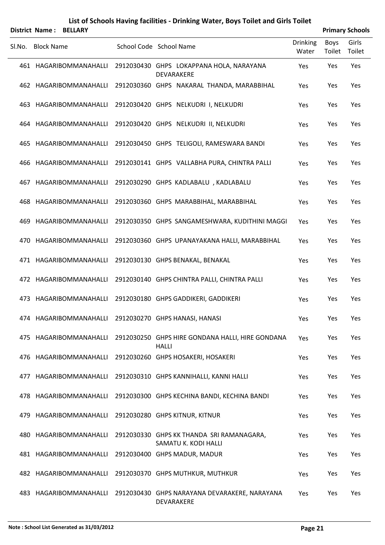| List of Schools Having facilities - Drinking Water, Boys Toilet and Girls Toilet |
|----------------------------------------------------------------------------------|
|----------------------------------------------------------------------------------|

|        |                   | <b>District Name: BELLARY</b> |                                                                   |                   |                | <b>Primary Schools</b> |
|--------|-------------------|-------------------------------|-------------------------------------------------------------------|-------------------|----------------|------------------------|
| Sl.No. | <b>Block Name</b> |                               | School Code School Name                                           | Drinking<br>Water | Boys<br>Toilet | Girls<br>Toilet        |
|        |                   | 461 HAGARIBOMMANAHALLI        | 2912030430 GHPS LOKAPPANA HOLA, NARAYANA<br>DEVARAKERE            | Yes               | Yes            | Yes                    |
|        |                   | 462 HAGARIBOMMANAHALLI        | 2912030360 GHPS NAKARAL THANDA, MARABBIHAL                        | Yes               | Yes            | Yes                    |
|        |                   | 463 HAGARIBOMMANAHALLI        | 2912030420 GHPS NELKUDRI I, NELKUDRI                              | Yes               | Yes            | Yes                    |
|        |                   | 464 HAGARIBOMMANAHALLI        | 2912030420 GHPS NELKUDRI II, NELKUDRI                             | Yes               | Yes            | Yes                    |
|        |                   | 465 HAGARIBOMMANAHALLI        | 2912030450 GHPS TELIGOLI, RAMESWARA BANDI                         | Yes               | Yes            | Yes                    |
|        |                   | 466 HAGARIBOMMANAHALLI        | 2912030141 GHPS VALLABHA PURA, CHINTRA PALLI                      | Yes               | Yes            | Yes                    |
|        |                   | 467 HAGARIBOMMANAHALLI        | 2912030290 GHPS KADLABALU, KADLABALU                              | Yes               | Yes            | Yes                    |
|        |                   | 468 HAGARIBOMMANAHALLI        | 2912030360 GHPS MARABBIHAL, MARABBIHAL                            | Yes               | Yes            | Yes                    |
|        |                   | 469 HAGARIBOMMANAHALLI        | 2912030350 GHPS SANGAMESHWARA, KUDITHINI MAGGI                    | Yes               | Yes            | Yes                    |
|        |                   | 470 HAGARIBOMMANAHALLI        | 2912030360 GHPS UPANAYAKANA HALLI, MARABBIHAL                     | Yes               | Yes            | Yes                    |
|        |                   | 471 HAGARIBOMMANAHALLI        | 2912030130 GHPS BENAKAL, BENAKAL                                  | Yes               | Yes            | Yes                    |
|        |                   | 472 HAGARIBOMMANAHALLI        | 2912030140 GHPS CHINTRA PALLI, CHINTRA PALLI                      | Yes               | Yes            | Yes                    |
|        |                   | 473 HAGARIBOMMANAHALLI        | 2912030180 GHPS GADDIKERI, GADDIKERI                              | Yes               | Yes            | Yes                    |
|        |                   |                               | 474 HAGARIBOMMANAHALLI 2912030270 GHPS HANASI, HANASI             | Yes               | Yes            | Yes                    |
|        |                   | 475 HAGARIBOMMANAHALLI        | 2912030250 GHPS HIRE GONDANA HALLI, HIRE GONDANA<br><b>HALLI</b>  | Yes               | Yes            | Yes                    |
|        |                   | 476 HAGARIBOMMANAHALLI        | 2912030260 GHPS HOSAKERI, HOSAKERI                                | Yes               | Yes            | Yes                    |
|        |                   | 477 HAGARIBOMMANAHALLI        | 2912030310 GHPS KANNIHALLI, KANNI HALLI                           | Yes               | Yes            | Yes                    |
|        |                   | 478 HAGARIBOMMANAHALLI        | 2912030300 GHPS KECHINA BANDI, KECHINA BANDI                      | Yes               | Yes            | Yes                    |
|        |                   | 479 HAGARIBOMMANAHALLI        | 2912030280 GHPS KITNUR, KITNUR                                    | Yes               | Yes            | Yes                    |
|        |                   | 480 HAGARIBOMMANAHALLI        | 2912030330 GHPS KK THANDA SRI RAMANAGARA,<br>SAMATU K. KODI HALLI | Yes               | Yes            | Yes                    |
|        |                   | 481 HAGARIBOMMANAHALLI        | 2912030400 GHPS MADUR, MADUR                                      | Yes               | Yes            | Yes                    |
|        |                   | 482 HAGARIBOMMANAHALLI        | 2912030370 GHPS MUTHKUR, MUTHKUR                                  | Yes               | Yes            | Yes                    |
|        |                   | 483 HAGARIBOMMANAHALLI        | 2912030430 GHPS NARAYANA DEVARAKERE, NARAYANA<br>DEVARAKERE       | Yes               | Yes            | Yes                    |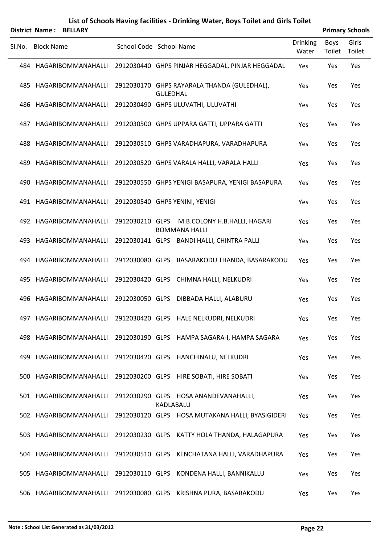|        |                   | <b>District Name: BELLARY</b> |                         |                 |                                                                      |                          |                | <b>Primary Schools</b> |
|--------|-------------------|-------------------------------|-------------------------|-----------------|----------------------------------------------------------------------|--------------------------|----------------|------------------------|
| SI.No. | <b>Block Name</b> |                               | School Code School Name |                 |                                                                      | <b>Drinking</b><br>Water | Boys<br>Toilet | Girls<br>Toilet        |
|        |                   | 484 HAGARIBOMMANAHALLI        |                         |                 | 2912030440 GHPS PINJAR HEGGADAL, PINJAR HEGGADAL                     | Yes                      | Yes            | Yes                    |
| 485    |                   | HAGARIBOMMANAHALLI            |                         | <b>GULEDHAL</b> | 2912030170 GHPS RAYARALA THANDA (GULEDHAL),                          | Yes                      | Yes            | Yes                    |
|        |                   | 486 HAGARIBOMMANAHALLI        |                         |                 | 2912030490 GHPS ULUVATHI, ULUVATHI                                   | Yes                      | Yes            | Yes                    |
| 487    |                   | HAGARIBOMMANAHALLI            |                         |                 | 2912030500 GHPS UPPARA GATTI, UPPARA GATTI                           | Yes                      | Yes            | Yes                    |
|        |                   | 488 HAGARIBOMMANAHALLI        |                         |                 | 2912030510 GHPS VARADHAPURA, VARADHAPURA                             | Yes                      | Yes            | Yes                    |
| 489    |                   | HAGARIBOMMANAHALLI            |                         |                 | 2912030520 GHPS VARALA HALLI, VARALA HALLI                           | Yes                      | Yes            | Yes                    |
|        |                   | 490 HAGARIBOMMANAHALLI        |                         |                 | 2912030550 GHPS YENIGI BASAPURA, YENIGI BASAPURA                     | Yes                      | Yes            | Yes                    |
|        |                   | 491 HAGARIBOMMANAHALLI        |                         |                 | 2912030540 GHPS YENINI, YENIGI                                       | Yes                      | Yes            | Yes                    |
|        |                   | 492 HAGARIBOMMANAHALLI        |                         |                 | 2912030210 GLPS M.B.COLONY H.B.HALLI, HAGARI<br><b>BOMMANA HALLI</b> | Yes                      | Yes            | Yes                    |
| 493    |                   | HAGARIBOMMANAHALLI            |                         |                 | 2912030141 GLPS BANDI HALLI, CHINTRA PALLI                           | Yes                      | Yes            | Yes                    |
|        |                   | 494 HAGARIBOMMANAHALLI        |                         |                 | 2912030080 GLPS BASARAKODU THANDA, BASARAKODU                        | Yes                      | Yes            | Yes                    |
| 495    |                   | HAGARIBOMMANAHALLI            |                         |                 | 2912030420 GLPS CHIMNA HALLI, NELKUDRI                               | Yes                      | Yes            | Yes                    |
|        |                   | 496 HAGARIBOMMANAHALLI        |                         |                 | 2912030050 GLPS DIBBADA HALLI, ALABURU                               | Yes                      | Yes            | Yes                    |
|        |                   |                               |                         |                 | 497 HAGARIBOMMANAHALLI 2912030420 GLPS HALE NELKUDRI, NELKUDRI       | Yes                      | Yes            | Yes                    |
|        |                   | 498 HAGARIBOMMANAHALLI        |                         |                 | 2912030190 GLPS HAMPA SAGARA-I, HAMPA SAGARA                         | Yes                      | Yes            | Yes                    |
|        |                   | 499 HAGARIBOMMANAHALLI        |                         |                 | 2912030420 GLPS HANCHINALU, NELKUDRI                                 | Yes                      | Yes            | Yes                    |
|        |                   | 500 HAGARIBOMMANAHALLI        |                         |                 | 2912030200 GLPS HIRE SOBATI, HIRE SOBATI                             | Yes                      | Yes            | Yes                    |
|        |                   | 501 HAGARIBOMMANAHALLI        |                         | KADLABALU       | 2912030290 GLPS HOSA ANANDEVANAHALLI,                                | Yes                      | Yes            | Yes                    |
|        |                   | 502 HAGARIBOMMANAHALLI        |                         |                 | 2912030120 GLPS HOSA MUTAKANA HALLI, BYASIGIDERI                     | Yes                      | Yes            | Yes                    |
|        |                   | 503 HAGARIBOMMANAHALLI        |                         |                 | 2912030230 GLPS KATTY HOLA THANDA, HALAGAPURA                        | Yes                      | Yes            | Yes                    |
|        |                   | 504 HAGARIBOMMANAHALLI        |                         |                 | 2912030510 GLPS KENCHATANA HALLI, VARADHAPURA                        | Yes                      | Yes            | Yes                    |
|        |                   | 505 HAGARIBOMMANAHALLI        |                         |                 | 2912030110 GLPS KONDENA HALLI, BANNIKALLU                            | Yes                      | Yes            | Yes                    |
|        |                   | 506 HAGARIBOMMANAHALLI        |                         |                 | 2912030080 GLPS KRISHNA PURA, BASARAKODU                             | Yes                      | Yes            | Yes                    |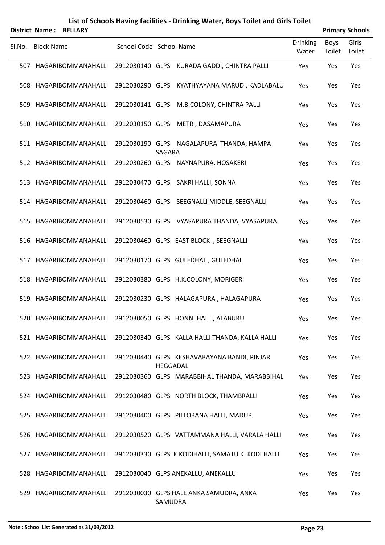|     | District Name: BELLARY |                         |         |                                                                |                          |                | <b>Primary Schools</b> |
|-----|------------------------|-------------------------|---------|----------------------------------------------------------------|--------------------------|----------------|------------------------|
|     | SI.No. Block Name      | School Code School Name |         |                                                                | <b>Drinking</b><br>Water | Boys<br>Toilet | Girls<br>Toilet        |
|     | 507 HAGARIBOMMANAHALLI |                         |         | 2912030140 GLPS KURADA GADDI, CHINTRA PALLI                    | Yes                      | Yes            | Yes                    |
|     | 508 HAGARIBOMMANAHALLI | 2912030290 GLPS         |         | KYATHYAYANA MARUDI, KADLABALU                                  | Yes                      | Yes            | Yes                    |
|     | 509 HAGARIBOMMANAHALLI |                         |         | 2912030141 GLPS M.B.COLONY, CHINTRA PALLI                      | Yes                      | Yes            | Yes                    |
| 510 | HAGARIBOMMANAHALLI     | 2912030150 GLPS         |         | METRI, DASAMAPURA                                              | Yes                      | Yes            | Yes                    |
|     | 511 HAGARIBOMMANAHALLI |                         | SAGARA  | 2912030190 GLPS NAGALAPURA THANDA, HAMPA                       | Yes                      | Yes            | Yes                    |
|     | 512 HAGARIBOMMANAHALLI |                         |         | 2912030260 GLPS NAYNAPURA, HOSAKERI                            | Yes                      | Yes            | Yes                    |
|     | 513 HAGARIBOMMANAHALLI |                         |         | 2912030470 GLPS SAKRI HALLI, SONNA                             | Yes                      | Yes            | Yes                    |
|     | 514 HAGARIBOMMANAHALLI |                         |         | 2912030460 GLPS SEEGNALLI MIDDLE, SEEGNALLI                    | Yes                      | Yes            | Yes                    |
|     | 515 HAGARIBOMMANAHALLI |                         |         | 2912030530 GLPS VYASAPURA THANDA, VYASAPURA                    | Yes                      | Yes            | Yes                    |
|     | 516 HAGARIBOMMANAHALLI |                         |         | 2912030460 GLPS EAST BLOCK, SEEGNALLI                          | Yes                      | Yes            | Yes                    |
|     | 517 HAGARIBOMMANAHALLI |                         |         | 2912030170 GLPS GULEDHAL, GULEDHAL                             | Yes                      | Yes            | Yes                    |
|     | 518 HAGARIBOMMANAHALLI |                         |         | 2912030380 GLPS H.K.COLONY, MORIGERI                           | Yes                      | Yes            | Yes                    |
| 519 | HAGARIBOMMANAHALLI     |                         |         | 2912030230 GLPS HALAGAPURA, HALAGAPURA                         | Yes                      | Yes            | Yes                    |
|     |                        |                         |         | 520 HAGARIBOMMANAHALLI 2912030050 GLPS HONNI HALLI, ALABURU    | Yes                      | Yes            | Yes                    |
|     | 521 HAGARIBOMMANAHALLI |                         |         | 2912030340 GLPS KALLA HALLI THANDA, KALLA HALLI                | Yes                      | Yes            | Yes                    |
|     | 522 HAGARIBOMMANAHALLI |                         |         | 2912030440 GLPS KESHAVARAYANA BANDI, PINJAR<br><b>HEGGADAL</b> | Yes                      | Yes            | Yes                    |
|     | 523 HAGARIBOMMANAHALLI |                         |         | 2912030360 GLPS MARABBIHAL THANDA, MARABBIHAL                  | Yes                      | Yes            | Yes                    |
|     | 524 HAGARIBOMMANAHALLI |                         |         | 2912030480 GLPS NORTH BLOCK, THAMBRALLI                        | Yes                      | Yes            | Yes                    |
|     | 525 HAGARIBOMMANAHALLI |                         |         | 2912030400 GLPS PILLOBANA HALLI, MADUR                         | Yes                      | Yes            | Yes                    |
|     | 526 HAGARIBOMMANAHALLI |                         |         | 2912030520 GLPS VATTAMMANA HALLI, VARALA HALLI                 | Yes                      | Yes            | Yes                    |
| 527 | HAGARIBOMMANAHALLI     |                         |         | 2912030330 GLPS K.KODIHALLI, SAMATU K. KODI HALLI              | Yes                      | Yes            | Yes                    |
|     | 528 HAGARIBOMMANAHALLI |                         |         | 2912030040 GLPS ANEKALLU, ANEKALLU                             | Yes                      | Yes            | Yes                    |
| 529 | HAGARIBOMMANAHALLI     |                         | SAMUDRA | 2912030030 GLPS HALE ANKA SAMUDRA, ANKA                        | Yes                      | Yes            | Yes                    |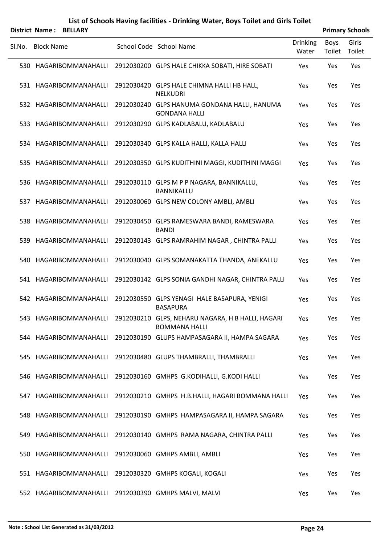|        | District Name:    | <b>BELLARY</b>         |                                                                                                  |                   |                | <b>Primary Schools</b> |  |  |
|--------|-------------------|------------------------|--------------------------------------------------------------------------------------------------|-------------------|----------------|------------------------|--|--|
| SI.No. | <b>Block Name</b> |                        | School Code School Name                                                                          | Drinking<br>Water | Boys<br>Toilet | Girls<br>Toilet        |  |  |
|        |                   | 530 HAGARIBOMMANAHALLI | 2912030200 GLPS HALE CHIKKA SOBATI, HIRE SOBATI                                                  | Yes               | Yes            | Yes                    |  |  |
|        |                   | 531 HAGARIBOMMANAHALLI | 2912030420 GLPS HALE CHIMNA HALLI HB HALL,<br><b>NELKUDRI</b>                                    | Yes               | Yes            | Yes                    |  |  |
|        |                   | 532 HAGARIBOMMANAHALLI | 2912030240 GLPS HANUMA GONDANA HALLI, HANUMA<br><b>GONDANA HALLI</b>                             | Yes               | Yes            | Yes                    |  |  |
| 533.   |                   | HAGARIBOMMANAHALLI     | 2912030290 GLPS KADLABALU, KADLABALU                                                             | Yes               | Yes            | Yes                    |  |  |
|        |                   | 534 HAGARIBOMMANAHALLI | 2912030340 GLPS KALLA HALLI, KALLA HALLI                                                         | Yes               | Yes            | Yes                    |  |  |
| 535.   |                   | HAGARIBOMMANAHALLI     | 2912030350 GLPS KUDITHINI MAGGI, KUDITHINI MAGGI                                                 | Yes               | Yes            | Yes                    |  |  |
|        |                   | 536 HAGARIBOMMANAHALLI | 2912030110 GLPS M P P NAGARA, BANNIKALLU,<br>BANNIKALLU                                          | Yes               | Yes            | Yes                    |  |  |
|        |                   | 537 HAGARIBOMMANAHALLI | 2912030060 GLPS NEW COLONY AMBLI, AMBLI                                                          | Yes               | Yes            | Yes                    |  |  |
|        |                   | 538 HAGARIBOMMANAHALLI | 2912030450 GLPS RAMESWARA BANDI, RAMESWARA<br><b>BANDI</b>                                       | Yes               | Yes            | Yes                    |  |  |
| 539.   |                   | HAGARIBOMMANAHALLI     | 2912030143 GLPS RAMRAHIM NAGAR, CHINTRA PALLI                                                    | Yes               | Yes            | Yes                    |  |  |
|        |                   | 540 HAGARIBOMMANAHALLI | 2912030040 GLPS SOMANAKATTA THANDA, ANEKALLU                                                     | Yes               | Yes            | Yes                    |  |  |
|        |                   | 541 HAGARIBOMMANAHALLI | 2912030142 GLPS SONIA GANDHI NAGAR, CHINTRA PALLI                                                | Yes               | Yes            | Yes                    |  |  |
|        |                   | 542 HAGARIBOMMANAHALLI | 2912030550 GLPS YENAGI HALE BASAPURA, YENIGI<br><b>BASAPURA</b>                                  | Yes               | Yes            | Yes                    |  |  |
|        |                   |                        | 543 HAGARIBOMMANAHALLI 2912030210 GLPS, NEHARU NAGARA, H B HALLI, HAGARI<br><b>BOMMANA HALLI</b> | Yes               | Yes            | Yes                    |  |  |
|        |                   | 544 HAGARIBOMMANAHALLI | 2912030190 GLUPS HAMPASAGARA II, HAMPA SAGARA                                                    | Yes               | Yes            | Yes                    |  |  |
|        |                   | 545 HAGARIBOMMANAHALLI | 2912030480 GLUPS THAMBRALLI, THAMBRALLI                                                          | Yes               | Yes            | Yes                    |  |  |
|        |                   | 546 HAGARIBOMMANAHALLI | 2912030160 GMHPS G.KODIHALLI, G.KODI HALLI                                                       | Yes               | Yes            | Yes                    |  |  |
|        |                   | 547 HAGARIBOMMANAHALLI | 2912030210 GMHPS H.B.HALLI, HAGARI BOMMANA HALLI                                                 | Yes               | Yes            | Yes                    |  |  |
|        |                   | 548 HAGARIBOMMANAHALLI | 2912030190 GMHPS HAMPASAGARA II, HAMPA SAGARA                                                    | Yes               | Yes            | Yes                    |  |  |
|        |                   | 549 HAGARIBOMMANAHALLI | 2912030140 GMHPS RAMA NAGARA, CHINTRA PALLI                                                      | Yes               | Yes            | Yes                    |  |  |
|        |                   | 550 HAGARIBOMMANAHALLI | 2912030060 GMHPS AMBLI, AMBLI                                                                    | Yes               | Yes            | Yes                    |  |  |
|        |                   | 551 HAGARIBOMMANAHALLI | 2912030320 GMHPS KOGALI, KOGALI                                                                  | Yes               | Yes            | Yes                    |  |  |
|        |                   | 552 HAGARIBOMMANAHALLI | 2912030390 GMHPS MALVI, MALVI                                                                    | Yes               | Yes            | Yes                    |  |  |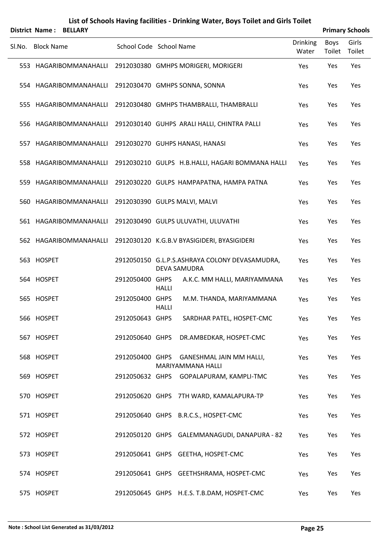| List of Schools Having facilities - Drinking Water, Boys Toilet and Girls Toilet |  |
|----------------------------------------------------------------------------------|--|
|----------------------------------------------------------------------------------|--|

|        | District Name:    | <b>BELLARY</b>         |                         |              |                                                                       |                          |                       | <b>Primary Schools</b> |
|--------|-------------------|------------------------|-------------------------|--------------|-----------------------------------------------------------------------|--------------------------|-----------------------|------------------------|
| SI.No. | <b>Block Name</b> |                        | School Code School Name |              |                                                                       | <b>Drinking</b><br>Water | <b>Boys</b><br>Toilet | Girls<br>Toilet        |
|        |                   | 553 HAGARIBOMMANAHALLI |                         |              | 2912030380 GMHPS MORIGERI, MORIGERI                                   | Yes                      | Yes                   | Yes                    |
|        |                   | 554 HAGARIBOMMANAHALLI |                         |              | 2912030470 GMHPS SONNA, SONNA                                         | Yes                      | Yes                   | Yes                    |
|        |                   | 555 HAGARIBOMMANAHALLI |                         |              | 2912030480 GMHPS THAMBRALLI, THAMBRALLI                               | Yes                      | Yes                   | Yes                    |
|        |                   | 556 HAGARIBOMMANAHALLI |                         |              | 2912030140 GUHPS ARALI HALLI, CHINTRA PALLI                           | Yes                      | Yes                   | Yes                    |
|        |                   | 557 HAGARIBOMMANAHALLI |                         |              | 2912030270 GUHPS HANASI, HANASI                                       | Yes                      | Yes                   | Yes                    |
|        |                   | 558 HAGARIBOMMANAHALLI |                         |              | 2912030210 GULPS H.B.HALLI, HAGARI BOMMANA HALLI                      | Yes                      | Yes                   | Yes                    |
|        |                   | 559 HAGARIBOMMANAHALLI |                         |              | 2912030220 GULPS HAMPAPATNA, HAMPA PATNA                              | Yes                      | Yes                   | Yes                    |
|        |                   | 560 HAGARIBOMMANAHALLI |                         |              | 2912030390 GULPS MALVI, MALVI                                         | Yes                      | Yes                   | Yes                    |
|        |                   | 561 HAGARIBOMMANAHALLI |                         |              | 2912030490 GULPS ULUVATHI, ULUVATHI                                   | Yes                      | Yes                   | Yes                    |
|        |                   | 562 HAGARIBOMMANAHALLI |                         |              | 2912030120 K.G.B.V BYASIGIDERI, BYASIGIDERI                           | Yes                      | Yes                   | Yes                    |
|        | 563 HOSPET        |                        |                         |              | 2912050150 G.L.P.S.ASHRAYA COLONY DEVASAMUDRA,<br><b>DEVA SAMUDRA</b> | Yes                      | Yes                   | Yes                    |
|        | 564 HOSPET        |                        | 2912050400 GHPS         | <b>HALLI</b> | A.K.C. MM HALLI, MARIYAMMANA                                          | Yes                      | Yes                   | Yes                    |
|        | 565 HOSPET        |                        | 2912050400 GHPS         | <b>HALLI</b> | M.M. THANDA, MARIYAMMANA                                              | Yes                      | Yes                   | Yes                    |
|        | 566 HOSPET        |                        | 2912050643 GHPS         |              | SARDHAR PATEL, HOSPET-CMC                                             | Yes                      | Yes                   | Yes                    |
|        | 567 HOSPET        |                        |                         |              | 2912050640 GHPS DR.AMBEDKAR, HOSPET-CMC                               | Yes                      | Yes                   | Yes                    |
|        | 568 HOSPET        |                        |                         |              | 2912050400 GHPS GANESHMAL JAIN MM HALLI,<br><b>MARIYAMMANA HALLI</b>  | Yes                      | Yes                   | Yes                    |
|        | 569 HOSPET        |                        |                         |              | 2912050632 GHPS GOPALAPURAM, KAMPLI-TMC                               | Yes                      | Yes                   | Yes                    |
|        | 570 HOSPET        |                        |                         |              | 2912050620 GHPS 7TH WARD, KAMALAPURA-TP                               | Yes                      | Yes                   | Yes                    |
|        | 571 HOSPET        |                        |                         |              | 2912050640 GHPS B.R.C.S., HOSPET-CMC                                  | Yes                      | Yes                   | Yes                    |
|        | 572 HOSPET        |                        |                         |              | 2912050120 GHPS GALEMMANAGUDI, DANAPURA - 82                          | Yes                      | Yes                   | Yes                    |
|        | 573 HOSPET        |                        |                         |              | 2912050641 GHPS GEETHA, HOSPET-CMC                                    | Yes                      | Yes                   | Yes                    |
|        | 574 HOSPET        |                        |                         |              | 2912050641 GHPS GEETHSHRAMA, HOSPET-CMC                               | Yes                      | Yes                   | Yes                    |
|        | 575 HOSPET        |                        |                         |              | 2912050645 GHPS H.E.S. T.B.DAM, HOSPET-CMC                            | Yes                      | Yes                   | Yes                    |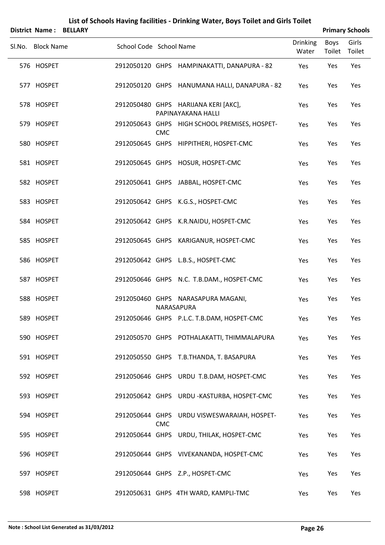|                   | <b>District Name: BELLARY</b> |                         |            |                                                            |                          |                | <b>Primary Schools</b> |
|-------------------|-------------------------------|-------------------------|------------|------------------------------------------------------------|--------------------------|----------------|------------------------|
| Sl.No. Block Name |                               | School Code School Name |            |                                                            | <b>Drinking</b><br>Water | Boys<br>Toilet | Girls<br>Toilet        |
| 576 HOSPET        |                               |                         |            | 2912050120 GHPS HAMPINAKATTI, DANAPURA - 82                | Yes                      | Yes            | Yes                    |
| 577 HOSPET        |                               |                         |            | 2912050120 GHPS HANUMANA HALLI, DANAPURA - 82              | Yes                      | Yes            | Yes                    |
| 578 HOSPET        |                               |                         |            | 2912050480 GHPS HARIJANA KERI [AKC],<br>PAPINAYAKANA HALLI | Yes                      | Yes            | Yes                    |
| 579 HOSPET        |                               |                         | <b>CMC</b> | 2912050643 GHPS HIGH SCHOOL PREMISES, HOSPET-              | Yes                      | Yes            | Yes                    |
| 580 HOSPET        |                               |                         |            | 2912050645 GHPS HIPPITHERI, HOSPET-CMC                     | Yes                      | Yes            | Yes                    |
| 581 HOSPET        |                               |                         |            | 2912050645 GHPS HOSUR, HOSPET-CMC                          | Yes                      | Yes            | Yes                    |
| 582 HOSPET        |                               |                         |            | 2912050641 GHPS JABBAL, HOSPET-CMC                         | Yes                      | Yes            | Yes                    |
| 583 HOSPET        |                               |                         |            | 2912050642 GHPS K.G.S., HOSPET-CMC                         | Yes                      | Yes            | Yes                    |
| 584 HOSPET        |                               |                         |            | 2912050642 GHPS K.R.NAIDU, HOSPET-CMC                      | Yes                      | Yes            | Yes                    |
| 585 HOSPET        |                               |                         |            | 2912050645 GHPS KARIGANUR, HOSPET-CMC                      | Yes                      | Yes            | Yes                    |
| 586 HOSPET        |                               |                         |            | 2912050642 GHPS L.B.S., HOSPET-CMC                         | Yes                      | Yes            | Yes                    |
| 587 HOSPET        |                               |                         |            | 2912050646 GHPS N.C. T.B.DAM., HOSPET-CMC                  | Yes                      | Yes            | Yes                    |
| 588 HOSPET        |                               |                         |            | 2912050460 GHPS NARASAPURA MAGANI,<br>NARASAPURA           | Yes                      | Yes            | Yes                    |
| 589 HOSPET        |                               |                         |            | 2912050646 GHPS P.L.C. T.B.DAM, HOSPET-CMC                 | Yes                      | Yes            | Yes                    |
| 590 HOSPET        |                               |                         |            | 2912050570 GHPS POTHALAKATTI, THIMMALAPURA                 | Yes                      | Yes            | Yes                    |
| 591 HOSPET        |                               |                         |            | 2912050550 GHPS T.B.THANDA, T. BASAPURA                    | Yes                      | Yes            | Yes                    |
| 592 HOSPET        |                               |                         |            | 2912050646 GHPS URDU T.B.DAM, HOSPET-CMC                   | Yes                      | Yes            | Yes                    |
| 593 HOSPET        |                               |                         |            | 2912050642 GHPS URDU-KASTURBA, HOSPET-CMC                  | Yes                      | Yes            | Yes                    |
| 594 HOSPET        |                               |                         | <b>CMC</b> | 2912050644 GHPS URDU VISWESWARAIAH, HOSPET-                | Yes                      | Yes            | Yes                    |
| 595 HOSPET        |                               |                         |            | 2912050644 GHPS URDU, THILAK, HOSPET-CMC                   | Yes                      | Yes            | Yes                    |
| 596 HOSPET        |                               |                         |            | 2912050644 GHPS VIVEKANANDA, HOSPET-CMC                    | Yes                      | Yes            | Yes                    |
| 597 HOSPET        |                               |                         |            | 2912050644 GHPS Z.P., HOSPET-CMC                           | Yes                      | Yes            | Yes                    |
| 598 HOSPET        |                               |                         |            | 2912050631 GHPS 4TH WARD, KAMPLI-TMC                       | Yes                      | Yes            | Yes                    |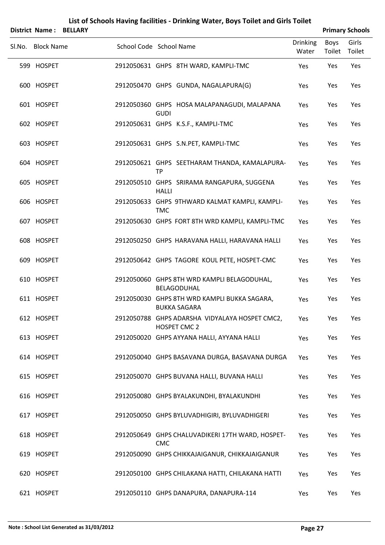| <b>District Name:</b> | <b>BELLARY</b> | List of Schools Having facilities - Drinking Water, Boys Toilet and Girls Toilet |                |                        |
|-----------------------|----------------|----------------------------------------------------------------------------------|----------------|------------------------|
|                       |                |                                                                                  |                | <b>Primary Schools</b> |
| Sl.No. Block Name     |                | <b>Drinking</b><br>School Code School Name<br>Water                              | Boys<br>Toilet | Girls<br>Toilet        |
| 599 HOSPET            |                | 2912050631 GHPS 8TH WARD, KAMPLI-TMC<br>Yes                                      | Yes            | Yes                    |
| 600 HOSPET            |                | 2912050470 GHPS GUNDA, NAGALAPURA(G)<br>Yes                                      | Yes            | Yes                    |
| 601 HOSPET            |                | 2912050360 GHPS HOSA MALAPANAGUDI, MALAPANA<br>Yes<br><b>GUDI</b>                | Yes            | Yes                    |
| 602 HOSPET            |                | 2912050631 GHPS K.S.F., KAMPLI-TMC<br>Yes                                        | Yes            | Yes                    |
| 603 HOSPET            |                | 2912050631 GHPS S.N.PET, KAMPLI-TMC<br>Yes                                       | Yes            | Yes                    |
| 604 HOSPET            |                | 2912050621 GHPS SEETHARAM THANDA, KAMALAPURA-<br>Yes<br><b>TP</b>                | Yes            | Yes                    |
| 605 HOSPET            |                | 2912050510 GHPS SRIRAMA RANGAPURA, SUGGENA<br>Yes<br><b>HALLI</b>                | Yes            | Yes                    |
| 606 HOSPET            |                | 2912050633 GHPS 9THWARD KALMAT KAMPLI, KAMPLI-<br>Yes<br><b>TMC</b>              | Yes            | Yes                    |
| 607 HOSPET            |                | 2912050630 GHPS FORT 8TH WRD KAMPLI, KAMPLI-TMC<br>Yes                           | Yes            | Yes                    |
| 608 HOSPET            |                | 2912050250 GHPS HARAVANA HALLI, HARAVANA HALLI<br>Yes                            | Yes            | Yes                    |
| 609 HOSPET            |                | 2912050642 GHPS TAGORE KOUL PETE, HOSPET-CMC<br>Yes                              | Yes            | Yes                    |
| 610 HOSPET            |                | 2912050060 GHPS 8TH WRD KAMPLI BELAGODUHAL,<br>Yes<br>BELAGODUHAL                | Yes            | Yes                    |
| 611 HOSPET            |                | 2912050030 GHPS 8TH WRD KAMPLI BUKKA SAGARA,<br>Yes<br><b>BUKKA SAGARA</b>       | Yes            | Yes                    |
| 612 HOSPET            |                | 2912050788 GHPS ADARSHA VIDYALAYA HOSPET CMC2,<br>Yes<br>HOSPET CMC 2            | Yes            | Yes                    |
| 613 HOSPET            |                | 2912050020 GHPS AYYANA HALLI, AYYANA HALLI<br>Yes                                | Yes            | Yes                    |
| 614 HOSPET            |                | 2912050040 GHPS BASAVANA DURGA, BASAVANA DURGA<br>Yes                            | Yes            | Yes                    |
| 615 HOSPET            |                | 2912050070 GHPS BUVANA HALLI, BUVANA HALLI<br>Yes                                | Yes            | Yes                    |
| 616 HOSPET            |                | 2912050080 GHPS BYALAKUNDHI, BYALAKUNDHI<br>Yes                                  | Yes            | Yes                    |
| 617 HOSPET            |                | 2912050050 GHPS BYLUVADHIGIRI, BYLUVADHIGERI<br>Yes                              | Yes            | Yes                    |
| 618 HOSPET            |                | 2912050649 GHPS CHALUVADIKERI 17TH WARD, HOSPET-<br>Yes<br><b>CMC</b>            | Yes            | Yes                    |
| 619 HOSPET            |                | 2912050090 GHPS CHIKKAJAIGANUR, CHIKKAJAIGANUR<br>Yes                            | Yes            | Yes                    |
| 620 HOSPET            |                | 2912050100 GHPS CHILAKANA HATTI, CHILAKANA HATTI<br>Yes                          | Yes            | Yes                    |
| 621 HOSPET            |                | 2912050110 GHPS DANAPURA, DANAPURA-114<br>Yes                                    | Yes            | Yes                    |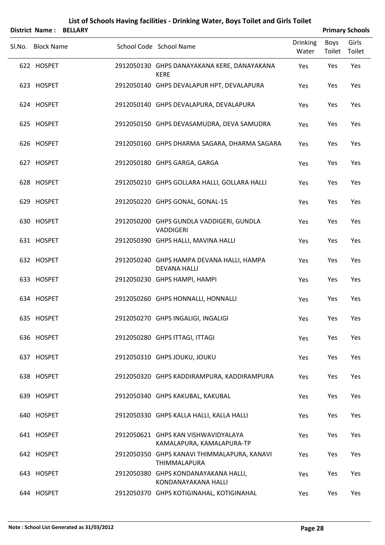|                   | District Name: BELLARY |                                                                  |                          |                | <b>Primary Schools</b> |
|-------------------|------------------------|------------------------------------------------------------------|--------------------------|----------------|------------------------|
| Sl.No. Block Name |                        | School Code School Name                                          | <b>Drinking</b><br>Water | Boys<br>Toilet | Girls<br>Toilet        |
| 622 HOSPET        |                        | 2912050130 GHPS DANAYAKANA KERE, DANAYAKANA<br><b>KERE</b>       | Yes                      | Yes            | Yes                    |
| 623 HOSPET        |                        | 2912050140 GHPS DEVALAPUR HPT, DEVALAPURA                        | Yes                      | Yes            | Yes                    |
| 624 HOSPET        |                        | 2912050140 GHPS DEVALAPURA, DEVALAPURA                           | Yes                      | Yes            | Yes                    |
| 625 HOSPET        |                        | 2912050150 GHPS DEVASAMUDRA, DEVA SAMUDRA                        | Yes                      | Yes            | Yes                    |
| 626 HOSPET        |                        | 2912050160 GHPS DHARMA SAGARA, DHARMA SAGARA                     | Yes                      | Yes            | Yes                    |
| 627 HOSPET        |                        | 2912050180 GHPS GARGA, GARGA                                     | Yes                      | Yes            | Yes                    |
| 628 HOSPET        |                        | 2912050210 GHPS GOLLARA HALLI, GOLLARA HALLI                     | Yes                      | Yes            | Yes                    |
| 629 HOSPET        |                        | 2912050220 GHPS GONAL, GONAL-15                                  | Yes                      | Yes            | Yes                    |
| 630 HOSPET        |                        | 2912050200 GHPS GUNDLA VADDIGERI, GUNDLA<br>VADDIGERI            | Yes                      | Yes            | Yes                    |
| 631 HOSPET        |                        | 2912050390 GHPS HALLI, MAVINA HALLI                              | Yes                      | Yes            | Yes                    |
| 632 HOSPET        |                        | 2912050240 GHPS HAMPA DEVANA HALLI, HAMPA<br><b>DEVANA HALLI</b> | Yes                      | Yes            | Yes                    |
| 633 HOSPET        |                        | 2912050230 GHPS HAMPI, HAMPI                                     | Yes                      | Yes            | Yes                    |
| 634 HOSPET        |                        | 2912050260 GHPS HONNALLI, HONNALLI                               | Yes                      | Yes            | Yes                    |
| 635 HOSPET        |                        | 2912050270 GHPS INGALIGI, INGALIGI                               | Yes                      | Yes            | Yes                    |
| 636 HOSPET        |                        | 2912050280 GHPS ITTAGI, ITTAGI                                   | Yes                      | Yes            | Yes                    |
| 637 HOSPET        |                        | 2912050310 GHPS JOUKU, JOUKU                                     | Yes                      | Yes            | Yes                    |
| 638 HOSPET        |                        | 2912050320 GHPS KADDIRAMPURA, KADDIRAMPURA                       | Yes                      | Yes            | Yes                    |
| 639 HOSPET        |                        | 2912050340 GHPS KAKUBAL, KAKUBAL                                 | Yes                      | Yes            | Yes                    |
| 640 HOSPET        |                        | 2912050330 GHPS KALLA HALLI, KALLA HALLI                         | Yes                      | Yes            | Yes                    |
| 641 HOSPET        |                        | 2912050621 GHPS KAN VISHWAVIDYALAYA<br>KAMALAPURA, KAMALAPURA-TP | Yes                      | Yes            | Yes                    |
| 642 HOSPET        |                        | 2912050350 GHPS KANAVI THIMMALAPURA, KANAVI<br>THIMMALAPURA      | Yes                      | Yes            | Yes                    |
| 643 HOSPET        |                        | 2912050380 GHPS KONDANAYAKANA HALLI,<br>KONDANAYAKANA HALLI      | Yes                      | Yes            | Yes                    |
| 644 HOSPET        |                        | 2912050370 GHPS KOTIGINAHAL, KOTIGINAHAL                         | Yes                      | Yes            | Yes                    |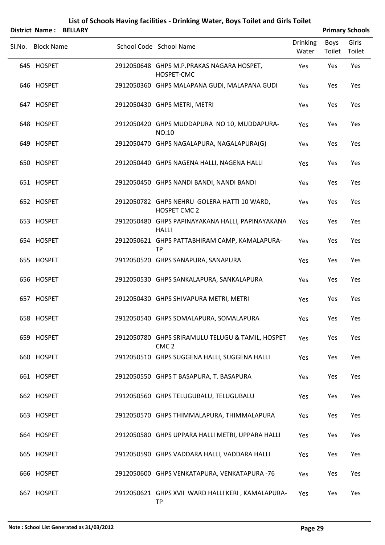|                   | District Name: BELLARY |                                                                      |                          |                | <b>Primary Schools</b> |
|-------------------|------------------------|----------------------------------------------------------------------|--------------------------|----------------|------------------------|
| Sl.No. Block Name |                        | School Code School Name                                              | <b>Drinking</b><br>Water | Boys<br>Toilet | Girls<br>Toilet        |
| 645 HOSPET        |                        | 2912050648 GHPS M.P.PRAKAS NAGARA HOSPET,<br>HOSPET-CMC              | Yes                      | Yes            | Yes                    |
| 646 HOSPET        |                        | 2912050360 GHPS MALAPANA GUDI, MALAPANA GUDI                         | Yes                      | Yes            | Yes                    |
| 647 HOSPET        |                        | 2912050430 GHPS METRI, METRI                                         | Yes                      | Yes            | Yes                    |
| 648 HOSPET        |                        | 2912050420 GHPS MUDDAPURA NO 10, MUDDAPURA-<br>NO.10                 | Yes                      | Yes            | Yes                    |
| 649 HOSPET        |                        | 2912050470 GHPS NAGALAPURA, NAGALAPURA(G)                            | Yes                      | Yes            | Yes                    |
| 650 HOSPET        |                        | 2912050440 GHPS NAGENA HALLI, NAGENA HALLI                           | Yes                      | Yes            | Yes                    |
| 651 HOSPET        |                        | 2912050450 GHPS NANDI BANDI, NANDI BANDI                             | Yes                      | Yes            | Yes                    |
| 652 HOSPET        |                        | 2912050782 GHPS NEHRU GOLERA HATTI 10 WARD,<br>HOSPET CMC 2          | Yes                      | Yes            | Yes                    |
| 653 HOSPET        |                        | 2912050480 GHPS PAPINAYAKANA HALLI, PAPINAYAKANA<br><b>HALLI</b>     | Yes                      | Yes            | Yes                    |
| 654 HOSPET        |                        | 2912050621 GHPS PATTABHIRAM CAMP, KAMALAPURA-<br><b>TP</b>           | Yes                      | Yes            | Yes                    |
| 655 HOSPET        |                        | 2912050520 GHPS SANAPURA, SANAPURA                                   | Yes                      | Yes            | Yes                    |
| 656 HOSPET        |                        | 2912050530 GHPS SANKALAPURA, SANKALAPURA                             | Yes                      | Yes            | Yes                    |
| 657 HOSPET        |                        | 2912050430 GHPS SHIVAPURA METRI, METRI                               | Yes                      | Yes            | Yes                    |
| 658 HOSPET        |                        | 2912050540 GHPS SOMALAPURA, SOMALAPURA                               | Yes                      | Yes            | Yes                    |
| 659 HOSPET        |                        | 2912050780 GHPS SRIRAMULU TELUGU & TAMIL, HOSPET<br>CMC <sub>2</sub> | Yes                      | Yes            | Yes                    |
| 660 HOSPET        |                        | 2912050510 GHPS SUGGENA HALLI, SUGGENA HALLI                         | Yes                      | Yes            | Yes                    |
| 661 HOSPET        |                        | 2912050550 GHPS T BASAPURA, T. BASAPURA                              | Yes                      | Yes            | Yes                    |
| 662 HOSPET        |                        | 2912050560 GHPS TELUGUBALU, TELUGUBALU                               | Yes                      | Yes            | Yes                    |
| 663 HOSPET        |                        | 2912050570 GHPS THIMMALAPURA, THIMMALAPURA                           | Yes                      | Yes            | Yes                    |
| 664 HOSPET        |                        | 2912050580 GHPS UPPARA HALLI METRI, UPPARA HALLI                     | Yes                      | Yes            | Yes                    |
| 665 HOSPET        |                        | 2912050590 GHPS VADDARA HALLI, VADDARA HALLI                         | Yes                      | Yes            | Yes                    |
| 666 HOSPET        |                        | 2912050600 GHPS VENKATAPURA, VENKATAPURA -76                         | Yes                      | Yes            | Yes                    |
| 667 HOSPET        |                        | 2912050621 GHPS XVII WARD HALLI KERI, KAMALAPURA-<br><b>TP</b>       | Yes                      | Yes            | Yes                    |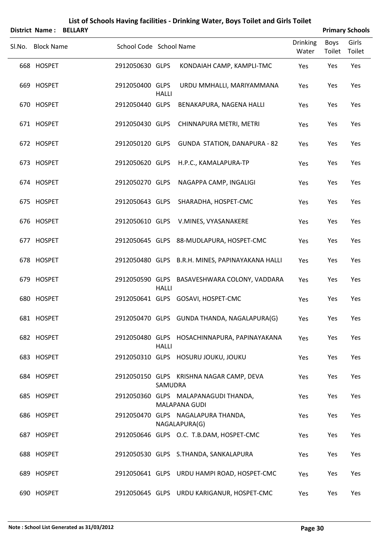|        |                   | District Name: BELLARY |                         |              |                                                              |                          |                | <b>Primary Schools</b> |
|--------|-------------------|------------------------|-------------------------|--------------|--------------------------------------------------------------|--------------------------|----------------|------------------------|
| Sl.No. | <b>Block Name</b> |                        | School Code School Name |              |                                                              | <b>Drinking</b><br>Water | Boys<br>Toilet | Girls<br>Toilet        |
|        | 668 HOSPET        |                        | 2912050630 GLPS         |              | KONDAIAH CAMP, KAMPLI-TMC                                    | Yes                      | Yes            | Yes                    |
|        | 669 HOSPET        |                        | 2912050400 GLPS         | <b>HALLI</b> | URDU MMHALLI, MARIYAMMANA                                    | Yes                      | Yes            | Yes                    |
|        | 670 HOSPET        |                        | 2912050440 GLPS         |              | BENAKAPURA, NAGENA HALLI                                     | Yes                      | Yes            | Yes                    |
|        | 671 HOSPET        |                        | 2912050430 GLPS         |              | CHINNAPURA METRI, METRI                                      | Yes                      | Yes            | Yes                    |
|        | 672 HOSPET        |                        | 2912050120 GLPS         |              | <b>GUNDA STATION, DANAPURA - 82</b>                          | Yes                      | Yes            | Yes                    |
|        | 673 HOSPET        |                        | 2912050620 GLPS         |              | H.P.C., KAMALAPURA-TP                                        | Yes                      | Yes            | Yes                    |
|        | 674 HOSPET        |                        | 2912050270 GLPS         |              | NAGAPPA CAMP, INGALIGI                                       | Yes                      | Yes            | Yes                    |
|        | 675 HOSPET        |                        | 2912050643 GLPS         |              | SHARADHA, HOSPET-CMC                                         | Yes                      | Yes            | Yes                    |
|        | 676 HOSPET        |                        | 2912050610 GLPS         |              | V.MINES, VYASANAKERE                                         | Yes                      | Yes            | Yes                    |
|        | 677 HOSPET        |                        |                         |              | 2912050645 GLPS 88-MUDLAPURA, HOSPET-CMC                     | Yes                      | Yes            | Yes                    |
|        | 678 HOSPET        |                        |                         |              | 2912050480 GLPS B.R.H. MINES, PAPINAYAKANA HALLI             | Yes                      | Yes            | Yes                    |
|        | 679 HOSPET        |                        |                         | <b>HALLI</b> | 2912050590 GLPS BASAVESHWARA COLONY, VADDARA                 | Yes                      | Yes            | Yes                    |
|        | 680 HOSPET        |                        |                         |              | 2912050641 GLPS GOSAVI, HOSPET-CMC                           | Yes                      | Yes            | Yes                    |
|        | 681 HOSPET        |                        |                         |              | 2912050470 GLPS GUNDA THANDA, NAGALAPURA(G)                  | Yes                      | Yes            | Yes                    |
|        | 682 HOSPET        |                        |                         | <b>HALLI</b> | 2912050480 GLPS HOSACHINNAPURA, PAPINAYAKANA                 | Yes                      | Yes            | Yes                    |
|        | 683 HOSPET        |                        |                         |              | 2912050310 GLPS HOSURU JOUKU, JOUKU                          | Yes                      | Yes            | Yes                    |
|        | 684 HOSPET        |                        |                         | SAMUDRA      | 2912050150 GLPS KRISHNA NAGAR CAMP, DEVA                     | Yes                      | Yes            | Yes                    |
|        | 685 HOSPET        |                        |                         |              | 2912050360 GLPS MALAPANAGUDI THANDA,<br><b>MALAPANA GUDI</b> | Yes                      | Yes            | Yes                    |
|        | 686 HOSPET        |                        |                         |              | 2912050470 GLPS NAGALAPURA THANDA,<br>NAGALAPURA(G)          | Yes                      | Yes            | Yes                    |
|        | 687 HOSPET        |                        |                         |              | 2912050646 GLPS O.C. T.B.DAM, HOSPET-CMC                     | Yes                      | Yes            | Yes                    |
|        | 688 HOSPET        |                        |                         |              | 2912050530 GLPS S.THANDA, SANKALAPURA                        | Yes                      | Yes            | Yes                    |
|        | 689 HOSPET        |                        |                         |              | 2912050641 GLPS URDU HAMPI ROAD, HOSPET-CMC                  | Yes                      | Yes            | Yes                    |
|        | 690 HOSPET        |                        |                         |              | 2912050645 GLPS URDU KARIGANUR, HOSPET-CMC                   | Yes                      | Yes            | Yes                    |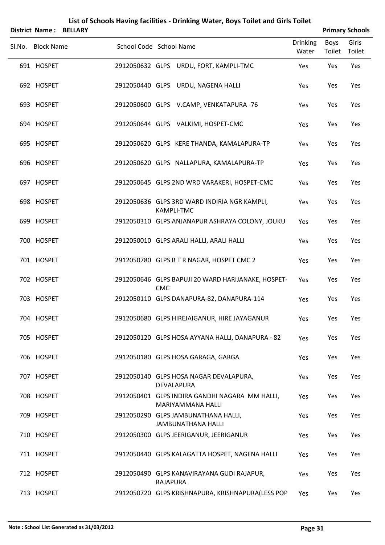|        | <b>District Name: BELLARY</b> |                         |                 |                                                                     |                          |                | <b>Primary Schools</b> |
|--------|-------------------------------|-------------------------|-----------------|---------------------------------------------------------------------|--------------------------|----------------|------------------------|
| SI.No. | <b>Block Name</b>             | School Code School Name |                 |                                                                     | <b>Drinking</b><br>Water | Boys<br>Toilet | Girls<br>Toilet        |
|        | 691 HOSPET                    |                         |                 | 2912050632 GLPS URDU, FORT, KAMPLI-TMC                              | Yes                      | Yes            | Yes                    |
|        | 692 HOSPET                    |                         |                 | 2912050440 GLPS URDU, NAGENA HALLI                                  | Yes                      | Yes            | Yes                    |
|        | 693 HOSPET                    |                         |                 | 2912050600 GLPS V.CAMP, VENKATAPURA -76                             | Yes                      | Yes            | Yes                    |
|        | 694 HOSPET                    |                         |                 | 2912050644 GLPS VALKIMI, HOSPET-CMC                                 | Yes                      | Yes            | Yes                    |
|        | 695 HOSPET                    |                         |                 | 2912050620 GLPS KERE THANDA, KAMALAPURA-TP                          | Yes                      | Yes            | Yes                    |
|        | 696 HOSPET                    |                         |                 | 2912050620 GLPS NALLAPURA, KAMALAPURA-TP                            | Yes                      | Yes            | Yes                    |
|        | 697 HOSPET                    |                         |                 | 2912050645 GLPS 2ND WRD VARAKERI, HOSPET-CMC                        | Yes                      | Yes            | Yes                    |
|        | 698 HOSPET                    |                         |                 | 2912050636 GLPS 3RD WARD INDIRIA NGR KAMPLI,<br><b>KAMPLI-TMC</b>   | Yes                      | Yes            | Yes                    |
|        | 699 HOSPET                    |                         |                 | 2912050310 GLPS ANJANAPUR ASHRAYA COLONY, JOUKU                     | Yes                      | Yes            | Yes                    |
|        | 700 HOSPET                    |                         |                 | 2912050010 GLPS ARALI HALLI, ARALI HALLI                            | Yes                      | Yes            | Yes                    |
|        | 701 HOSPET                    |                         |                 | 2912050780 GLPS B T R NAGAR, HOSPET CMC 2                           | Yes                      | Yes            | Yes                    |
|        | 702 HOSPET                    |                         | <b>CMC</b>      | 2912050646 GLPS BAPUJI 20 WARD HARIJANAKE, HOSPET-                  | Yes                      | Yes            | Yes                    |
|        | 703 HOSPET                    |                         |                 | 2912050110 GLPS DANAPURA-82, DANAPURA-114                           | Yes                      | Yes            | Yes                    |
|        | 704 HOSPET                    |                         |                 | 2912050680 GLPS HIREJAIGANUR, HIRE JAYAGANUR                        | Yes                      | Yes            | Yes                    |
|        | 705 HOSPET                    |                         |                 | 2912050120 GLPS HOSA AYYANA HALLI, DANAPURA - 82                    | Yes                      | Yes            | Yes                    |
|        | 706 HOSPET                    |                         |                 | 2912050180 GLPS HOSA GARAGA, GARGA                                  | Yes                      | Yes            | Yes                    |
|        | 707 HOSPET                    |                         |                 | 2912050140 GLPS HOSA NAGAR DEVALAPURA,<br>DEVALAPURA                | Yes                      | Yes            | Yes                    |
|        | 708 HOSPET                    |                         |                 | 2912050401 GLPS INDIRA GANDHI NAGARA MM HALLI,<br>MARIYAMMANA HALLI | Yes                      | Yes            | Yes                    |
|        | 709 HOSPET                    |                         |                 | 2912050290 GLPS JAMBUNATHANA HALLI,<br><b>JAMBUNATHANA HALLI</b>    | Yes                      | Yes            | Yes                    |
|        | 710 HOSPET                    |                         |                 | 2912050300 GLPS JEERIGANUR, JEERIGANUR                              | Yes                      | Yes            | Yes                    |
|        | 711 HOSPET                    |                         |                 | 2912050440 GLPS KALAGATTA HOSPET, NAGENA HALLI                      | Yes                      | Yes            | Yes                    |
|        | 712 HOSPET                    |                         | <b>RAJAPURA</b> | 2912050490 GLPS KANAVIRAYANA GUDI RAJAPUR,                          | Yes                      | Yes            | Yes                    |
|        | 713 HOSPET                    |                         |                 | 2912050720 GLPS KRISHNAPURA, KRISHNAPURA(LESS POP                   | Yes                      | Yes            | Yes                    |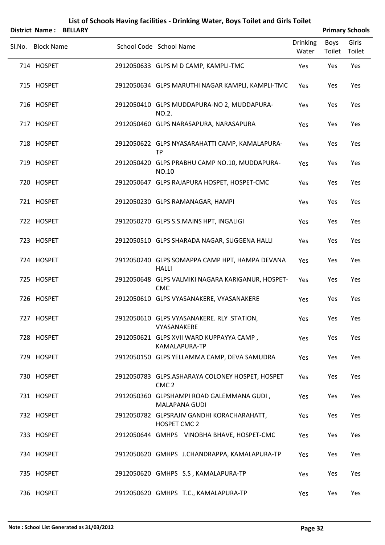|        | District Name: | <b>BELLARY</b>    |                                                                     |                          | <b>Primary Schools</b> |                 |  |
|--------|----------------|-------------------|---------------------------------------------------------------------|--------------------------|------------------------|-----------------|--|
| Sl.No. |                | <b>Block Name</b> | School Code School Name                                             | <b>Drinking</b><br>Water | <b>Boys</b><br>Toilet  | Girls<br>Toilet |  |
|        | 714 HOSPET     |                   | 2912050633 GLPS M D CAMP, KAMPLI-TMC                                | Yes                      | Yes                    | Yes             |  |
|        | 715 HOSPET     |                   | 2912050634 GLPS MARUTHI NAGAR KAMPLI, KAMPLI-TMC                    | Yes                      | Yes                    | Yes             |  |
|        | 716 HOSPET     |                   | 2912050410 GLPS MUDDAPURA-NO 2, MUDDAPURA-<br>NO.2.                 | Yes                      | Yes                    | Yes             |  |
|        | 717 HOSPET     |                   | 2912050460 GLPS NARASAPURA, NARASAPURA                              | Yes                      | Yes                    | Yes             |  |
|        | 718 HOSPET     |                   | 2912050622 GLPS NYASARAHATTI CAMP, KAMALAPURA-<br><b>TP</b>         | Yes                      | Yes                    | Yes             |  |
|        | 719 HOSPET     |                   | 2912050420 GLPS PRABHU CAMP NO.10, MUDDAPURA-<br>NO.10              | Yes                      | Yes                    | Yes             |  |
|        | 720 HOSPET     |                   | 2912050647 GLPS RAJAPURA HOSPET, HOSPET-CMC                         | Yes                      | Yes                    | Yes             |  |
|        | 721 HOSPET     |                   | 2912050230 GLPS RAMANAGAR, HAMPI                                    | Yes                      | Yes                    | Yes             |  |
|        | 722 HOSPET     |                   | 2912050270 GLPS S.S.MAINS HPT, INGALIGI                             | Yes                      | Yes                    | Yes             |  |
|        | 723 HOSPET     |                   | 2912050510 GLPS SHARADA NAGAR, SUGGENA HALLI                        | Yes                      | Yes                    | Yes             |  |
|        | 724 HOSPET     |                   | 2912050240 GLPS SOMAPPA CAMP HPT, HAMPA DEVANA<br><b>HALLI</b>      | Yes                      | Yes                    | Yes             |  |
|        | 725 HOSPET     |                   | 2912050648 GLPS VALMIKI NAGARA KARIGANUR, HOSPET-<br><b>CMC</b>     | Yes                      | Yes                    | Yes             |  |
|        | 726 HOSPET     |                   | 2912050610 GLPS VYASANAKERE, VYASANAKERE                            | Yes                      | Yes                    | Yes             |  |
|        | 727 HOSPET     |                   | 2912050610 GLPS VYASANAKERE. RLY .STATION,<br>VYASANAKERE           | Yes                      | Yes                    | Yes             |  |
|        | 728 HOSPET     |                   | 2912050621 GLPS XVII WARD KUPPAYYA CAMP,<br>KAMALAPURA-TP           | Yes                      | Yes                    | Yes             |  |
|        | 729 HOSPET     |                   | 2912050150 GLPS YELLAMMA CAMP, DEVA SAMUDRA                         | Yes                      | Yes                    | Yes             |  |
|        | 730 HOSPET     |                   | 2912050783 GLPS.ASHARAYA COLONEY HOSPET, HOSPET<br>CMC <sub>2</sub> | Yes                      | Yes                    | Yes             |  |
|        | 731 HOSPET     |                   | 2912050360 GLPSHAMPI ROAD GALEMMANA GUDI,<br>MALAPANA GUDI          | Yes                      | Yes                    | Yes             |  |
|        | 732 HOSPET     |                   | 2912050782 GLPSRAJIV GANDHI KORACHARAHATT,<br>HOSPET CMC 2          | Yes                      | Yes                    | Yes             |  |
|        | 733 HOSPET     |                   | 2912050644 GMHPS VINOBHA BHAVE, HOSPET-CMC                          | Yes                      | Yes                    | Yes             |  |
|        | 734 HOSPET     |                   | 2912050620 GMHPS J.CHANDRAPPA, KAMALAPURA-TP                        | Yes                      | Yes                    | Yes             |  |
|        | 735 HOSPET     |                   | 2912050620 GMHPS S.S, KAMALAPURA-TP                                 | Yes                      | Yes                    | Yes             |  |
|        | 736 HOSPET     |                   | 2912050620 GMHPS T.C., KAMALAPURA-TP                                | Yes                      | Yes                    | Yes             |  |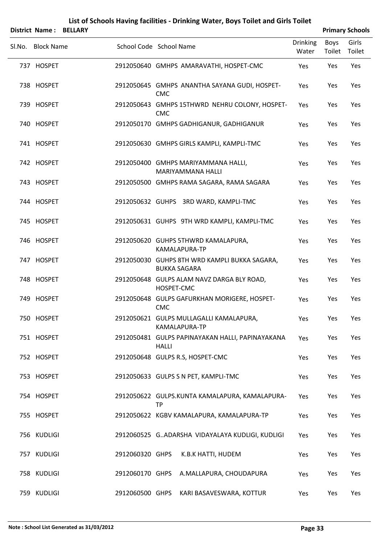| <b>District Name:</b> | <b>BELLARY</b> |                         |            |                                                                      | <b>Primary Schools</b>   |                       |                 |  |
|-----------------------|----------------|-------------------------|------------|----------------------------------------------------------------------|--------------------------|-----------------------|-----------------|--|
| Sl.No. Block Name     |                | School Code School Name |            |                                                                      | <b>Drinking</b><br>Water | <b>Boys</b><br>Toilet | Girls<br>Toilet |  |
| 737 HOSPET            |                |                         |            | 2912050640 GMHPS AMARAVATHI, HOSPET-CMC                              | Yes                      | Yes                   | Yes             |  |
| 738 HOSPET            |                |                         | <b>CMC</b> | 2912050645 GMHPS ANANTHA SAYANA GUDI, HOSPET-                        | Yes                      | Yes                   | Yes             |  |
| 739 HOSPET            |                |                         | <b>CMC</b> | 2912050643 GMHPS 15THWRD NEHRU COLONY, HOSPET-                       | Yes                      | Yes                   | Yes             |  |
| 740 HOSPET            |                |                         |            | 2912050170 GMHPS GADHIGANUR, GADHIGANUR                              | Yes                      | Yes                   | Yes             |  |
| 741 HOSPET            |                |                         |            | 2912050630 GMHPS GIRLS KAMPLI, KAMPLI-TMC                            | Yes                      | Yes                   | Yes             |  |
| 742 HOSPET            |                |                         |            | 2912050400 GMHPS MARIYAMMANA HALLI,<br><b>MARIYAMMANA HALLI</b>      | Yes                      | Yes                   | Yes             |  |
| 743 HOSPET            |                |                         |            | 2912050500 GMHPS RAMA SAGARA, RAMA SAGARA                            | Yes                      | Yes                   | Yes             |  |
| 744 HOSPET            |                |                         |            | 2912050632 GUHPS 3RD WARD, KAMPLI-TMC                                | Yes                      | Yes                   | Yes             |  |
| 745 HOSPET            |                |                         |            | 2912050631 GUHPS 9TH WRD KAMPLI, KAMPLI-TMC                          | Yes                      | Yes                   | Yes             |  |
| 746 HOSPET            |                |                         |            | 2912050620 GUHPS 5THWRD KAMALAPURA,<br>KAMALAPURA-TP                 | Yes                      | Yes                   | Yes             |  |
| 747 HOSPET            |                |                         |            | 2912050030 GUHPS 8TH WRD KAMPLI BUKKA SAGARA,<br><b>BUKKA SAGARA</b> | Yes                      | Yes                   | Yes             |  |
| 748 HOSPET            |                |                         | HOSPET-CMC | 2912050648 GULPS ALAM NAVZ DARGA BLY ROAD,                           | Yes                      | Yes                   | Yes             |  |
| 749 HOSPET            |                |                         | <b>CMC</b> | 2912050648 GULPS GAFURKHAN MORIGERE, HOSPET-                         | Yes                      | Yes                   | Yes             |  |
| 750 HOSPET            |                |                         |            | 2912050621 GULPS MULLAGALLI KAMALAPURA,<br>KAMALAPURA-TP             | Yes                      | Yes                   | Yes             |  |
| 751 HOSPET            |                |                         | HALLI      | 2912050481 GULPS PAPINAYAKAN HALLI, PAPINAYAKANA                     | Yes                      | Yes                   | Yes             |  |
| 752 HOSPET            |                |                         |            | 2912050648 GULPS R.S, HOSPET-CMC                                     | Yes                      | Yes                   | Yes             |  |
| 753 HOSPET            |                |                         |            | 2912050633 GULPS S N PET, KAMPLI-TMC                                 | Yes                      | Yes                   | Yes             |  |
| 754 HOSPET            |                |                         | <b>TP</b>  | 2912050622 GULPS.KUNTA KAMALAPURA, KAMALAPURA-                       | Yes                      | Yes                   | Yes             |  |
| 755 HOSPET            |                |                         |            | 2912050622 KGBV KAMALAPURA, KAMALAPURA-TP                            | Yes                      | Yes                   | Yes             |  |
| 756 KUDLIGI           |                |                         |            | 2912060525 G. ADARSHA VIDAYALAYA KUDLIGI, KUDLIGI                    | Yes                      | Yes                   | Yes             |  |
| 757 KUDLIGI           |                | 2912060320 GHPS         |            | K.B.K HATTI, HUDEM                                                   | Yes                      | Yes                   | Yes             |  |
| 758 KUDLIGI           |                | 2912060170 GHPS         |            | A.MALLAPURA, CHOUDAPURA                                              | Yes                      | Yes                   | Yes             |  |
| 759 KUDLIGI           |                | 2912060500 GHPS         |            | KARI BASAVESWARA, KOTTUR                                             | Yes                      | Yes                   | Yes             |  |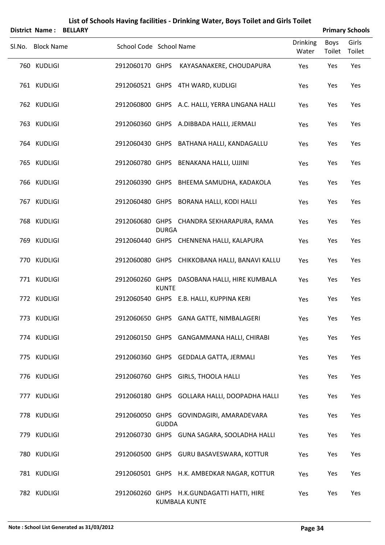|        | <b>District Name:</b> | <b>BELLARY</b>          |              | List of Schools Having facilities - Drinking Water, Boys Toilet and Girls Toilet |                          |                       | <b>Primary Schools</b> |
|--------|-----------------------|-------------------------|--------------|----------------------------------------------------------------------------------|--------------------------|-----------------------|------------------------|
| Sl.No. | <b>Block Name</b>     | School Code School Name |              |                                                                                  | <b>Drinking</b><br>Water | <b>Boys</b><br>Toilet | Girls<br>Toilet        |
|        | 760 KUDLIGI           | 2912060170 GHPS         |              | KAYASANAKERE, CHOUDAPURA                                                         | Yes                      | Yes                   | Yes                    |
|        | 761 KUDLIGI           |                         |              | 2912060521 GHPS 4TH WARD, KUDLIGI                                                | Yes                      | Yes                   | Yes                    |
|        | 762 KUDLIGI           |                         |              | 2912060800 GHPS A.C. HALLI, YERRA LINGANA HALLI                                  | Yes                      | Yes                   | Yes                    |
|        | 763 KUDLIGI           |                         |              | 2912060360 GHPS A.DIBBADA HALLI, JERMALI                                         | Yes                      | Yes                   | Yes                    |
|        | 764 KUDLIGI           |                         |              | 2912060430 GHPS BATHANA HALLI, KANDAGALLU                                        | Yes                      | Yes                   | Yes                    |
|        | 765 KUDLIGI           |                         |              | 2912060780 GHPS BENAKANA HALLI, UJJINI                                           | Yes                      | Yes                   | Yes                    |
|        | 766 KUDLIGI           |                         |              | 2912060390 GHPS BHEEMA SAMUDHA, KADAKOLA                                         | Yes                      | Yes                   | Yes                    |
|        | 767 KUDLIGI           |                         |              | 2912060480 GHPS BORANA HALLI, KODI HALLI                                         | Yes                      | Yes                   | Yes                    |
|        | 768 KUDLIGI           |                         | <b>DURGA</b> | 2912060680 GHPS CHANDRA SEKHARAPURA, RAMA                                        | Yes                      | Yes                   | Yes                    |
|        | 769 KUDLIGI           |                         |              | 2912060440 GHPS CHENNENA HALLI, KALAPURA                                         | Yes                      | Yes                   | Yes                    |
|        | 770 KUDLIGI           |                         |              | 2912060080 GHPS CHIKKOBANA HALLI, BANAVI KALLU                                   | Yes                      | Yes                   | Yes                    |
|        | 771 KUDLIGI           |                         | <b>KUNTE</b> | 2912060260 GHPS DASOBANA HALLI, HIRE KUMBALA                                     | Yes                      | Yes                   | Yes                    |
|        | 772 KUDLIGI           |                         |              | 2912060540 GHPS E.B. HALLI, KUPPINA KERI                                         | Yes                      | Yes                   | Yes                    |
|        | 773 KUDLIGI           |                         |              | 2912060650 GHPS GANA GATTE, NIMBALAGERI                                          | Yes                      | Yes                   | Yes                    |
|        | 774 KUDLIGI           |                         |              | 2912060150 GHPS GANGAMMANA HALLI, CHIRABI                                        | Yes                      | Yes                   | Yes                    |
|        | 775 KUDLIGI           |                         |              | 2912060360 GHPS GEDDALA GATTA, JERMALI                                           | Yes                      | Yes                   | Yes                    |
|        | 776 KUDLIGI           |                         |              | 2912060760 GHPS GIRLS, THOOLA HALLI                                              | Yes                      | Yes                   | Yes                    |
|        | 777 KUDLIGI           |                         |              | 2912060180 GHPS GOLLARA HALLI, DOOPADHA HALLI                                    | Yes                      | Yes                   | Yes                    |
|        | 778 KUDLIGI           |                         | <b>GUDDA</b> | 2912060050 GHPS GOVINDAGIRI, AMARADEVARA                                         | Yes                      | Yes                   | Yes                    |
|        | 779 KUDLIGI           |                         |              | 2912060730 GHPS GUNA SAGARA, SOOLADHA HALLI                                      | Yes                      | Yes                   | Yes                    |
|        | 780 KUDLIGI           |                         |              | 2912060500 GHPS GURU BASAVESWARA, KOTTUR                                         | Yes                      | Yes                   | Yes                    |
|        | 781 KUDLIGI           |                         |              | 2912060501 GHPS H.K. AMBEDKAR NAGAR, KOTTUR                                      | Yes                      | Yes                   | Yes                    |
|        | 782 KUDLIGI           |                         |              | 2912060260 GHPS H.K.GUNDAGATTI HATTI, HIRE<br><b>KUMBALA KUNTE</b>               | Yes                      | Yes                   | Yes                    |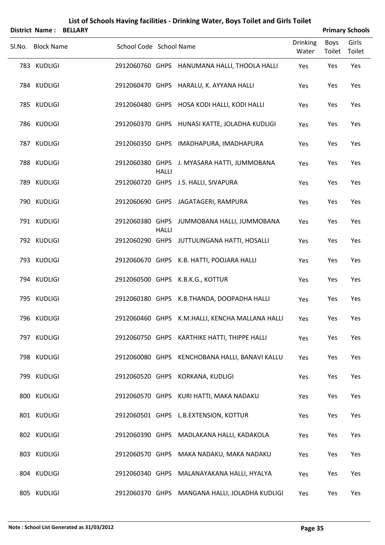|        |                   |                         |              | List of Schools Having facilities - Drinking Water, Boys Toilet and Girls Toilet |                          |                       |                        |
|--------|-------------------|-------------------------|--------------|----------------------------------------------------------------------------------|--------------------------|-----------------------|------------------------|
|        | District Name:    | <b>BELLARY</b>          |              |                                                                                  |                          |                       | <b>Primary Schools</b> |
| Sl.No. | <b>Block Name</b> | School Code School Name |              |                                                                                  | <b>Drinking</b><br>Water | <b>Boys</b><br>Toilet | Girls<br>Toilet        |
|        | 783 KUDLIGI       |                         |              | 2912060760 GHPS HANUMANA HALLI, THOOLA HALLI                                     | Yes                      | Yes                   | Yes                    |
|        | 784 KUDLIGI       |                         |              | 2912060470 GHPS HARALU, K. AYYANA HALLI                                          | Yes                      | Yes                   | Yes                    |
|        | 785 KUDLIGI       |                         |              | 2912060480 GHPS HOSA KODI HALLI, KODI HALLI                                      | Yes                      | Yes                   | Yes                    |
|        | 786 KUDLIGI       |                         |              | 2912060370 GHPS HUNASI KATTE, JOLADHA KUDLIGI                                    | Yes                      | Yes                   | Yes                    |
|        | 787 KUDLIGI       | 2912060350 GHPS         |              | IMADHAPURA, IMADHAPURA                                                           | Yes                      | Yes                   | Yes                    |
|        | 788 KUDLIGI       |                         | <b>HALLI</b> | 2912060380 GHPS J. MYASARA HATTI, JUMMOBANA                                      | Yes                      | Yes                   | Yes                    |
|        | 789 KUDLIGI       |                         |              | 2912060720 GHPS J.S. HALLI, SIVAPURA                                             | Yes                      | Yes                   | Yes                    |
|        | 790 KUDLIGI       |                         |              | 2912060690 GHPS JAGATAGERI, RAMPURA                                              | Yes                      | Yes                   | Yes                    |
|        | 791 KUDLIGI       | 2912060380 GHPS         | <b>HALLI</b> | JUMMOBANA HALLI, JUMMOBANA                                                       | Yes                      | Yes                   | Yes                    |
|        | 792 KUDLIGI       |                         |              | 2912060290 GHPS JUTTULINGANA HATTI, HOSALLI                                      | Yes                      | Yes                   | Yes                    |
|        | 793 KUDLIGI       |                         |              | 2912060670 GHPS K.B. HATTI, POOJARA HALLI                                        | Yes                      | Yes                   | Yes                    |
|        | 794 KUDLIGI       |                         |              | 2912060500 GHPS K.B.K.G., KOTTUR                                                 | Yes                      | Yes                   | Yes                    |
|        | 795 KUDLIGI       |                         |              | 2912060180 GHPS K.B.THANDA, DOOPADHA HALLI                                       | Yes                      | Yes                   | Yes                    |
|        | 796 KUDLIGI       |                         |              | 2912060460 GHPS K.M.HALLI, KENCHA MALLANA HALLI                                  | Yes                      | Yes                   | Yes                    |
|        | 797 KUDLIGI       | 2912060750 GHPS         |              | KARTHIKE HATTI, THIPPE HALLI                                                     | Yes                      | Yes                   | Yes                    |
|        | 798 KUDLIGI       | 2912060080 GHPS         |              | KENCHOBANA HALLI, BANAVI KALLU                                                   | Yes                      | Yes                   | Yes                    |
|        | 799 KUDLIGI       | 2912060520 GHPS         |              | KORKANA, KUDLIGI                                                                 | Yes                      | Yes                   | Yes                    |
|        | 800 KUDLIGI       |                         |              | 2912060570 GHPS KURI HATTI, MAKA NADAKU                                          | Yes                      | Yes                   | Yes                    |
|        | 801 KUDLIGI       |                         |              | 2912060501 GHPS L.B.EXTENSION, KOTTUR                                            | Yes                      | Yes                   | Yes                    |
|        | 802 KUDLIGI       | 2912060390 GHPS         |              | MADLAKANA HALLI, KADAKOLA                                                        | Yes                      | Yes                   | Yes                    |
|        | 803 KUDLIGI       |                         |              | 2912060570 GHPS MAKA NADAKU, MAKA NADAKU                                         | Yes                      | Yes                   | Yes                    |
|        | 804 KUDLIGI       |                         |              | 2912060340 GHPS MALANAYAKANA HALLI, HYALYA                                       | Yes                      | Yes                   | Yes                    |
|        |                   |                         |              |                                                                                  |                          |                       |                        |

805 KUDLIGI 2912060370 GHPS MANGANA HALLI, JOLADHA KUDLIGI Yes Yes Yes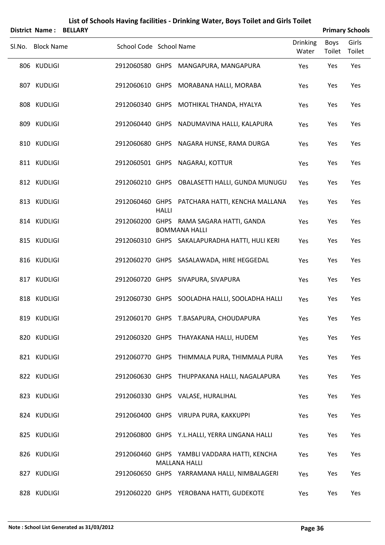|        |                   | <b>District Name: BELLARY</b> |                         |              |                                                                      |                          |                       | <b>Primary Schools</b> |
|--------|-------------------|-------------------------------|-------------------------|--------------|----------------------------------------------------------------------|--------------------------|-----------------------|------------------------|
| SI.No. | <b>Block Name</b> |                               | School Code School Name |              |                                                                      | <b>Drinking</b><br>Water | <b>Boys</b><br>Toilet | Girls<br>Toilet        |
|        | 806 KUDLIGI       |                               |                         |              | 2912060580 GHPS MANGAPURA, MANGAPURA                                 | Yes                      | Yes                   | Yes                    |
|        | 807 KUDLIGI       |                               |                         |              | 2912060610 GHPS MORABANA HALLI, MORABA                               | Yes                      | Yes                   | Yes                    |
|        | 808 KUDLIGI       |                               |                         |              | 2912060340 GHPS MOTHIKAL THANDA, HYALYA                              | Yes                      | Yes                   | Yes                    |
|        | 809 KUDLIGI       |                               |                         |              | 2912060440 GHPS NADUMAVINA HALLI, KALAPURA                           | Yes                      | Yes                   | Yes                    |
|        | 810 KUDLIGI       |                               |                         |              | 2912060680 GHPS NAGARA HUNSE, RAMA DURGA                             | Yes                      | Yes                   | Yes                    |
|        | 811 KUDLIGI       |                               |                         |              | 2912060501 GHPS NAGARAJ, KOTTUR                                      | Yes                      | Yes                   | Yes                    |
|        | 812 KUDLIGI       |                               |                         |              | 2912060210 GHPS OBALASETTI HALLI, GUNDA MUNUGU                       | Yes                      | Yes                   | Yes                    |
|        | 813 KUDLIGI       |                               |                         | <b>HALLI</b> | 2912060460 GHPS PATCHARA HATTI, KENCHA MALLANA                       | Yes                      | Yes                   | Yes                    |
|        | 814 KUDLIGI       |                               |                         |              | 2912060200 GHPS RAMA SAGARA HATTI, GANDA<br><b>BOMMANA HALLI</b>     | Yes                      | Yes                   | Yes                    |
|        | 815 KUDLIGI       |                               |                         |              | 2912060310 GHPS SAKALAPURADHA HATTI, HULI KERI                       | Yes                      | Yes                   | Yes                    |
|        | 816 KUDLIGI       |                               |                         |              | 2912060270 GHPS SASALAWADA, HIRE HEGGEDAL                            | Yes                      | Yes                   | Yes                    |
|        | 817 KUDLIGI       |                               |                         |              | 2912060720 GHPS SIVAPURA, SIVAPURA                                   | Yes                      | Yes                   | Yes                    |
|        | 818 KUDLIGI       |                               |                         |              | 2912060730 GHPS SOOLADHA HALLI, SOOLADHA HALLI                       | Yes                      | Yes                   | Yes                    |
|        | 819 KUDLIGI       |                               |                         |              | 2912060170 GHPS T.BASAPURA, CHOUDAPURA                               | Yes                      | Yes                   | Yes                    |
|        | 820 KUDLIGI       |                               |                         |              | 2912060320 GHPS THAYAKANA HALLI, HUDEM                               | Yes                      | Yes                   | Yes                    |
|        | 821 KUDLIGI       |                               |                         |              | 2912060770 GHPS THIMMALA PURA, THIMMALA PURA                         | Yes                      | Yes                   | Yes                    |
|        | 822 KUDLIGI       |                               |                         |              | 2912060630 GHPS THUPPAKANA HALLI, NAGALAPURA                         | Yes                      | Yes                   | Yes                    |
|        | 823 KUDLIGI       |                               |                         |              | 2912060330 GHPS VALASE, HURALIHAL                                    | Yes                      | Yes                   | Yes                    |
|        | 824 KUDLIGI       |                               |                         |              | 2912060400 GHPS VIRUPA PURA, KAKKUPPI                                | Yes                      | Yes                   | Yes                    |
|        | 825 KUDLIGI       |                               |                         |              | 2912060800 GHPS Y.L.HALLI, YERRA LINGANA HALLI                       | Yes                      | Yes                   | Yes                    |
|        | 826 KUDLIGI       |                               |                         |              | 2912060460 GHPS YAMBLI VADDARA HATTI, KENCHA                         | Yes                      | Yes                   | Yes                    |
|        | 827 KUDLIGI       |                               |                         |              | <b>MALLANA HALLI</b><br>2912060650 GHPS YARRAMANA HALLI, NIMBALAGERI | Yes                      | Yes                   | Yes                    |
|        | 828 KUDLIGI       |                               |                         |              | 2912060220 GHPS YEROBANA HATTI, GUDEKOTE                             | Yes                      | Yes                   | Yes                    |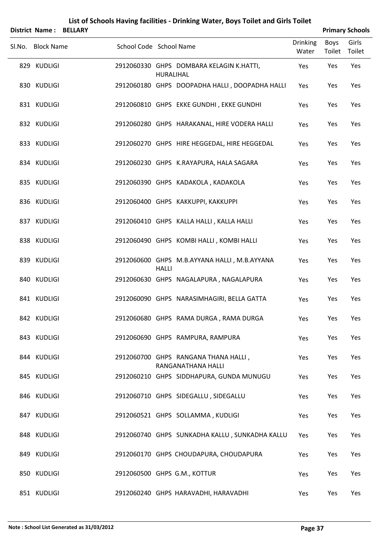|        | <b>District Name:</b> | <b>BELLARY</b> |                         |              |                                                            |                          |                       | <b>Primary Schools</b> |
|--------|-----------------------|----------------|-------------------------|--------------|------------------------------------------------------------|--------------------------|-----------------------|------------------------|
| Sl.No. | <b>Block Name</b>     |                | School Code School Name |              |                                                            | <b>Drinking</b><br>Water | <b>Boys</b><br>Toilet | Girls<br>Toilet        |
|        | 829 KUDLIGI           |                |                         | HURALIHAL    | 2912060330 GHPS DOMBARA KELAGIN K.HATTI,                   | Yes                      | Yes                   | Yes                    |
|        | 830 KUDLIGI           |                |                         |              | 2912060180 GHPS DOOPADHA HALLI, DOOPADHA HALLI             | Yes                      | Yes                   | Yes                    |
|        | 831 KUDLIGI           |                |                         |              | 2912060810 GHPS EKKE GUNDHI, EKKE GUNDHI                   | Yes                      | Yes                   | Yes                    |
|        | 832 KUDLIGI           |                |                         |              | 2912060280 GHPS HARAKANAL, HIRE VODERA HALLI               | Yes                      | Yes                   | Yes                    |
|        | 833 KUDLIGI           |                |                         |              | 2912060270 GHPS HIRE HEGGEDAL, HIRE HEGGEDAL               | Yes                      | Yes                   | Yes                    |
|        | 834 KUDLIGI           |                |                         |              | 2912060230 GHPS K.RAYAPURA, HALA SAGARA                    | Yes                      | Yes                   | Yes                    |
|        | 835 KUDLIGI           |                |                         |              | 2912060390 GHPS KADAKOLA, KADAKOLA                         | Yes                      | Yes                   | Yes                    |
|        | 836 KUDLIGI           |                |                         |              | 2912060400 GHPS KAKKUPPI, KAKKUPPI                         | Yes                      | Yes                   | Yes                    |
|        | 837 KUDLIGI           |                |                         |              | 2912060410 GHPS KALLA HALLI, KALLA HALLI                   | Yes                      | Yes                   | Yes                    |
|        | 838 KUDLIGI           |                |                         |              | 2912060490 GHPS KOMBI HALLI, KOMBI HALLI                   | Yes                      | Yes                   | Yes                    |
|        | 839 KUDLIGI           |                |                         | <b>HALLI</b> | 2912060600 GHPS M.B.AYYANA HALLI, M.B.AYYANA               | Yes                      | Yes                   | Yes                    |
|        | 840 KUDLIGI           |                |                         |              | 2912060630 GHPS NAGALAPURA, NAGALAPURA                     | Yes                      | Yes                   | Yes                    |
|        | 841 KUDLIGI           |                |                         |              | 2912060090 GHPS NARASIMHAGIRI, BELLA GATTA                 | Yes                      | Yes                   | Yes                    |
|        | 842 KUDLIGI           |                |                         |              | 2912060680 GHPS RAMA DURGA, RAMA DURGA                     | Yes                      | Yes                   | Yes                    |
|        | 843 KUDLIGI           |                |                         |              | 2912060690 GHPS RAMPURA, RAMPURA                           | Yes                      | Yes                   | Yes                    |
|        | 844 KUDLIGI           |                |                         |              | 2912060700 GHPS RANGANA THANA HALLI,<br>RANGANATHANA HALLI | Yes                      | Yes                   | Yes                    |
|        | 845 KUDLIGI           |                |                         |              | 2912060210 GHPS SIDDHAPURA, GUNDA MUNUGU                   | Yes                      | Yes                   | Yes                    |
|        | 846 KUDLIGI           |                |                         |              | 2912060710 GHPS SIDEGALLU, SIDEGALLU                       | Yes                      | Yes                   | Yes                    |
|        | 847 KUDLIGI           |                |                         |              | 2912060521 GHPS SOLLAMMA, KUDLIGI                          | Yes                      | Yes                   | Yes                    |
|        | 848 KUDLIGI           |                |                         |              | 2912060740 GHPS SUNKADHA KALLU, SUNKADHA KALLU             | Yes                      | Yes                   | Yes                    |
|        | 849 KUDLIGI           |                |                         |              | 2912060170 GHPS CHOUDAPURA, CHOUDAPURA                     | Yes                      | Yes                   | Yes                    |
|        | 850 KUDLIGI           |                |                         |              | 2912060500 GHPS G.M., KOTTUR                               | Yes                      | Yes                   | Yes                    |
|        | 851 KUDLIGI           |                |                         |              | 2912060240 GHPS HARAVADHI, HARAVADHI                       | Yes                      | Yes                   | Yes                    |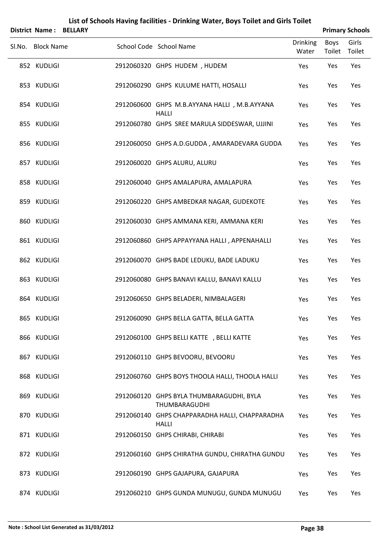|                       |                | List of Schools Having facilities - Drinking Water, Boys Toilet and Girls Toilet |                          |                       |                        |
|-----------------------|----------------|----------------------------------------------------------------------------------|--------------------------|-----------------------|------------------------|
| <b>District Name:</b> | <b>BELLARY</b> |                                                                                  |                          |                       | <b>Primary Schools</b> |
| Sl.No. Block Name     |                | School Code School Name                                                          | <b>Drinking</b><br>Water | <b>Boys</b><br>Toilet | Girls<br>Toilet        |
| 852 KUDLIGI           |                | 2912060320 GHPS HUDEM, HUDEM                                                     | Yes                      | Yes                   | Yes                    |
| 853 KUDLIGI           |                | 2912060290 GHPS KULUME HATTI, HOSALLI                                            | Yes                      | Yes                   | Yes                    |
| 854 KUDLIGI           |                | 2912060600 GHPS M.B.AYYANA HALLI, M.B.AYYANA<br><b>HALLI</b>                     | Yes                      | Yes                   | Yes                    |
| 855 KUDLIGI           |                | 2912060780 GHPS SREE MARULA SIDDESWAR, UJJINI                                    | Yes                      | Yes                   | Yes                    |
| 856 KUDLIGI           |                | 2912060050 GHPS A.D.GUDDA, AMARADEVARA GUDDA                                     | Yes                      | Yes                   | Yes                    |
| 857 KUDLIGI           |                | 2912060020 GHPS ALURU, ALURU                                                     | Yes                      | Yes                   | Yes                    |
| 858 KUDLIGI           |                | 2912060040 GHPS AMALAPURA, AMALAPURA                                             | Yes                      | Yes                   | Yes                    |
| 859 KUDLIGI           |                | 2912060220 GHPS AMBEDKAR NAGAR, GUDEKOTE                                         | Yes                      | Yes                   | Yes                    |
| 860 KUDLIGI           |                | 2912060030 GHPS AMMANA KERI, AMMANA KERI                                         | Yes                      | Yes                   | Yes                    |
| 861 KUDLIGI           |                | 2912060860 GHPS APPAYYANA HALLI, APPENAHALLI                                     | Yes                      | Yes                   | Yes                    |
| 862 KUDLIGI           |                | 2912060070 GHPS BADE LEDUKU, BADE LADUKU                                         | Yes                      | Yes                   | Yes                    |
| 863 KUDLIGI           |                | 2912060080 GHPS BANAVI KALLU, BANAVI KALLU                                       | Yes                      | Yes                   | Yes                    |
| 864 KUDLIGI           |                | 2912060650 GHPS BELADERI, NIMBALAGERI                                            | Yes                      | Yes                   | Yes                    |
| 865 KUDLIGI           |                | 2912060090 GHPS BELLA GATTA, BELLA GATTA                                         | Yes                      | Yes                   | Yes                    |
| 866 KUDLIGI           |                | 2912060100 GHPS BELLI KATTE , BELLI KATTE                                        | Yes                      | Yes                   | Yes                    |
| 867 KUDLIGI           |                | 2912060110 GHPS BEVOORU, BEVOORU                                                 | Yes                      | Yes                   | Yes                    |
| 868 KUDLIGI           |                | 2912060760 GHPS BOYS THOOLA HALLI, THOOLA HALLI                                  | Yes                      | Yes                   | Yes                    |
| 869 KUDLIGI           |                | 2912060120 GHPS BYLA THUMBARAGUDHI, BYLA<br>THUMBARAGUDHI                        | Yes                      | Yes                   | Yes                    |
| 870 KUDLIGI           |                | 2912060140 GHPS CHAPPARADHA HALLI, CHAPPARADHA<br><b>HALLI</b>                   | Yes                      | Yes                   | Yes                    |
| 871 KUDLIGI           |                | 2912060150 GHPS CHIRABI, CHIRABI                                                 | Yes                      | Yes                   | Yes                    |
| 872 KUDLIGI           |                | 2912060160 GHPS CHIRATHA GUNDU, CHIRATHA GUNDU                                   | Yes                      | Yes                   | Yes                    |
| 873 KUDLIGI           |                | 2912060190 GHPS GAJAPURA, GAJAPURA                                               | Yes                      | Yes                   | Yes                    |
| 874 KUDLIGI           |                | 2912060210 GHPS GUNDA MUNUGU, GUNDA MUNUGU                                       | Yes                      | Yes                   | Yes                    |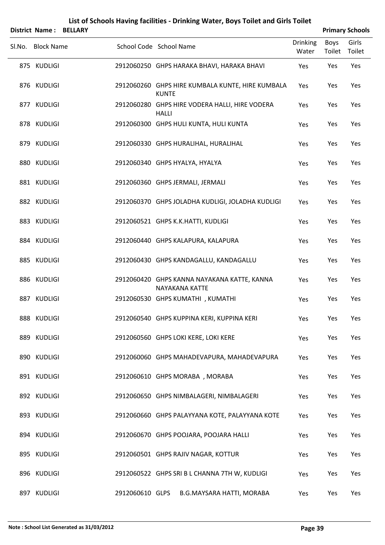|        | <b>District Name:</b> | <b>BELLARY</b> |                         |              |                                                               |                          |                       | <b>Primary Schools</b> |
|--------|-----------------------|----------------|-------------------------|--------------|---------------------------------------------------------------|--------------------------|-----------------------|------------------------|
| Sl.No. | <b>Block Name</b>     |                | School Code School Name |              |                                                               | <b>Drinking</b><br>Water | <b>Boys</b><br>Toilet | Girls<br>Toilet        |
|        | 875 KUDLIGI           |                |                         |              | 2912060250 GHPS HARAKA BHAVI, HARAKA BHAVI                    | Yes                      | Yes                   | Yes                    |
|        | 876 KUDLIGI           |                |                         | <b>KUNTE</b> | 2912060260 GHPS HIRE KUMBALA KUNTE, HIRE KUMBALA              | Yes                      | Yes                   | Yes                    |
|        | 877 KUDLIGI           |                |                         | <b>HALLI</b> | 2912060280 GHPS HIRE VODERA HALLI, HIRE VODERA                | Yes                      | Yes                   | Yes                    |
|        | 878 KUDLIGI           |                |                         |              | 2912060300 GHPS HULI KUNTA, HULI KUNTA                        | Yes                      | Yes                   | Yes                    |
|        | 879 KUDLIGI           |                |                         |              | 2912060330 GHPS HURALIHAL, HURALIHAL                          | Yes                      | Yes                   | Yes                    |
|        | 880 KUDLIGI           |                |                         |              | 2912060340 GHPS HYALYA, HYALYA                                | Yes                      | Yes                   | Yes                    |
|        | 881 KUDLIGI           |                |                         |              | 2912060360 GHPS JERMALI, JERMALI                              | Yes                      | Yes                   | Yes                    |
|        | 882 KUDLIGI           |                |                         |              | 2912060370 GHPS JOLADHA KUDLIGI, JOLADHA KUDLIGI              | Yes                      | Yes                   | Yes                    |
|        | 883 KUDLIGI           |                |                         |              | 2912060521 GHPS K.K.HATTI, KUDLIGI                            | Yes                      | Yes                   | Yes                    |
|        | 884 KUDLIGI           |                |                         |              | 2912060440 GHPS KALAPURA, KALAPURA                            | Yes                      | Yes                   | Yes                    |
|        | 885 KUDLIGI           |                |                         |              | 2912060430 GHPS KANDAGALLU, KANDAGALLU                        | Yes                      | Yes                   | Yes                    |
|        | 886 KUDLIGI           |                |                         |              | 2912060420 GHPS KANNA NAYAKANA KATTE, KANNA<br>NAYAKANA KATTE | Yes                      | Yes                   | Yes                    |
|        | 887 KUDLIGI           |                |                         |              | 2912060530 GHPS KUMATHI, KUMATHI                              | Yes                      | Yes                   | Yes                    |
|        | 888 KUDLIGI           |                |                         |              | 2912060540 GHPS KUPPINA KERI, KUPPINA KERI                    | Yes                      | Yes                   | Yes                    |
|        | 889 KUDLIGI           |                |                         |              | 2912060560 GHPS LOKI KERE, LOKI KERE                          | Yes                      | Yes                   | Yes                    |
|        | 890 KUDLIGI           |                |                         |              | 2912060060 GHPS MAHADEVAPURA, MAHADEVAPURA                    | Yes                      | Yes                   | Yes                    |
|        | 891 KUDLIGI           |                |                         |              | 2912060610 GHPS MORABA, MORABA                                | Yes                      | Yes                   | Yes                    |
|        | 892 KUDLIGI           |                |                         |              | 2912060650 GHPS NIMBALAGERI, NIMBALAGERI                      | Yes                      | Yes                   | Yes                    |
|        | 893 KUDLIGI           |                |                         |              | 2912060660 GHPS PALAYYANA KOTE, PALAYYANA KOTE                | Yes                      | Yes                   | Yes                    |
|        | 894 KUDLIGI           |                |                         |              | 2912060670 GHPS POOJARA, POOJARA HALLI                        | Yes                      | Yes                   | Yes                    |
|        | 895 KUDLIGI           |                |                         |              | 2912060501 GHPS RAJIV NAGAR, KOTTUR                           | Yes                      | Yes                   | Yes                    |
|        | 896 KUDLIGI           |                |                         |              | 2912060522 GHPS SRI B L CHANNA 7TH W, KUDLIGI                 | Yes                      | Yes                   | Yes                    |
|        | 897 KUDLIGI           |                | 2912060610 GLPS         |              | B.G.MAYSARA HATTI, MORABA                                     | Yes                      | Yes                   | Yes                    |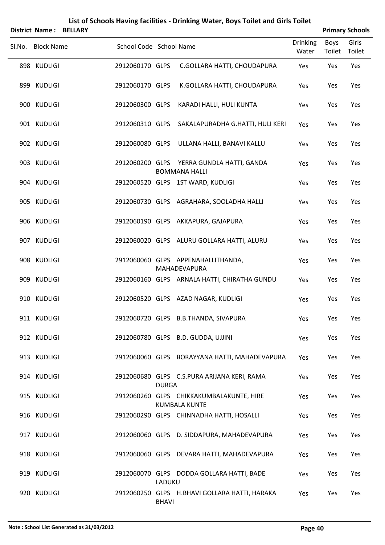|        | <b>District Name: BELLARY</b> |                         |              |                                                                   |                          |                | <b>Primary Schools</b> |
|--------|-------------------------------|-------------------------|--------------|-------------------------------------------------------------------|--------------------------|----------------|------------------------|
| Sl.No. | <b>Block Name</b>             | School Code School Name |              |                                                                   | <b>Drinking</b><br>Water | Boys<br>Toilet | Girls<br>Toilet        |
|        | 898 KUDLIGI                   | 2912060170 GLPS         |              | C.GOLLARA HATTI, CHOUDAPURA                                       | Yes                      | Yes            | Yes                    |
|        | 899 KUDLIGI                   | 2912060170 GLPS         |              | K.GOLLARA HATTI, CHOUDAPURA                                       | Yes                      | Yes            | Yes                    |
|        | 900 KUDLIGI                   | 2912060300 GLPS         |              | KARADI HALLI, HULI KUNTA                                          | Yes                      | Yes            | Yes                    |
|        | 901 KUDLIGI                   | 2912060310 GLPS         |              | SAKALAPURADHA G.HATTI, HULI KERI                                  | Yes                      | Yes            | Yes                    |
|        | 902 KUDLIGI                   |                         |              | 2912060080 GLPS ULLANA HALLI, BANAVI KALLU                        | Yes                      | Yes            | Yes                    |
|        | 903 KUDLIGI                   |                         |              | 2912060200 GLPS YERRA GUNDLA HATTI, GANDA<br><b>BOMMANA HALLI</b> | Yes                      | Yes            | Yes                    |
|        | 904 KUDLIGI                   |                         |              | 2912060520 GLPS 1ST WARD, KUDLIGI                                 | Yes                      | Yes            | Yes                    |
|        | 905 KUDLIGI                   |                         |              | 2912060730 GLPS AGRAHARA, SOOLADHA HALLI                          | Yes                      | Yes            | Yes                    |
|        | 906 KUDLIGI                   |                         |              | 2912060190 GLPS AKKAPURA, GAJAPURA                                | Yes                      | Yes            | Yes                    |
|        | 907 KUDLIGI                   |                         |              | 2912060020 GLPS ALURU GOLLARA HATTI, ALURU                        | Yes                      | Yes            | Yes                    |
|        | 908 KUDLIGI                   |                         |              | 2912060060 GLPS APPENAHALLITHANDA,<br>MAHADEVAPURA                | Yes                      | Yes            | Yes                    |
|        | 909 KUDLIGI                   |                         |              | 2912060160 GLPS ARNALA HATTI, CHIRATHA GUNDU                      | Yes                      | Yes            | Yes                    |
|        | 910 KUDLIGI                   |                         |              | 2912060520 GLPS AZAD NAGAR, KUDLIGI                               | Yes                      | Yes            | Yes                    |
|        | 911 KUDLIGI                   |                         |              | 2912060720 GLPS B.B.THANDA, SIVAPURA                              | Yes                      | Yes            | Yes                    |
|        | 912 KUDLIGI                   |                         |              | 2912060780 GLPS B.D. GUDDA, UJJINI                                | Yes                      | Yes            | Yes                    |
|        | 913 KUDLIGI                   |                         |              | 2912060060 GLPS BORAYYANA HATTI, MAHADEVAPURA                     | Yes                      | Yes            | Yes                    |
|        | 914 KUDLIGI                   |                         | <b>DURGA</b> | 2912060680 GLPS C.S.PURA ARIJANA KERI, RAMA                       | Yes                      | Yes            | Yes                    |
|        | 915 KUDLIGI                   |                         |              | 2912060260 GLPS CHIKKAKUMBALAKUNTE, HIRE<br><b>KUMBALA KUNTE</b>  | Yes                      | Yes            | Yes                    |
|        | 916 KUDLIGI                   |                         |              | 2912060290 GLPS CHINNADHA HATTI, HOSALLI                          | Yes                      | Yes            | Yes                    |
|        | 917 KUDLIGI                   |                         |              | 2912060060 GLPS D. SIDDAPURA, MAHADEVAPURA                        | Yes                      | Yes            | Yes                    |
|        | 918 KUDLIGI                   |                         |              | 2912060060 GLPS DEVARA HATTI, MAHADEVAPURA                        | Yes                      | Yes            | Yes                    |
|        | 919 KUDLIGI                   |                         | LADUKU       | 2912060070 GLPS DODDA GOLLARA HATTI, BADE                         | Yes                      | Yes            | Yes                    |
|        | 920 KUDLIGI                   |                         | <b>BHAVI</b> | 2912060250 GLPS H.BHAVI GOLLARA HATTI, HARAKA                     | Yes                      | Yes            | Yes                    |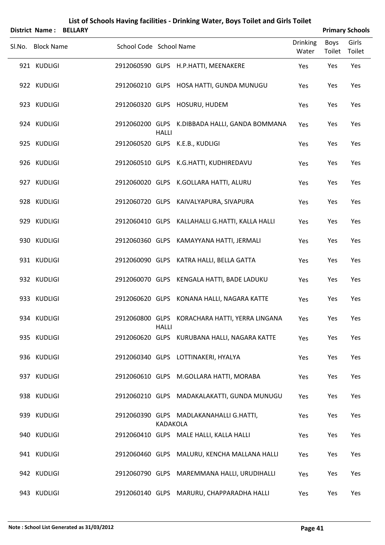| <b>District Name:</b> | <b>BELLARY</b> |                         |                 |                                                 |                          |                       | <b>Primary Schools</b> |
|-----------------------|----------------|-------------------------|-----------------|-------------------------------------------------|--------------------------|-----------------------|------------------------|
| Sl.No. Block Name     |                | School Code School Name |                 |                                                 | <b>Drinking</b><br>Water | <b>Boys</b><br>Toilet | Girls<br>Toilet        |
| 921 KUDLIGI           |                |                         |                 | 2912060590 GLPS H.P.HATTI, MEENAKERE            | Yes                      | Yes                   | Yes                    |
| 922 KUDLIGI           |                |                         |                 | 2912060210 GLPS HOSA HATTI, GUNDA MUNUGU        | Yes                      | Yes                   | Yes                    |
| 923 KUDLIGI           |                |                         |                 | 2912060320 GLPS HOSURU, HUDEM                   | Yes                      | Yes                   | Yes                    |
| 924 KUDLIGI           |                |                         | <b>HALLI</b>    | 2912060200 GLPS K.DIBBADA HALLI, GANDA BOMMANA  | Yes                      | Yes                   | Yes                    |
| 925 KUDLIGI           |                |                         |                 | 2912060520 GLPS K.E.B., KUDLIGI                 | Yes                      | Yes                   | Yes                    |
| 926 KUDLIGI           |                |                         |                 | 2912060510 GLPS K.G.HATTI, KUDHIREDAVU          | Yes                      | Yes                   | Yes                    |
| 927 KUDLIGI           |                |                         |                 | 2912060020 GLPS K.GOLLARA HATTI, ALURU          | Yes                      | Yes                   | Yes                    |
| 928 KUDLIGI           |                |                         |                 | 2912060720 GLPS KAIVALYAPURA, SIVAPURA          | Yes                      | Yes                   | Yes                    |
| 929 KUDLIGI           |                |                         |                 | 2912060410 GLPS KALLAHALLI G.HATTI, KALLA HALLI | Yes                      | Yes                   | Yes                    |
| 930 KUDLIGI           |                |                         |                 | 2912060360 GLPS KAMAYYANA HATTI, JERMALI        | Yes                      | Yes                   | Yes                    |
| 931 KUDLIGI           |                |                         |                 | 2912060090 GLPS KATRA HALLI, BELLA GATTA        | Yes                      | Yes                   | Yes                    |
| 932 KUDLIGI           |                |                         |                 | 2912060070 GLPS KENGALA HATTI, BADE LADUKU      | Yes                      | Yes                   | Yes                    |
| 933 KUDLIGI           |                |                         |                 | 2912060620 GLPS KONANA HALLI, NAGARA KATTE      | Yes                      | Yes                   | Yes                    |
| 934 KUDLIGI           |                |                         | <b>HALLI</b>    | 2912060800 GLPS KORACHARA HATTI, YERRA LINGANA  | Yes                      | Yes                   | Yes                    |
| 935 KUDLIGI           |                |                         |                 | 2912060620 GLPS KURUBANA HALLI, NAGARA KATTE    | Yes                      | Yes                   | Yes                    |
| 936 KUDLIGI           |                |                         |                 | 2912060340 GLPS LOTTINAKERI, HYALYA             | Yes                      | Yes                   | Yes                    |
| 937 KUDLIGI           |                |                         |                 | 2912060610 GLPS M.GOLLARA HATTI, MORABA         | Yes                      | Yes                   | Yes                    |
| 938 KUDLIGI           |                |                         |                 | 2912060210 GLPS MADAKALAKATTI, GUNDA MUNUGU     | Yes                      | Yes                   | Yes                    |
| 939 KUDLIGI           |                |                         | <b>KADAKOLA</b> | 2912060390 GLPS MADLAKANAHALLI G.HATTI,         | Yes                      | Yes                   | Yes                    |
| 940 KUDLIGI           |                |                         |                 | 2912060410 GLPS MALE HALLI, KALLA HALLI         | Yes                      | Yes                   | Yes                    |
| 941 KUDLIGI           |                |                         |                 | 2912060460 GLPS MALURU, KENCHA MALLANA HALLI    | Yes                      | Yes                   | Yes                    |
| 942 KUDLIGI           |                |                         |                 | 2912060790 GLPS MAREMMANA HALLI, URUDIHALLI     | Yes                      | Yes                   | Yes                    |
| 943 KUDLIGI           |                |                         |                 | 2912060140 GLPS MARURU, CHAPPARADHA HALLI       | Yes                      | Yes                   | Yes                    |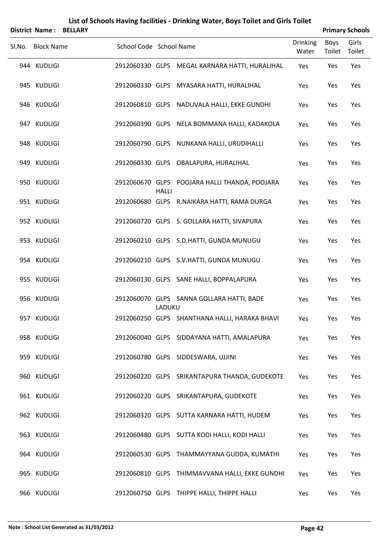|        |                       |                         |              | List of Schools Having facilities - Drinking Water, Boys Toilet and Girls Toilet |                          |                |                        |
|--------|-----------------------|-------------------------|--------------|----------------------------------------------------------------------------------|--------------------------|----------------|------------------------|
|        | <b>District Name:</b> | <b>BELLARY</b>          |              |                                                                                  |                          |                | <b>Primary Schools</b> |
| Sl.No. | <b>Block Name</b>     | School Code School Name |              |                                                                                  | <b>Drinking</b><br>Water | Boys<br>Toilet | Girls<br>Toilet        |
|        | 944 KUDLIGI           |                         |              | 2912060330 GLPS MEGAL KARNARA HATTI, HURALIHAL                                   | Yes                      | Yes            | Yes                    |
|        | 945 KUDLIGI           |                         |              | 2912060330 GLPS MYASARA HATTI, HURALIHAL                                         | Yes                      | Yes            | Yes                    |
|        | 946 KUDLIGI           | 2912060810 GLPS         |              | NADUVALA HALLI, EKKE GUNDHI                                                      | Yes                      | Yes            | Yes                    |
|        | 947 KUDLIGI           |                         |              | 2912060390 GLPS NELA BOMMANA HALLI, KADAKOLA                                     | Yes                      | Yes            | Yes                    |
|        | 948 KUDLIGI           |                         |              | 2912060790 GLPS NUNKANA HALLI, URUDIHALLI                                        | Yes                      | Yes            | Yes                    |
|        | 949 KUDLIGI           |                         |              | 2912060330 GLPS OBALAPURA, HURALIHAL                                             | Yes                      | Yes            | Yes                    |
|        | 950 KUDLIGI           |                         | <b>HALLI</b> | 2912060670 GLPS POOJARA HALLI THANDA, POOJARA                                    | Yes                      | Yes            | Yes                    |
|        | 951 KUDLIGI           |                         |              | 2912060680 GLPS R.NAIKARA HATTI, RAMA DURGA                                      | Yes                      | Yes            | Yes                    |
|        | 952 KUDLIGI           |                         |              | 2912060720 GLPS S. GOLLARA HATTI, SIVAPURA                                       | Yes                      | Yes            | Yes                    |
|        | 953 KUDLIGI           |                         |              | 2912060210 GLPS S.D.HATTI, GUNDA MUNUGU                                          | Yes                      | Yes            | Yes                    |
|        | 954 KUDLIGI           |                         |              | 2912060210 GLPS S.V.HATTI, GUNDA MUNUGU                                          | Yes                      | Yes            | Yes                    |
|        | 955 KUDLIGI           |                         |              | 2912060130 GLPS SANE HALLI, BOPPALAPURA                                          | Yes                      | Yes            | Yes                    |
|        | 956 KUDLIGI           |                         | LADUKU       | 2912060070 GLPS SANNA GOLLARA HATTI, BADE                                        | Yes                      | Yes            | Yes                    |
|        | 957 KUDLIGI           |                         |              | 2912060250 GLPS SHANTHANA HALLI, HARAKA BHAVI                                    | Yes                      | Yes            | Yes                    |
|        | 958 KUDLIGI           |                         |              | 2912060040 GLPS SIDDAYANA HATTI, AMALAPURA                                       | Yes                      | Yes            | Yes                    |
|        | 959 KUDLIGI           |                         |              | 2912060780 GLPS SIDDESWARA, UJJINI                                               | Yes                      | Yes            | Yes                    |
|        | 960 KUDLIGI           |                         |              | 2912060220 GLPS SRIKANTAPURA THANDA, GUDEKOTE                                    | Yes                      | Yes            | Yes                    |
|        | 961 KUDLIGI           |                         |              | 2912060220 GLPS SRIKANTAPURA, GUDEKOTE                                           | Yes                      | Yes            | Yes                    |
|        | 962 KUDLIGI           |                         |              | 2912060320 GLPS SUTTA KARNARA HATTI, HUDEM                                       | Yes                      | Yes            | Yes                    |
|        | 963 KUDLIGI           |                         |              | 2912060480 GLPS SUTTA KODI HALLI, KODI HALLI                                     | Yes                      | Yes            | Yes                    |
|        | 964 KUDLIGI           |                         |              | 2912060530 GLPS THAMMAYYANA GUDDA, KUMATHI                                       | Yes                      | Yes            | Yes                    |
|        | 965 KUDLIGI           |                         |              | 2912060810 GLPS THIMMAVVANA HALLI, EKKE GUNDHI                                   | Yes                      | Yes            | Yes                    |
|        | 966 KUDLIGI           |                         |              | 2912060750 GLPS THIPPE HALLI, THIPPE HALLI                                       | Yes                      | Yes            | Yes                    |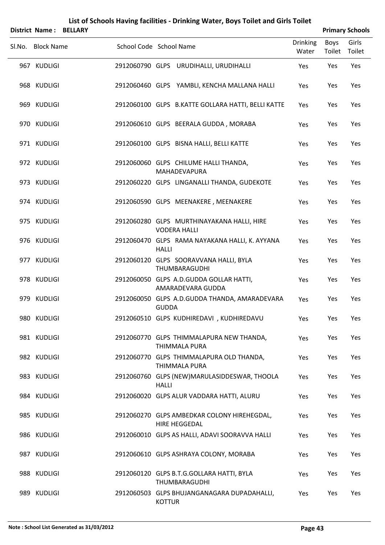| District Name: BELLARY     |                         |               |                                                                                          |                          |                | <b>Primary Schools</b> |
|----------------------------|-------------------------|---------------|------------------------------------------------------------------------------------------|--------------------------|----------------|------------------------|
| SI.No. Block Name          | School Code School Name |               |                                                                                          | <b>Drinking</b><br>Water | Boys<br>Toilet | Girls<br>Toilet        |
| 967 KUDLIGI                |                         |               | 2912060790 GLPS URUDIHALLI, URUDIHALLI                                                   | Yes                      | Yes            | Yes                    |
| 968 KUDLIGI                |                         |               | 2912060460 GLPS YAMBLI, KENCHA MALLANA HALLI                                             | Yes                      | Yes            | Yes                    |
| 969 KUDLIGI                |                         |               | 2912060100 GLPS B.KATTE GOLLARA HATTI, BELLI KATTE                                       | Yes                      | Yes            | Yes                    |
| 970 KUDLIGI                |                         |               | 2912060610 GLPS BEERALA GUDDA, MORABA                                                    | Yes                      | Yes            | Yes                    |
| 971 KUDLIGI                |                         |               | 2912060100 GLPS BISNA HALLI, BELLI KATTE                                                 | Yes                      | Yes            | Yes                    |
| 972 KUDLIGI                |                         |               | 2912060060 GLPS CHILUME HALLI THANDA,<br>MAHADEVAPURA                                    | Yes                      | Yes            | Yes                    |
| 973 KUDLIGI                |                         |               | 2912060220 GLPS LINGANALLI THANDA, GUDEKOTE                                              | Yes                      | Yes            | Yes                    |
| 974 KUDLIGI                |                         |               | 2912060590 GLPS MEENAKERE, MEENAKERE                                                     | Yes                      | Yes            | Yes                    |
| 975 KUDLIGI                |                         |               | 2912060280 GLPS MURTHINAYAKANA HALLI, HIRE<br><b>VODERA HALLI</b>                        | Yes                      | Yes            | Yes                    |
| 976 KUDLIGI                |                         | <b>HALLI</b>  | 2912060470 GLPS RAMA NAYAKANA HALLI, K. AYYANA                                           | Yes                      | Yes            | Yes                    |
| 977 KUDLIGI                |                         |               | 2912060120 GLPS SOORAVVANA HALLI, BYLA<br>THUMBARAGUDHI                                  | Yes                      | Yes            | Yes                    |
| 978 KUDLIGI                |                         |               | 2912060050 GLPS A.D.GUDDA GOLLAR HATTI,<br>AMARADEVARA GUDDA                             | Yes                      | Yes            | Yes                    |
| 979 KUDLIGI                |                         | <b>GUDDA</b>  | 2912060050 GLPS A.D.GUDDA THANDA, AMARADEVARA                                            | Yes                      | Yes            | Yes                    |
| 980 KUDLIGI                |                         |               | 2912060510 GLPS KUDHIREDAVI , KUDHIREDAVU                                                | Yes                      | Yes            | Yes                    |
| 981 KUDLIGI                |                         |               | 2912060770 GLPS THIMMALAPURA NEW THANDA,<br>THIMMALA PURA                                | Yes                      | Yes            | Yes                    |
| 982 KUDLIGI                |                         |               | 2912060770 GLPS THIMMALAPURA OLD THANDA,<br>THIMMALA PURA                                | Yes                      | Yes            | Yes                    |
| 983 KUDLIGI<br>984 KUDLIGI |                         | <b>HALLI</b>  | 2912060760 GLPS (NEW)MARULASIDDESWAR, THOOLA                                             | Yes                      | Yes            | Yes<br>Yes             |
| 985 KUDLIGI                |                         |               | 2912060020 GLPS ALUR VADDARA HATTI, ALURU<br>2912060270 GLPS AMBEDKAR COLONY HIREHEGDAL, | <b>Yes</b><br>Yes        | Yes<br>Yes     | Yes                    |
| 986 KUDLIGI                |                         |               | HIRE HEGGEDAL<br>2912060010 GLPS AS HALLI, ADAVI SOORAVVA HALLI                          | Yes                      | Yes            | Yes                    |
| 987 KUDLIGI                |                         |               | 2912060610 GLPS ASHRAYA COLONY, MORABA                                                   | Yes                      | Yes            | Yes                    |
| 988 KUDLIGI                |                         |               | 2912060120 GLPS B.T.G.GOLLARA HATTI, BYLA                                                | Yes                      | Yes            | Yes                    |
| 989 KUDLIGI                |                         |               | THUMBARAGUDHI<br>2912060503 GLPS BHUJANGANAGARA DUPADAHALLI,                             | Yes                      | Yes            | Yes                    |
|                            |                         | <b>KOTTUR</b> |                                                                                          |                          |                |                        |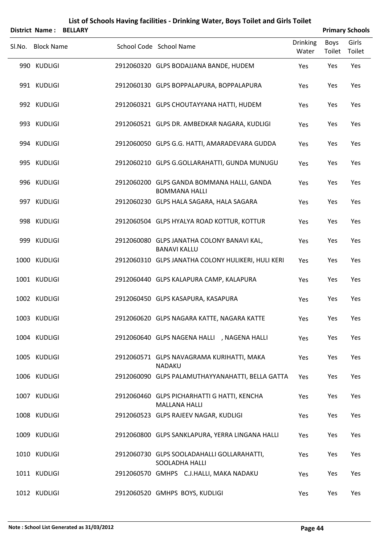|        | <b>District Name:</b> | <b>BELLARY</b> |                         |                      |                                          |                                                    |                          |                | <b>Primary Schools</b> |
|--------|-----------------------|----------------|-------------------------|----------------------|------------------------------------------|----------------------------------------------------|--------------------------|----------------|------------------------|
| Sl.No. | <b>Block Name</b>     |                | School Code School Name |                      |                                          |                                                    | <b>Drinking</b><br>Water | Boys<br>Toilet | Girls<br>Toilet        |
|        | 990 KUDLIGI           |                |                         |                      | 2912060320 GLPS BODAJJANA BANDE, HUDEM   |                                                    | Yes                      | Yes            | Yes                    |
|        | 991 KUDLIGI           |                |                         |                      |                                          | 2912060130 GLPS BOPPALAPURA, BOPPALAPURA           | Yes                      | Yes            | Yes                    |
|        | 992 KUDLIGI           |                |                         |                      | 2912060321 GLPS CHOUTAYYANA HATTI, HUDEM |                                                    | Yes                      | Yes            | Yes                    |
|        | 993 KUDLIGI           |                |                         |                      |                                          | 2912060521 GLPS DR. AMBEDKAR NAGARA, KUDLIGI       | Yes                      | Yes            | Yes                    |
|        | 994 KUDLIGI           |                |                         |                      |                                          | 2912060050 GLPS G.G. HATTI, AMARADEVARA GUDDA      | Yes                      | Yes            | Yes                    |
|        | 995 KUDLIGI           |                |                         |                      |                                          | 2912060210 GLPS G.GOLLARAHATTI, GUNDA MUNUGU       | Yes                      | Yes            | Yes                    |
|        | 996 KUDLIGI           |                |                         |                      | <b>BOMMANA HALLI</b>                     | 2912060200 GLPS GANDA BOMMANA HALLI, GANDA         | Yes                      | Yes            | Yes                    |
|        | 997 KUDLIGI           |                |                         |                      | 2912060230 GLPS HALA SAGARA, HALA SAGARA |                                                    | Yes                      | Yes            | Yes                    |
|        | 998 KUDLIGI           |                |                         |                      |                                          | 2912060504 GLPS HYALYA ROAD KOTTUR, KOTTUR         | Yes                      | Yes            | Yes                    |
|        | 999 KUDLIGI           |                |                         | <b>BANAVI KALLU</b>  |                                          | 2912060080 GLPS JANATHA COLONY BANAVI KAL,         | Yes                      | Yes            | Yes                    |
|        | 1000 KUDLIGI          |                |                         |                      |                                          | 2912060310 GLPS JANATHA COLONY HULIKERI, HULI KERI | Yes                      | Yes            | Yes                    |
|        | 1001 KUDLIGI          |                |                         |                      | 2912060440 GLPS KALAPURA CAMP, KALAPURA  |                                                    | Yes                      | Yes            | Yes                    |
|        | 1002 KUDLIGI          |                |                         |                      | 2912060450 GLPS KASAPURA, KASAPURA       |                                                    | Yes                      | Yes            | Yes                    |
|        | 1003 KUDLIGI          |                |                         |                      |                                          | 2912060620 GLPS NAGARA KATTE, NAGARA KATTE         | Yes                      | Yes            | Yes                    |
|        | 1004 KUDLIGI          |                |                         |                      |                                          | 2912060640 GLPS NAGENA HALLI , NAGENA HALLI        | Yes                      | Yes            | Yes                    |
|        | 1005 KUDLIGI          |                |                         | <b>NADAKU</b>        |                                          | 2912060571 GLPS NAVAGRAMA KURIHATTI, MAKA          | Yes                      | Yes            | Yes                    |
|        | 1006 KUDLIGI          |                |                         |                      |                                          | 2912060090 GLPS PALAMUTHAYYANAHATTI, BELLA GATTA   | Yes                      | Yes            | Yes                    |
|        | 1007 KUDLIGI          |                |                         | <b>MALLANA HALLI</b> |                                          | 2912060460 GLPS PICHARHATTI G HATTI, KENCHA        | Yes                      | Yes            | Yes                    |
|        | 1008 KUDLIGI          |                |                         |                      | 2912060523 GLPS RAJEEV NAGAR, KUDLIGI    |                                                    | Yes                      | Yes            | Yes                    |
|        | 1009 KUDLIGI          |                |                         |                      |                                          | 2912060800 GLPS SANKLAPURA, YERRA LINGANA HALLI    | Yes                      | Yes            | Yes                    |
|        | 1010 KUDLIGI          |                |                         |                      | SOOLADHA HALLI                           | 2912060730 GLPS SOOLADAHALLI GOLLARAHATTI,         | Yes                      | Yes            | Yes                    |
|        | 1011 KUDLIGI          |                |                         |                      | 2912060570 GMHPS C.J.HALLI, MAKA NADAKU  |                                                    | Yes                      | Yes            | Yes                    |
|        | 1012 KUDLIGI          |                |                         |                      | 2912060520 GMHPS BOYS, KUDLIGI           |                                                    | Yes                      | Yes            | Yes                    |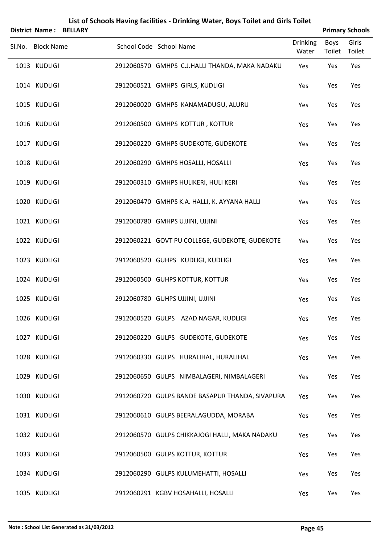| District Name:    | <b>BELLARY</b> |                                                 |                          |                       | <b>Primary Schools</b> |
|-------------------|----------------|-------------------------------------------------|--------------------------|-----------------------|------------------------|
| Sl.No. Block Name |                | School Code School Name                         | <b>Drinking</b><br>Water | Boys<br>Toilet Toilet | Girls                  |
| 1013 KUDLIGI      |                | 2912060570 GMHPS C.J.HALLI THANDA, MAKA NADAKU  | Yes                      | Yes                   | Yes                    |
| 1014 KUDLIGI      |                | 2912060521 GMHPS GIRLS, KUDLIGI                 | Yes                      | Yes                   | Yes                    |
| 1015 KUDLIGI      |                | 2912060020 GMHPS KANAMADUGU, ALURU              | Yes                      | Yes                   | Yes                    |
| 1016 KUDLIGI      |                | 2912060500 GMHPS KOTTUR, KOTTUR                 | Yes                      | Yes                   | Yes                    |
| 1017 KUDLIGI      |                | 2912060220 GMHPS GUDEKOTE, GUDEKOTE             | Yes                      | Yes                   | Yes                    |
| 1018 KUDLIGI      |                | 2912060290 GMHPS HOSALLI, HOSALLI               | Yes                      | Yes                   | Yes                    |
| 1019 KUDLIGI      |                | 2912060310 GMHPS HULIKERI, HULI KERI            | Yes                      | Yes                   | Yes                    |
| 1020 KUDLIGI      |                | 2912060470 GMHPS K.A. HALLI, K. AYYANA HALLI    | Yes                      | Yes                   | Yes                    |
| 1021 KUDLIGI      |                | 2912060780 GMHPS UJJINI, UJJINI                 | Yes                      | Yes                   | Yes                    |
| 1022 KUDLIGI      |                | 2912060221 GOVT PU COLLEGE, GUDEKOTE, GUDEKOTE  | Yes                      | Yes                   | Yes                    |
| 1023 KUDLIGI      |                | 2912060520 GUHPS KUDLIGI, KUDLIGI               | Yes                      | Yes                   | Yes                    |
| 1024 KUDLIGI      |                | 2912060500 GUHPS KOTTUR, KOTTUR                 | Yes                      | Yes                   | Yes                    |
| 1025 KUDLIGI      |                | 2912060780 GUHPS UJJINI, UJJINI                 | Yes                      | Yes                   | Yes                    |
| 1026 KUDLIGI      |                | 2912060520 GULPS AZAD NAGAR, KUDLIGI            | Yes                      | Yes                   | Yes                    |
| 1027 KUDLIGI      |                | 2912060220 GULPS GUDEKOTE, GUDEKOTE             | Yes                      | Yes                   | Yes                    |
| 1028 KUDLIGI      |                | 2912060330 GULPS HURALIHAL, HURALIHAL           | Yes                      | Yes                   | Yes                    |
| 1029 KUDLIGI      |                | 2912060650 GULPS NIMBALAGERI, NIMBALAGERI       | Yes                      | Yes                   | Yes                    |
| 1030 KUDLIGI      |                | 2912060720 GULPS BANDE BASAPUR THANDA, SIVAPURA | Yes                      | Yes                   | Yes                    |
| 1031 KUDLIGI      |                | 2912060610 GULPS BEERALAGUDDA, MORABA           | Yes                      | Yes                   | Yes                    |
| 1032 KUDLIGI      |                | 2912060570 GULPS CHIKKAJOGI HALLI, MAKA NADAKU  | Yes                      | Yes                   | Yes                    |
| 1033 KUDLIGI      |                | 2912060500 GULPS KOTTUR, KOTTUR                 | Yes                      | Yes                   | Yes                    |
| 1034 KUDLIGI      |                | 2912060290 GULPS KULUMEHATTI, HOSALLI           | Yes                      | Yes                   | Yes                    |
| 1035 KUDLIGI      |                | 2912060291 KGBV HOSAHALLI, HOSALLI              | Yes                      | Yes                   | Yes                    |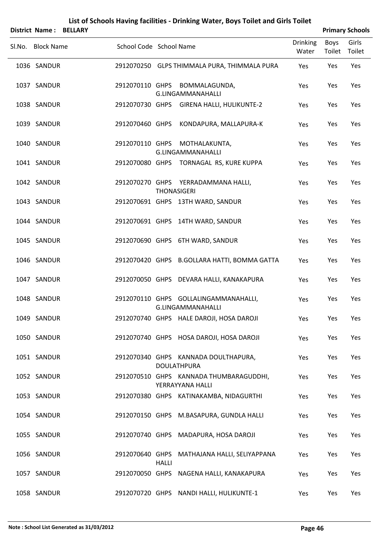|                   | District Name: BELLARY |                         |              |                                                                   |                          |                | <b>Primary Schools</b> |
|-------------------|------------------------|-------------------------|--------------|-------------------------------------------------------------------|--------------------------|----------------|------------------------|
| Sl.No. Block Name |                        | School Code School Name |              |                                                                   | <b>Drinking</b><br>Water | Boys<br>Toilet | Girls<br>Toilet        |
| 1036 SANDUR       |                        |                         |              | 2912070250 GLPS THIMMALA PURA, THIMMALA PURA                      | Yes                      | Yes            | Yes                    |
| 1037 SANDUR       |                        |                         |              | 2912070110 GHPS BOMMALAGUNDA,<br>G.LINGAMMANAHALLI                | Yes                      | Yes            | Yes                    |
| 1038 SANDUR       |                        |                         |              | 2912070730 GHPS GIRENA HALLI, HULIKUNTE-2                         | Yes                      | Yes            | Yes                    |
| 1039 SANDUR       |                        |                         |              | 2912070460 GHPS KONDAPURA, MALLAPURA-K                            | Yes                      | Yes            | Yes                    |
| 1040 SANDUR       |                        |                         |              | 2912070110 GHPS MOTHALAKUNTA,<br><b>G.LINGAMMANAHALLI</b>         | Yes                      | Yes            | Yes                    |
| 1041 SANDUR       |                        |                         |              | 2912070080 GHPS TORNAGAL RS, KURE KUPPA                           | Yes                      | Yes            | Yes                    |
| 1042 SANDUR       |                        |                         |              | 2912070270 GHPS YERRADAMMANA HALLI,<br><b>THONASIGERI</b>         | Yes                      | Yes            | Yes                    |
| 1043 SANDUR       |                        |                         |              | 2912070691 GHPS 13TH WARD, SANDUR                                 | Yes                      | Yes            | Yes                    |
| 1044 SANDUR       |                        |                         |              | 2912070691 GHPS 14TH WARD, SANDUR                                 | Yes                      | Yes            | Yes                    |
| 1045 SANDUR       |                        |                         |              | 2912070690 GHPS 6TH WARD, SANDUR                                  | Yes                      | Yes            | Yes                    |
| 1046 SANDUR       |                        |                         |              | 2912070420 GHPS B.GOLLARA HATTI, BOMMA GATTA                      | Yes                      | Yes            | Yes                    |
| 1047 SANDUR       |                        |                         |              | 2912070050 GHPS DEVARA HALLI, KANAKAPURA                          | Yes                      | Yes            | Yes                    |
| 1048 SANDUR       |                        |                         |              | 2912070110 GHPS GOLLALINGAMMANAHALLI,<br><b>G.LINGAMMANAHALLI</b> | Yes                      | Yes            | Yes                    |
| 1049 SANDUR       |                        |                         |              | 2912070740 GHPS HALE DAROJI, HOSA DAROJI                          | Yes                      | Yes            | Yes                    |
| 1050 SANDUR       |                        |                         |              | 2912070740 GHPS HOSA DAROJI, HOSA DAROJI                          | Yes                      | Yes            | Yes                    |
| 1051 SANDUR       |                        |                         |              | 2912070340 GHPS KANNADA DOULTHAPURA,<br><b>DOULATHPURA</b>        | Yes                      | Yes            | Yes                    |
| 1052 SANDUR       |                        |                         |              | 2912070510 GHPS KANNADA THUMBARAGUDDHI,<br>YERRAYYANA HALLI       | Yes                      | Yes            | Yes                    |
| 1053 SANDUR       |                        |                         |              | 2912070380 GHPS KATINAKAMBA, NIDAGURTHI                           | Yes                      | Yes            | Yes                    |
| 1054 SANDUR       |                        |                         |              | 2912070150 GHPS M.BASAPURA, GUNDLA HALLI                          | Yes                      | Yes            | Yes                    |
| 1055 SANDUR       |                        |                         |              | 2912070740 GHPS MADAPURA, HOSA DAROJI                             | Yes                      | Yes            | Yes                    |
| 1056 SANDUR       |                        |                         | <b>HALLI</b> | 2912070640 GHPS MATHAJANA HALLI, SELIYAPPANA                      | Yes                      | Yes            | Yes                    |
| 1057 SANDUR       |                        |                         |              | 2912070050 GHPS NAGENA HALLI, KANAKAPURA                          | Yes                      | Yes            | Yes                    |
| 1058 SANDUR       |                        |                         |              | 2912070720 GHPS NANDI HALLI, HULIKUNTE-1                          | Yes                      | Yes            | Yes                    |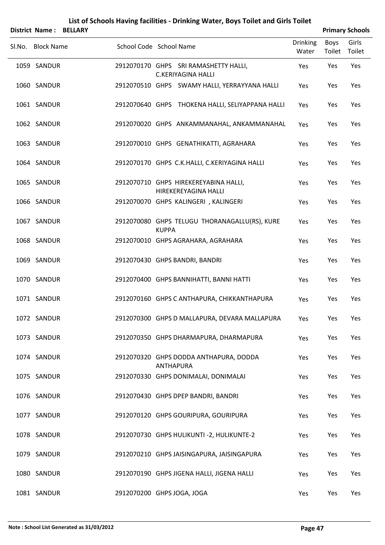|                   | <b>District Name: BELLARY</b> |                            |              |                                                                    |                          |                              | <b>Primary Schools</b> |
|-------------------|-------------------------------|----------------------------|--------------|--------------------------------------------------------------------|--------------------------|------------------------------|------------------------|
| Sl.No. Block Name |                               | School Code School Name    |              |                                                                    | <b>Drinking</b><br>Water | <b>Boys</b><br>Toilet Toilet | Girls                  |
| 1059 SANDUR       |                               |                            |              | 2912070170 GHPS SRI RAMASHETTY HALLI,<br><b>C.KERIYAGINA HALLI</b> | Yes                      | Yes                          | Yes                    |
| 1060 SANDUR       |                               |                            |              | 2912070510 GHPS SWAMY HALLI, YERRAYYANA HALLI                      | Yes                      | Yes                          | Yes                    |
| 1061 SANDUR       |                               |                            |              | 2912070640 GHPS THOKENA HALLI, SELIYAPPANA HALLI                   | Yes                      | Yes                          | Yes                    |
| 1062 SANDUR       |                               |                            |              | 2912070020 GHPS ANKAMMANAHAL, ANKAMMANAHAL                         | Yes                      | Yes                          | Yes                    |
| 1063 SANDUR       |                               |                            |              | 2912070010 GHPS GENATHIKATTI, AGRAHARA                             | Yes                      | Yes                          | Yes                    |
| 1064 SANDUR       |                               |                            |              | 2912070170 GHPS C.K.HALLI, C.KERIYAGINA HALLI                      | Yes                      | Yes                          | Yes                    |
| 1065 SANDUR       |                               |                            |              | 2912070710 GHPS HIREKEREYABINA HALLI,<br>HIREKEREYAGINA HALLI      | Yes                      | Yes                          | Yes                    |
| 1066 SANDUR       |                               |                            |              | 2912070070 GHPS KALINGERI , KALINGERI                              | Yes                      | Yes                          | Yes                    |
| 1067 SANDUR       |                               |                            | <b>KUPPA</b> | 2912070080 GHPS TELUGU THORANAGALLU(RS), KURE                      | Yes                      | Yes                          | Yes                    |
| 1068 SANDUR       |                               |                            |              | 2912070010 GHPS AGRAHARA, AGRAHARA                                 | Yes                      | Yes                          | Yes                    |
| 1069 SANDUR       |                               |                            |              | 2912070430 GHPS BANDRI, BANDRI                                     | Yes                      | Yes                          | Yes                    |
| 1070 SANDUR       |                               |                            |              | 2912070400 GHPS BANNIHATTI, BANNI HATTI                            | Yes                      | Yes                          | Yes                    |
| 1071 SANDUR       |                               |                            |              | 2912070160 GHPS C ANTHAPURA, CHIKKANTHAPURA                        | Yes                      | Yes                          | Yes                    |
| 1072 SANDUR       |                               |                            |              | 2912070300 GHPS D MALLAPURA, DEVARA MALLAPURA                      | Yes                      | Yes                          | Yes                    |
| 1073 SANDUR       |                               |                            |              | 2912070350 GHPS DHARMAPURA, DHARMAPURA                             | Yes                      | Yes                          | Yes                    |
| 1074 SANDUR       |                               |                            |              | 2912070320 GHPS DODDA ANTHAPURA, DODDA<br><b>ANTHAPURA</b>         | Yes                      | Yes                          | Yes                    |
| 1075 SANDUR       |                               |                            |              | 2912070330 GHPS DONIMALAI, DONIMALAI                               | Yes                      | Yes                          | Yes                    |
| 1076 SANDUR       |                               |                            |              | 2912070430 GHPS DPEP BANDRI, BANDRI                                | Yes                      | Yes                          | Yes                    |
| 1077 SANDUR       |                               |                            |              | 2912070120 GHPS GOURIPURA, GOURIPURA                               | Yes                      | Yes                          | Yes                    |
| 1078 SANDUR       |                               |                            |              | 2912070730 GHPS HULIKUNTI -2, HULIKUNTE-2                          | Yes                      | Yes                          | Yes                    |
| 1079 SANDUR       |                               |                            |              | 2912070210 GHPS JAISINGAPURA, JAISINGAPURA                         | Yes                      | Yes                          | Yes                    |
| 1080 SANDUR       |                               |                            |              | 2912070190 GHPS JIGENA HALLI, JIGENA HALLI                         | Yes                      | Yes                          | Yes                    |
| 1081 SANDUR       |                               | 2912070200 GHPS JOGA, JOGA |              |                                                                    | Yes                      | Yes                          | Yes                    |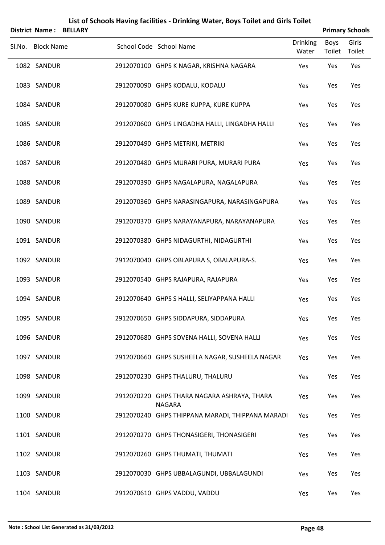|        | <b>District Name:</b> | <b>BELLARY</b> |                                                              |                          |                | <b>Primary Schools</b> |
|--------|-----------------------|----------------|--------------------------------------------------------------|--------------------------|----------------|------------------------|
| Sl.No. | <b>Block Name</b>     |                | School Code School Name                                      | <b>Drinking</b><br>Water | Boys<br>Toilet | Girls<br>Toilet        |
|        | 1082 SANDUR           |                | 2912070100 GHPS K NAGAR, KRISHNA NAGARA                      | Yes                      | Yes            | Yes                    |
|        | 1083 SANDUR           |                | 2912070090 GHPS KODALU, KODALU                               | Yes                      | Yes            | Yes                    |
|        | 1084 SANDUR           |                | 2912070080 GHPS KURE KUPPA, KURE KUPPA                       | Yes                      | Yes            | Yes                    |
|        | 1085 SANDUR           |                | 2912070600 GHPS LINGADHA HALLI, LINGADHA HALLI               | Yes                      | Yes            | Yes                    |
|        | 1086 SANDUR           |                | 2912070490 GHPS METRIKI, METRIKI                             | Yes                      | Yes            | Yes                    |
|        | 1087 SANDUR           |                | 2912070480 GHPS MURARI PURA, MURARI PURA                     | Yes                      | Yes            | Yes                    |
|        | 1088 SANDUR           |                | 2912070390 GHPS NAGALAPURA, NAGALAPURA                       | Yes                      | Yes            | Yes                    |
|        | 1089 SANDUR           |                | 2912070360 GHPS NARASINGAPURA, NARASINGAPURA                 | Yes                      | Yes            | Yes                    |
|        | 1090 SANDUR           |                | 2912070370 GHPS NARAYANAPURA, NARAYANAPURA                   | Yes                      | Yes            | Yes                    |
|        | 1091 SANDUR           |                | 2912070380 GHPS NIDAGURTHI, NIDAGURTHI                       | Yes                      | Yes            | Yes                    |
|        | 1092 SANDUR           |                | 2912070040 GHPS OBLAPURA S, OBALAPURA-S.                     | Yes                      | Yes            | Yes                    |
|        | 1093 SANDUR           |                | 2912070540 GHPS RAJAPURA, RAJAPURA                           | Yes                      | Yes            | Yes                    |
|        | 1094 SANDUR           |                | 2912070640 GHPS S HALLI, SELIYAPPANA HALLI                   | Yes                      | Yes            | Yes                    |
|        | 1095 SANDUR           |                | 2912070650 GHPS SIDDAPURA, SIDDAPURA                         | Yes                      | Yes            | Yes                    |
|        | 1096 SANDUR           |                | 2912070680 GHPS SOVENA HALLI, SOVENA HALLI                   | Yes                      | Yes            | Yes                    |
|        | 1097 SANDUR           |                | 2912070660 GHPS SUSHEELA NAGAR, SUSHEELA NAGAR               | Yes                      | Yes            | Yes                    |
|        | 1098 SANDUR           |                | 2912070230 GHPS THALURU, THALURU                             | Yes                      | Yes            | Yes                    |
|        | 1099 SANDUR           |                | 2912070220 GHPS THARA NAGARA ASHRAYA, THARA<br><b>NAGARA</b> | Yes                      | Yes            | Yes                    |
|        | 1100 SANDUR           |                | 2912070240 GHPS THIPPANA MARADI, THIPPANA MARADI             | Yes                      | Yes            | Yes                    |
|        | 1101 SANDUR           |                | 2912070270 GHPS THONASIGERI, THONASIGERI                     | Yes                      | Yes            | Yes                    |
|        | 1102 SANDUR           |                | 2912070260 GHPS THUMATI, THUMATI                             | Yes                      | Yes            | Yes                    |
|        | 1103 SANDUR           |                | 2912070030 GHPS UBBALAGUNDI, UBBALAGUNDI                     | Yes                      | Yes            | Yes                    |
|        | 1104 SANDUR           |                | 2912070610 GHPS VADDU, VADDU                                 | Yes                      | Yes            | Yes                    |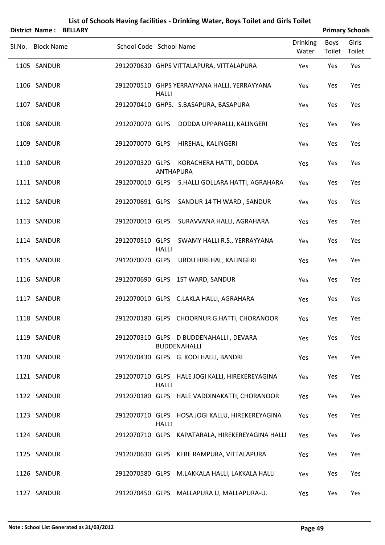|        |                   |                         |                  | List of Schools Having facilities - Drinking Water, Boys Toilet and Girls Toilet |                          |                       |                        |
|--------|-------------------|-------------------------|------------------|----------------------------------------------------------------------------------|--------------------------|-----------------------|------------------------|
|        | District Name:    | <b>BELLARY</b>          |                  |                                                                                  |                          |                       | <b>Primary Schools</b> |
| Sl.No. | <b>Block Name</b> | School Code School Name |                  |                                                                                  | <b>Drinking</b><br>Water | <b>Boys</b><br>Toilet | Girls<br>Toilet        |
|        | 1105 SANDUR       |                         |                  | 2912070630 GHPS VITTALAPURA, VITTALAPURA                                         | Yes                      | Yes                   | Yes                    |
|        | 1106 SANDUR       |                         | <b>HALLI</b>     | 2912070510 GHPS YERRAYYANA HALLI, YERRAYYANA                                     | Yes                      | Yes                   | Yes                    |
|        | 1107 SANDUR       |                         |                  | 2912070410 GHPS. S.BASAPURA, BASAPURA                                            | Yes                      | Yes                   | Yes                    |
|        | 1108 SANDUR       | 2912070070 GLPS         |                  | DODDA UPPARALLI, KALINGERI                                                       | Yes                      | Yes                   | Yes                    |
|        | 1109 SANDUR       | 2912070070 GLPS         |                  | HIREHAL, KALINGERI                                                               | Yes                      | Yes                   | Yes                    |
|        | 1110 SANDUR       | 2912070320 GLPS         | <b>ANTHAPURA</b> | KORACHERA HATTI, DODDA                                                           | Yes                      | Yes                   | Yes                    |
|        | 1111 SANDUR       | 2912070010 GLPS         |                  | S.HALLI GOLLARA HATTI, AGRAHARA                                                  | Yes                      | Yes                   | Yes                    |
|        | 1112 SANDUR       | 2912070691 GLPS         |                  | SANDUR 14 TH WARD, SANDUR                                                        | Yes                      | Yes                   | Yes                    |
|        | 1113 SANDUR       | 2912070010 GLPS         |                  | SURAVVANA HALLI, AGRAHARA                                                        | Yes                      | Yes                   | Yes                    |
|        | 1114 SANDUR       | 2912070510 GLPS         | <b>HALLI</b>     | SWAMY HALLI R.S., YERRAYYANA                                                     | Yes                      | Yes                   | Yes                    |
|        | 1115 SANDUR       | 2912070070 GLPS         |                  | URDU HIREHAL, KALINGERI                                                          | Yes                      | Yes                   | Yes                    |
|        | 1116 SANDUR       |                         |                  | 2912070690 GLPS 1ST WARD, SANDUR                                                 | Yes                      | Yes                   | Yes                    |
|        | 1117 SANDUR       |                         |                  | 2912070010 GLPS C.LAKLA HALLI, AGRAHARA                                          | Yes                      | Yes                   | Yes                    |
|        | 1118 SANDUR       |                         |                  | 2912070180 GLPS CHOORNUR G.HATTI, CHORANOOR                                      | Yes                      | Yes                   | Yes                    |
|        | 1119 SANDUR       |                         |                  | 2912070310 GLPS D BUDDENAHALLI, DEVARA<br><b>BUDDENAHALLI</b>                    | Yes                      | Yes                   | Yes                    |
|        | 1120 SANDUR       |                         |                  | 2912070430 GLPS G. KODI HALLI, BANDRI                                            | Yes                      | Yes                   | Yes                    |
|        | 1121 SANDUR       |                         | <b>HALLI</b>     | 2912070710 GLPS HALE JOGI KALLI, HIREKEREYAGINA                                  | Yes                      | Yes                   | Yes                    |
|        | 1122 SANDUR       |                         |                  | 2912070180 GLPS HALE VADDINAKATTI, CHORANOOR                                     | Yes                      | Yes                   | Yes                    |
|        | 1123 SANDUR       |                         | <b>HALLI</b>     | 2912070710 GLPS HOSA JOGI KALLU, HIREKEREYAGINA                                  | Yes                      | Yes                   | Yes                    |
|        | 1124 SANDUR       |                         |                  | 2912070710 GLPS KAPATARALA, HIREKEREYAGINA HALLI                                 | Yes                      | Yes                   | Yes                    |
|        | 1125 SANDUR       |                         |                  | 2912070630 GLPS KERE RAMPURA, VITTALAPURA                                        | Yes                      | Yes                   | Yes                    |
|        | 1126 SANDUR       |                         |                  | 2912070580 GLPS M.LAKKALA HALLI, LAKKALA HALLI                                   | Yes                      | Yes                   | Yes                    |
|        |                   |                         |                  |                                                                                  |                          |                       |                        |

1127 SANDUR 2912070450 GLPS MALLAPURA U, MALLAPURA-U. Yes Yes Yes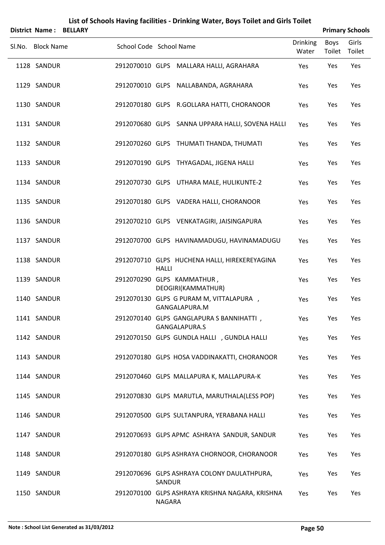|        | District Name:    | <b>BELLARY</b> |                         |              |                                                           |                          |                       | <b>Primary Schools</b> |
|--------|-------------------|----------------|-------------------------|--------------|-----------------------------------------------------------|--------------------------|-----------------------|------------------------|
| Sl.No. | <b>Block Name</b> |                | School Code School Name |              |                                                           | <b>Drinking</b><br>Water | <b>Boys</b><br>Toilet | Girls<br>Toilet        |
|        | 1128 SANDUR       |                |                         |              | 2912070010 GLPS MALLARA HALLI, AGRAHARA                   | Yes                      | Yes                   | Yes                    |
|        | 1129 SANDUR       |                |                         |              | 2912070010 GLPS NALLABANDA, AGRAHARA                      | Yes                      | Yes                   | Yes                    |
|        | 1130 SANDUR       |                |                         |              | 2912070180 GLPS R.GOLLARA HATTI, CHORANOOR                | Yes                      | Yes                   | Yes                    |
|        | 1131 SANDUR       |                |                         |              | 2912070680 GLPS SANNA UPPARA HALLI, SOVENA HALLI          | Yes                      | Yes                   | Yes                    |
|        | 1132 SANDUR       |                |                         |              | 2912070260 GLPS THUMATI THANDA, THUMATI                   | Yes                      | Yes                   | Yes                    |
|        | 1133 SANDUR       |                |                         |              | 2912070190 GLPS THYAGADAL, JIGENA HALLI                   | Yes                      | Yes                   | Yes                    |
|        | 1134 SANDUR       |                |                         |              | 2912070730 GLPS UTHARA MALE, HULIKUNTE-2                  | Yes                      | Yes                   | Yes                    |
|        | 1135 SANDUR       |                |                         |              | 2912070180 GLPS VADERA HALLI, CHORANOOR                   | Yes                      | Yes                   | Yes                    |
|        | 1136 SANDUR       |                |                         |              | 2912070210 GLPS VENKATAGIRI, JAISINGAPURA                 | Yes                      | Yes                   | Yes                    |
|        | 1137 SANDUR       |                |                         |              | 2912070700 GLPS HAVINAMADUGU, HAVINAMADUGU                | Yes                      | Yes                   | Yes                    |
|        | 1138 SANDUR       |                |                         | <b>HALLI</b> | 2912070710 GLPS HUCHENA HALLI, HIREKEREYAGINA             | Yes                      | Yes                   | Yes                    |
|        | 1139 SANDUR       |                |                         |              | 2912070290 GLPS KAMMATHUR,<br>DEOGIRI(KAMMATHUR)          | Yes                      | Yes                   | Yes                    |
|        | 1140 SANDUR       |                |                         |              | 2912070130 GLPS G PURAM M, VITTALAPURA,<br>GANGALAPURA.M  | Yes                      | Yes                   | Yes                    |
|        | 1141 SANDUR       |                |                         |              | 2912070140 GLPS GANGLAPURA S BANNIHATTI,<br>GANGALAPURA.S | Yes                      | Yes                   | Yes                    |
|        | 1142 SANDUR       |                |                         |              | 2912070150 GLPS GUNDLA HALLI, GUNDLA HALLI                | Yes                      | Yes                   | Yes                    |
|        | 1143 SANDUR       |                |                         |              | 2912070180 GLPS HOSA VADDINAKATTI, CHORANOOR              | Yes                      | Yes                   | Yes                    |
|        | 1144 SANDUR       |                |                         |              | 2912070460 GLPS MALLAPURA K, MALLAPURA-K                  | Yes                      | Yes                   | Yes                    |
|        | 1145 SANDUR       |                |                         |              | 2912070830 GLPS MARUTLA, MARUTHALA(LESS POP)              | Yes                      | Yes                   | Yes                    |
|        | 1146 SANDUR       |                |                         |              | 2912070500 GLPS SULTANPURA, YERABANA HALLI                | Yes                      | Yes                   | Yes                    |
|        | 1147 SANDUR       |                |                         |              | 2912070693 GLPS APMC ASHRAYA SANDUR, SANDUR               | Yes                      | Yes                   | Yes                    |
|        | 1148 SANDUR       |                |                         |              | 2912070180 GLPS ASHRAYA CHORNOOR, CHORANOOR               | Yes                      | Yes                   | Yes                    |
|        | 1149 SANDUR       |                |                         | SANDUR       | 2912070696 GLPS ASHRAYA COLONY DAULATHPURA,               | Yes                      | Yes                   | Yes                    |
|        | 1150 SANDUR       |                |                         | NAGARA       | 2912070100 GLPS ASHRAYA KRISHNA NAGARA, KRISHNA           | Yes                      | Yes                   | Yes                    |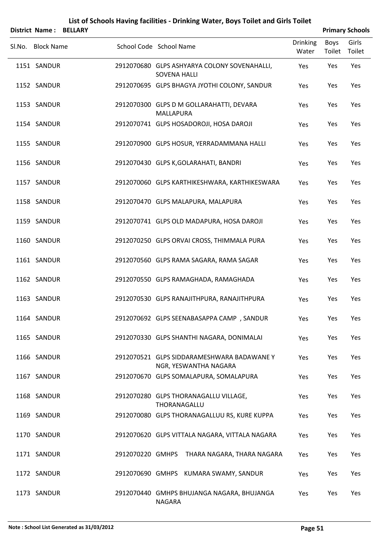| <b>District Name:</b> | <b>BELLARY</b> |                         |                     | List of Schools Having facilities - Drinking Water, Boys Toilet and Girls Toilet |                          |                | <b>Primary Schools</b> |
|-----------------------|----------------|-------------------------|---------------------|----------------------------------------------------------------------------------|--------------------------|----------------|------------------------|
| Sl.No. Block Name     |                | School Code School Name |                     |                                                                                  | <b>Drinking</b><br>Water | Boys<br>Toilet | Girls<br>Toilet        |
| 1151 SANDUR           |                |                         | <b>SOVENA HALLI</b> | 2912070680 GLPS ASHYARYA COLONY SOVENAHALLI,                                     | Yes                      | Yes            | Yes                    |
| 1152 SANDUR           |                |                         |                     | 2912070695 GLPS BHAGYA JYOTHI COLONY, SANDUR                                     | Yes                      | Yes            | Yes                    |
| 1153 SANDUR           |                |                         | <b>MALLAPURA</b>    | 2912070300 GLPS D M GOLLARAHATTI, DEVARA                                         | Yes                      | Yes            | Yes                    |
| 1154 SANDUR           |                |                         |                     | 2912070741 GLPS HOSADOROJI, HOSA DAROJI                                          | Yes                      | Yes            | Yes                    |
| 1155 SANDUR           |                |                         |                     | 2912070900 GLPS HOSUR, YERRADAMMANA HALLI                                        | Yes                      | Yes            | Yes                    |
| 1156 SANDUR           |                |                         |                     | 2912070430 GLPS K, GOLARAHATI, BANDRI                                            | Yes                      | Yes            | Yes                    |
| 1157 SANDUR           |                |                         |                     | 2912070060 GLPS KARTHIKESHWARA, KARTHIKESWARA                                    | Yes                      | Yes            | Yes                    |
| 1158 SANDUR           |                |                         |                     | 2912070470 GLPS MALAPURA, MALAPURA                                               | Yes                      | Yes            | Yes                    |
| 1159 SANDUR           |                |                         |                     | 2912070741 GLPS OLD MADAPURA, HOSA DAROJI                                        | Yes                      | Yes            | Yes                    |
| 1160 SANDUR           |                |                         |                     | 2912070250 GLPS ORVAI CROSS, THIMMALA PURA                                       | Yes                      | Yes            | Yes                    |
| 1161 SANDUR           |                |                         |                     | 2912070560 GLPS RAMA SAGARA, RAMA SAGAR                                          | Yes                      | Yes            | Yes                    |
| 1162 SANDUR           |                |                         |                     | 2912070550 GLPS RAMAGHADA, RAMAGHADA                                             | Yes                      | Yes            | Yes                    |
| 1163 SANDUR           |                |                         |                     | 2912070530 GLPS RANAJITHPURA, RANAJITHPURA                                       | Yes                      | Yes            | Yes                    |
| 1164 SANDUR           |                |                         |                     | 2912070692 GLPS SEENABASAPPA CAMP, SANDUR                                        | Yes                      | Yes            | Yes                    |
| 1165 SANDUR           |                |                         |                     | 2912070330 GLPS SHANTHI NAGARA, DONIMALAI                                        | Yes                      | Yes            | Yes                    |
| 1166 SANDUR           |                |                         |                     | 2912070521 GLPS SIDDARAMESHWARA BADAWANEY<br>NGR, YESWANTHA NAGARA               | Yes                      | Yes            | Yes                    |
| 1167 SANDUR           |                |                         |                     | 2912070670 GLPS SOMALAPURA, SOMALAPURA                                           | Yes                      | Yes            | Yes                    |
| 1168 SANDUR           |                |                         | THORANAGALLU        | 2912070280 GLPS THORANAGALLU VILLAGE,                                            | Yes                      | Yes            | Yes                    |
| 1169 SANDUR           |                |                         |                     | 2912070080 GLPS THORANAGALLUU RS, KURE KUPPA                                     | Yes                      | Yes            | Yes                    |
| 1170 SANDUR           |                |                         |                     | 2912070620 GLPS VITTALA NAGARA, VITTALA NAGARA                                   | Yes                      | Yes            | Yes                    |
| 1171 SANDUR           |                |                         |                     | 2912070220 GMHPS THARA NAGARA, THARA NAGARA                                      | Yes                      | Yes            | Yes                    |
| 1172 SANDUR           |                |                         |                     | 2912070690 GMHPS KUMARA SWAMY, SANDUR                                            | Yes                      | Yes            | Yes                    |
| 1173 SANDUR           |                |                         | <b>NAGARA</b>       | 2912070440 GMHPS BHUJANGA NAGARA, BHUJANGA                                       | Yes                      | Yes            | Yes                    |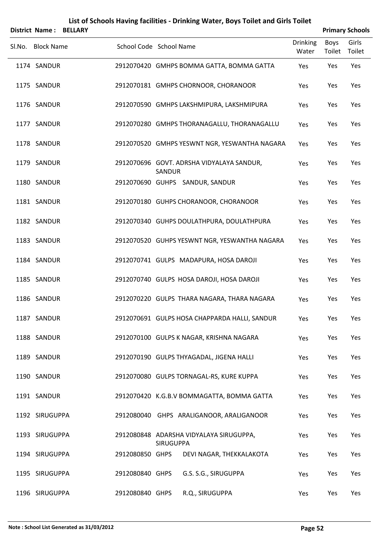| District Name:    | <b>BELLARY</b>          |                  | List of Schools Having facilities - Drinking Water, Boys Toilet and Girls Toilet |                          |                       | <b>Primary Schools</b> |
|-------------------|-------------------------|------------------|----------------------------------------------------------------------------------|--------------------------|-----------------------|------------------------|
| Sl.No. Block Name | School Code School Name |                  |                                                                                  | <b>Drinking</b><br>Water | <b>Boys</b><br>Toilet | Girls<br>Toilet        |
| 1174 SANDUR       |                         |                  | 2912070420 GMHPS BOMMA GATTA, BOMMA GATTA                                        | Yes                      | Yes                   | Yes                    |
| 1175 SANDUR       |                         |                  | 2912070181 GMHPS CHORNOOR, CHORANOOR                                             | Yes                      | Yes                   | Yes                    |
| 1176 SANDUR       |                         |                  | 2912070590 GMHPS LAKSHMIPURA, LAKSHMIPURA                                        | Yes                      | Yes                   | Yes                    |
| 1177 SANDUR       |                         |                  | 2912070280 GMHPS THORANAGALLU, THORANAGALLU                                      | Yes                      | Yes                   | Yes                    |
| 1178 SANDUR       |                         |                  | 2912070520 GMHPS YESWNT NGR, YESWANTHA NAGARA                                    | Yes                      | Yes                   | Yes                    |
| 1179 SANDUR       |                         | SANDUR           | 2912070696 GOVT. ADRSHA VIDYALAYA SANDUR,                                        | Yes                      | Yes                   | Yes                    |
| 1180 SANDUR       |                         |                  | 2912070690 GUHPS SANDUR, SANDUR                                                  | Yes                      | Yes                   | Yes                    |
| 1181 SANDUR       |                         |                  | 2912070180 GUHPS CHORANOOR, CHORANOOR                                            | Yes                      | Yes                   | Yes                    |
| 1182 SANDUR       |                         |                  | 2912070340 GUHPS DOULATHPURA, DOULATHPURA                                        | Yes                      | Yes                   | Yes                    |
| 1183 SANDUR       |                         |                  | 2912070520 GUHPS YESWNT NGR, YESWANTHA NAGARA                                    | Yes                      | Yes                   | Yes                    |
| 1184 SANDUR       |                         |                  | 2912070741 GULPS MADAPURA, HOSA DAROJI                                           | Yes                      | Yes                   | Yes                    |
| 1185 SANDUR       |                         |                  | 2912070740 GULPS HOSA DAROJI, HOSA DAROJI                                        | Yes                      | Yes                   | Yes                    |
| 1186 SANDUR       |                         |                  | 2912070220 GULPS THARA NAGARA, THARA NAGARA                                      | Yes                      | Yes                   | Yes                    |
| 1187 SANDUR       |                         |                  | 2912070691 GULPS HOSA CHAPPARDA HALLI, SANDUR                                    | Yes                      | Yes                   | Yes                    |
| 1188 SANDUR       |                         |                  | 2912070100 GULPS K NAGAR, KRISHNA NAGARA                                         | Yes                      | Yes                   | Yes                    |
| 1189 SANDUR       |                         |                  | 2912070190 GULPS THYAGADAL, JIGENA HALLI                                         | Yes                      | Yes                   | Yes                    |
| 1190 SANDUR       |                         |                  | 2912070080 GULPS TORNAGAL-RS, KURE KUPPA                                         | Yes                      | Yes                   | Yes                    |
| 1191 SANDUR       |                         |                  | 2912070420 K.G.B.V BOMMAGATTA, BOMMA GATTA                                       | Yes                      | Yes                   | Yes                    |
| 1192 SIRUGUPPA    |                         |                  | 2912080040 GHPS ARALIGANOOR, ARALIGANOOR                                         | Yes                      | Yes                   | Yes                    |
| 1193 SIRUGUPPA    |                         | <b>SIRUGUPPA</b> | 2912080848 ADARSHA VIDYALAYA SIRUGUPPA,                                          | Yes                      | Yes                   | Yes                    |
| 1194 SIRUGUPPA    | 2912080850 GHPS         |                  | DEVI NAGAR, THEKKALAKOTA                                                         | Yes                      | Yes                   | Yes                    |
| 1195 SIRUGUPPA    | 2912080840 GHPS         |                  | G.S. S.G., SIRUGUPPA                                                             | Yes                      | Yes                   | Yes                    |
| 1196 SIRUGUPPA    | 2912080840 GHPS         |                  | R.Q., SIRUGUPPA                                                                  | Yes                      | Yes                   | Yes                    |

#### **Note : School List Generated as 31/03/2012 Page 52**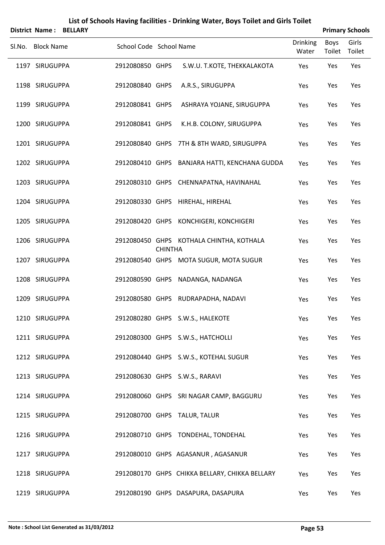|  | List of Schools Having facilities - Drinking Water, Boys Toilet and Girls Toilet |
|--|----------------------------------------------------------------------------------|
|--|----------------------------------------------------------------------------------|

|                   | <b>District Name: BELLARY</b> |                         |                |                                                |                          |                | <b>Primary Schools</b> |
|-------------------|-------------------------------|-------------------------|----------------|------------------------------------------------|--------------------------|----------------|------------------------|
| Sl.No. Block Name |                               | School Code School Name |                |                                                | <b>Drinking</b><br>Water | Boys<br>Toilet | Girls<br>Toilet        |
| 1197 SIRUGUPPA    |                               | 2912080850 GHPS         |                | S.W.U. T.KOTE, THEKKALAKOTA                    | Yes                      | Yes            | Yes                    |
| 1198 SIRUGUPPA    |                               | 2912080840 GHPS         |                | A.R.S., SIRUGUPPA                              | Yes                      | Yes            | Yes                    |
| 1199 SIRUGUPPA    |                               | 2912080841 GHPS         |                | ASHRAYA YOJANE, SIRUGUPPA                      | Yes                      | Yes            | Yes                    |
| 1200 SIRUGUPPA    |                               | 2912080841 GHPS         |                | K.H.B. COLONY, SIRUGUPPA                       | Yes                      | Yes            | Yes                    |
| 1201 SIRUGUPPA    |                               |                         |                | 2912080840 GHPS 7TH & 8TH WARD, SIRUGUPPA      | Yes                      | Yes            | Yes                    |
| 1202 SIRUGUPPA    |                               |                         |                | 2912080410 GHPS BANJARA HATTI, KENCHANA GUDDA  | Yes                      | Yes            | Yes                    |
| 1203 SIRUGUPPA    |                               |                         |                | 2912080310 GHPS CHENNAPATNA, HAVINAHAL         | Yes                      | Yes            | Yes                    |
| 1204 SIRUGUPPA    |                               |                         |                | 2912080330 GHPS HIREHAL, HIREHAL               | Yes                      | Yes            | Yes                    |
| 1205 SIRUGUPPA    |                               |                         |                | 2912080420 GHPS KONCHIGERI, KONCHIGERI         | Yes                      | Yes            | Yes                    |
| 1206 SIRUGUPPA    |                               |                         | <b>CHINTHA</b> | 2912080450 GHPS KOTHALA CHINTHA, KOTHALA       | Yes                      | Yes            | Yes                    |
| 1207 SIRUGUPPA    |                               |                         |                | 2912080540 GHPS MOTA SUGUR, MOTA SUGUR         | Yes                      | Yes            | Yes                    |
| 1208 SIRUGUPPA    |                               |                         |                | 2912080590 GHPS NADANGA, NADANGA               | Yes                      | Yes            | Yes                    |
| 1209 SIRUGUPPA    |                               |                         |                | 2912080580 GHPS RUDRAPADHA, NADAVI             | Yes                      | Yes            | Yes                    |
| 1210 SIRUGUPPA    |                               |                         |                | 2912080280 GHPS S.W.S., HALEKOTE               | Yes                      | Yes            | Yes                    |
| 1211 SIRUGUPPA    |                               |                         |                | 2912080300 GHPS S.W.S., HATCHOLLI              | Yes                      | Yes            | Yes                    |
| 1212 SIRUGUPPA    |                               |                         |                | 2912080440 GHPS S.W.S., KOTEHAL SUGUR          | Yes                      | Yes            | Yes                    |
| 1213 SIRUGUPPA    |                               |                         |                | 2912080630 GHPS S.W.S., RARAVI                 | Yes                      | Yes            | Yes                    |
| 1214 SIRUGUPPA    |                               |                         |                | 2912080060 GHPS SRI NAGAR CAMP, BAGGURU        | Yes                      | Yes            | Yes                    |
| 1215 SIRUGUPPA    |                               |                         |                | 2912080700 GHPS TALUR, TALUR                   | Yes                      | Yes            | Yes                    |
| 1216 SIRUGUPPA    |                               |                         |                | 2912080710 GHPS TONDEHAL, TONDEHAL             | Yes                      | Yes            | Yes                    |
| 1217 SIRUGUPPA    |                               |                         |                | 2912080010 GHPS AGASANUR, AGASANUR             | Yes                      | Yes            | Yes                    |
| 1218 SIRUGUPPA    |                               |                         |                | 2912080170 GHPS CHIKKA BELLARY, CHIKKA BELLARY | Yes                      | Yes            | Yes                    |
| 1219 SIRUGUPPA    |                               |                         |                | 2912080190 GHPS DASAPURA, DASAPURA             | Yes                      | Yes            | Yes                    |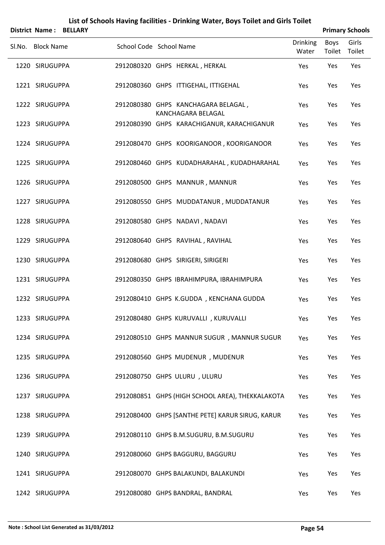|                   | District Name: BELLARY |                         |  |                                                           |                          |                | <b>Primary Schools</b> |
|-------------------|------------------------|-------------------------|--|-----------------------------------------------------------|--------------------------|----------------|------------------------|
| Sl.No. Block Name |                        | School Code School Name |  |                                                           | <b>Drinking</b><br>Water | Boys<br>Toilet | Girls<br>Toilet        |
| 1220 SIRUGUPPA    |                        |                         |  | 2912080320 GHPS HERKAL, HERKAL                            | Yes                      | Yes            | Yes                    |
| 1221 SIRUGUPPA    |                        |                         |  | 2912080360 GHPS ITTIGEHAL, ITTIGEHAL                      | Yes                      | Yes            | Yes                    |
| 1222 SIRUGUPPA    |                        |                         |  | 2912080380 GHPS KANCHAGARA BELAGAL,<br>KANCHAGARA BELAGAL | Yes                      | Yes            | Yes                    |
| 1223 SIRUGUPPA    |                        |                         |  | 2912080390 GHPS KARACHIGANUR, KARACHIGANUR                | Yes                      | Yes            | Yes                    |
| 1224 SIRUGUPPA    |                        |                         |  | 2912080470 GHPS KOORIGANOOR, KOORIGANOOR                  | Yes                      | Yes            | Yes                    |
| 1225 SIRUGUPPA    |                        |                         |  | 2912080460 GHPS KUDADHARAHAL, KUDADHARAHAL                | Yes                      | Yes            | Yes                    |
| 1226 SIRUGUPPA    |                        |                         |  | 2912080500 GHPS MANNUR, MANNUR                            | Yes                      | Yes            | Yes                    |
| 1227 SIRUGUPPA    |                        |                         |  | 2912080550 GHPS MUDDATANUR, MUDDATANUR                    | Yes                      | Yes            | Yes                    |
| 1228 SIRUGUPPA    |                        |                         |  | 2912080580 GHPS NADAVI, NADAVI                            | Yes                      | Yes            | Yes                    |
| 1229 SIRUGUPPA    |                        |                         |  | 2912080640 GHPS RAVIHAL, RAVIHAL                          | Yes                      | Yes            | Yes                    |
| 1230 SIRUGUPPA    |                        |                         |  | 2912080680 GHPS SIRIGERI, SIRIGERI                        | Yes                      | Yes            | Yes                    |
| 1231 SIRUGUPPA    |                        |                         |  | 2912080350 GHPS IBRAHIMPURA, IBRAHIMPURA                  | Yes                      | Yes            | Yes                    |
| 1232 SIRUGUPPA    |                        |                         |  | 2912080410 GHPS K.GUDDA, KENCHANA GUDDA                   | Yes                      | Yes            | Yes                    |
| 1233 SIRUGUPPA    |                        |                         |  | 2912080480 GHPS KURUVALLI, KURUVALLI                      | Yes                      | Yes            | Yes                    |
| 1234 SIRUGUPPA    |                        |                         |  | 2912080510 GHPS MANNUR SUGUR, MANNUR SUGUR                | Yes                      | Yes            | Yes                    |
| 1235 SIRUGUPPA    |                        |                         |  | 2912080560 GHPS MUDENUR, MUDENUR                          | Yes                      | Yes            | Yes                    |
| 1236 SIRUGUPPA    |                        |                         |  | 2912080750 GHPS ULURU, ULURU                              | Yes                      | Yes            | Yes                    |
| 1237 SIRUGUPPA    |                        |                         |  | 2912080851 GHPS (HIGH SCHOOL AREA), THEKKALAKOTA          | Yes                      | Yes            | Yes                    |
| 1238 SIRUGUPPA    |                        |                         |  | 2912080400 GHPS [SANTHE PETE] KARUR SIRUG, KARUR          | Yes                      | Yes            | Yes                    |
| 1239 SIRUGUPPA    |                        |                         |  | 2912080110 GHPS B.M.SUGURU, B.M.SUGURU                    | Yes                      | Yes            | Yes                    |
| 1240 SIRUGUPPA    |                        |                         |  | 2912080060 GHPS BAGGURU, BAGGURU                          | Yes                      | Yes            | Yes                    |
| 1241 SIRUGUPPA    |                        |                         |  | 2912080070 GHPS BALAKUNDI, BALAKUNDI                      | Yes                      | Yes            | Yes                    |
| 1242 SIRUGUPPA    |                        |                         |  | 2912080080 GHPS BANDRAL, BANDRAL                          | Yes                      | Yes            | Yes                    |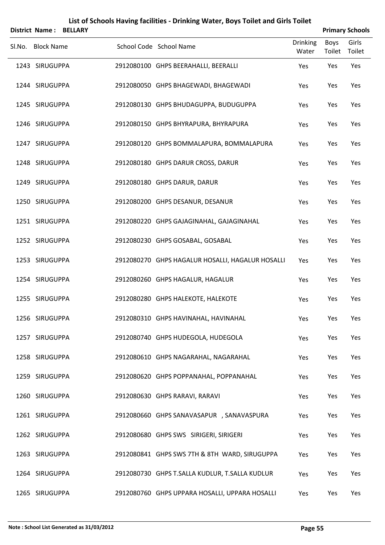|        | <b>District Name:</b> | <b>BELLARY</b> |                                                  |                          |                | <b>Primary Schools</b> |
|--------|-----------------------|----------------|--------------------------------------------------|--------------------------|----------------|------------------------|
| Sl.No. | <b>Block Name</b>     |                | School Code School Name                          | <b>Drinking</b><br>Water | Boys<br>Toilet | Girls<br>Toilet        |
|        | 1243 SIRUGUPPA        |                | 2912080100 GHPS BEERAHALLI, BEERALLI             | Yes                      | Yes            | Yes                    |
|        | 1244 SIRUGUPPA        |                | 2912080050 GHPS BHAGEWADI, BHAGEWADI             | Yes                      | Yes            | Yes                    |
|        | 1245 SIRUGUPPA        |                | 2912080130 GHPS BHUDAGUPPA, BUDUGUPPA            | Yes                      | Yes            | Yes                    |
|        | 1246 SIRUGUPPA        |                | 2912080150 GHPS BHYRAPURA, BHYRAPURA             | Yes                      | Yes            | Yes                    |
|        | 1247 SIRUGUPPA        |                | 2912080120 GHPS BOMMALAPURA, BOMMALAPURA         | Yes                      | Yes            | Yes                    |
|        | 1248 SIRUGUPPA        |                | 2912080180 GHPS DARUR CROSS, DARUR               | Yes                      | Yes            | Yes                    |
|        | 1249 SIRUGUPPA        |                | 2912080180 GHPS DARUR, DARUR                     | Yes                      | Yes            | Yes                    |
|        | 1250 SIRUGUPPA        |                | 2912080200 GHPS DESANUR, DESANUR                 | Yes                      | Yes            | Yes                    |
|        | 1251 SIRUGUPPA        |                | 2912080220 GHPS GAJAGINAHAL, GAJAGINAHAL         | Yes                      | Yes            | Yes                    |
|        | 1252 SIRUGUPPA        |                | 2912080230 GHPS GOSABAL, GOSABAL                 | Yes                      | Yes            | Yes                    |
|        | 1253 SIRUGUPPA        |                | 2912080270 GHPS HAGALUR HOSALLI, HAGALUR HOSALLI | Yes                      | Yes            | Yes                    |
|        | 1254 SIRUGUPPA        |                | 2912080260 GHPS HAGALUR, HAGALUR                 | Yes                      | Yes            | Yes                    |
|        | 1255 SIRUGUPPA        |                | 2912080280 GHPS HALEKOTE, HALEKOTE               | Yes                      | Yes            | Yes                    |
|        | 1256 SIRUGUPPA        |                | 2912080310 GHPS HAVINAHAL, HAVINAHAL             | Yes                      | Yes            | Yes                    |
|        | 1257 SIRUGUPPA        |                | 2912080740 GHPS HUDEGOLA, HUDEGOLA               | Yes                      | Yes            | Yes                    |
|        | 1258 SIRUGUPPA        |                | 2912080610 GHPS NAGARAHAL, NAGARAHAL             | Yes                      | Yes            | Yes                    |
|        | 1259 SIRUGUPPA        |                | 2912080620 GHPS POPPANAHAL, POPPANAHAL           | Yes                      | Yes            | Yes                    |
|        | 1260 SIRUGUPPA        |                | 2912080630 GHPS RARAVI, RARAVI                   | Yes                      | Yes            | Yes                    |
|        | 1261 SIRUGUPPA        |                | 2912080660 GHPS SANAVASAPUR , SANAVASPURA        | Yes                      | Yes            | Yes                    |
|        | 1262 SIRUGUPPA        |                | 2912080680 GHPS SWS SIRIGERI, SIRIGERI           | Yes                      | Yes            | Yes                    |
|        | 1263 SIRUGUPPA        |                | 2912080841 GHPS SWS 7TH & 8TH WARD, SIRUGUPPA    | Yes                      | Yes            | Yes                    |
|        | 1264 SIRUGUPPA        |                | 2912080730 GHPS T.SALLA KUDLUR, T.SALLA KUDLUR   | Yes                      | Yes            | Yes                    |
|        | 1265 SIRUGUPPA        |                | 2912080760 GHPS UPPARA HOSALLI, UPPARA HOSALLI   | Yes                      | Yes            | Yes                    |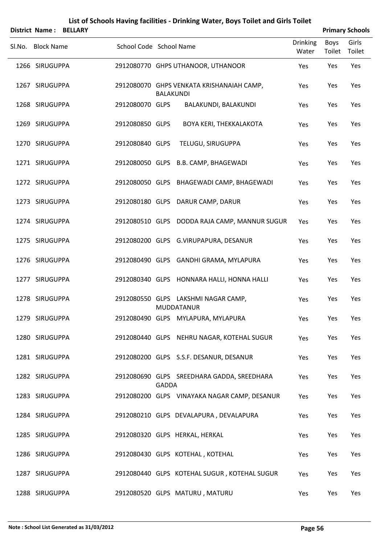|        | <b>District Name:</b> | <b>BELLARY</b> |                         |                  |                                                          |                          |                | <b>Primary Schools</b> |
|--------|-----------------------|----------------|-------------------------|------------------|----------------------------------------------------------|--------------------------|----------------|------------------------|
| Sl.No. | <b>Block Name</b>     |                | School Code School Name |                  |                                                          | <b>Drinking</b><br>Water | Boys<br>Toilet | Girls<br>Toilet        |
|        | 1266 SIRUGUPPA        |                |                         |                  | 2912080770 GHPS UTHANOOR, UTHANOOR                       | Yes                      | Yes            | Yes                    |
|        | 1267 SIRUGUPPA        |                |                         | <b>BALAKUNDI</b> | 2912080070 GHPS VENKATA KRISHANAIAH CAMP,                | Yes                      | Yes            | Yes                    |
|        | 1268 SIRUGUPPA        |                | 2912080070 GLPS         |                  | BALAKUNDI, BALAKUNDI                                     | Yes                      | Yes            | Yes                    |
|        | 1269 SIRUGUPPA        |                | 2912080850 GLPS         |                  | BOYA KERI, THEKKALAKOTA                                  | Yes                      | Yes            | Yes                    |
|        | 1270 SIRUGUPPA        |                | 2912080840 GLPS         |                  | TELUGU, SIRUGUPPA                                        | Yes                      | Yes            | Yes                    |
|        | 1271 SIRUGUPPA        |                |                         |                  | 2912080050 GLPS B.B. CAMP, BHAGEWADI                     | Yes                      | Yes            | Yes                    |
|        | 1272 SIRUGUPPA        |                |                         |                  | 2912080050 GLPS BHAGEWADI CAMP, BHAGEWADI                | Yes                      | Yes            | Yes                    |
|        | 1273 SIRUGUPPA        |                |                         |                  | 2912080180 GLPS DARUR CAMP, DARUR                        | Yes                      | Yes            | Yes                    |
|        | 1274 SIRUGUPPA        |                |                         |                  | 2912080510 GLPS DODDA RAJA CAMP, MANNUR SUGUR            | Yes                      | Yes            | Yes                    |
|        | 1275 SIRUGUPPA        |                |                         |                  | 2912080200 GLPS G.VIRUPAPURA, DESANUR                    | Yes                      | Yes            | Yes                    |
|        | 1276 SIRUGUPPA        |                |                         |                  | 2912080490 GLPS GANDHI GRAMA, MYLAPURA                   | Yes                      | Yes            | Yes                    |
|        | 1277 SIRUGUPPA        |                |                         |                  | 2912080340 GLPS HONNARA HALLI, HONNA HALLI               | Yes                      | Yes            | Yes                    |
|        | 1278 SIRUGUPPA        |                |                         |                  | 2912080550 GLPS LAKSHMI NAGAR CAMP,<br><b>MUDDATANUR</b> | Yes                      | Yes            | Yes                    |
|        | 1279 SIRUGUPPA        |                |                         |                  | 2912080490 GLPS MYLAPURA, MYLAPURA                       | Yes                      | Yes            | Yes                    |
|        | 1280 SIRUGUPPA        |                |                         |                  | 2912080440 GLPS NEHRU NAGAR, KOTEHAL SUGUR               | Yes                      | Yes            | Yes                    |
|        | 1281 SIRUGUPPA        |                |                         |                  | 2912080200 GLPS S.S.F. DESANUR, DESANUR                  | Yes                      | Yes            | Yes                    |
|        | 1282 SIRUGUPPA        |                |                         | <b>GADDA</b>     | 2912080690 GLPS SREEDHARA GADDA, SREEDHARA               | Yes                      | Yes            | Yes                    |
|        | 1283 SIRUGUPPA        |                |                         |                  | 2912080200 GLPS VINAYAKA NAGAR CAMP, DESANUR             | Yes                      | Yes            | Yes                    |
|        | 1284 SIRUGUPPA        |                |                         |                  | 2912080210 GLPS DEVALAPURA, DEVALAPURA                   | Yes                      | Yes            | Yes                    |
|        | 1285 SIRUGUPPA        |                |                         |                  | 2912080320 GLPS HERKAL, HERKAL                           | Yes                      | Yes            | Yes                    |
|        | 1286 SIRUGUPPA        |                |                         |                  | 2912080430 GLPS KOTEHAL, KOTEHAL                         | Yes                      | Yes            | Yes                    |
|        | 1287 SIRUGUPPA        |                |                         |                  | 2912080440 GLPS KOTEHAL SUGUR, KOTEHAL SUGUR             | Yes                      | Yes            | Yes                    |
|        | 1288 SIRUGUPPA        |                |                         |                  | 2912080520 GLPS MATURU, MATURU                           | Yes                      | Yes            | Yes                    |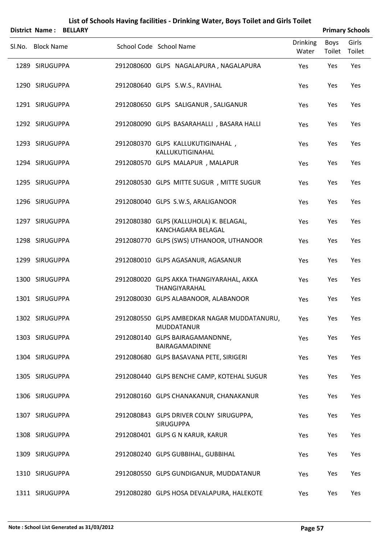|        |                   |                | List of Schools Having facilities - Drinking Water, Boys Toilet and Girls Toilet |                          |                |                        |
|--------|-------------------|----------------|----------------------------------------------------------------------------------|--------------------------|----------------|------------------------|
|        | District Name:    | <b>BELLARY</b> |                                                                                  |                          |                | <b>Primary Schools</b> |
| Sl.No. | <b>Block Name</b> |                | School Code School Name                                                          | <b>Drinking</b><br>Water | Boys<br>Toilet | Girls<br>Toilet        |
|        | 1289 SIRUGUPPA    |                | 2912080600 GLPS NAGALAPURA, NAGALAPURA                                           | Yes                      | Yes            | Yes                    |
|        | 1290 SIRUGUPPA    |                | 2912080640 GLPS S.W.S., RAVIHAL                                                  | Yes                      | Yes            | Yes                    |
|        | 1291 SIRUGUPPA    |                | 2912080650 GLPS SALIGANUR, SALIGANUR                                             | Yes                      | Yes            | Yes                    |
|        | 1292 SIRUGUPPA    |                | 2912080090 GLPS BASARAHALLI, BASARA HALLI                                        | Yes                      | Yes            | Yes                    |
|        | 1293 SIRUGUPPA    |                | 2912080370 GLPS KALLUKUTIGINAHAL,<br>KALLUKUTIGINAHAL                            | Yes                      | Yes            | Yes                    |
|        | 1294 SIRUGUPPA    |                | 2912080570 GLPS MALAPUR, MALAPUR                                                 | Yes                      | Yes            | Yes                    |
|        | 1295 SIRUGUPPA    |                | 2912080530 GLPS MITTE SUGUR, MITTE SUGUR                                         | Yes                      | Yes            | Yes                    |
|        | 1296 SIRUGUPPA    |                | 2912080040 GLPS S.W.S, ARALIGANOOR                                               | Yes                      | Yes            | Yes                    |
|        | 1297 SIRUGUPPA    |                | 2912080380 GLPS (KALLUHOLA) K. BELAGAL,<br>KANCHAGARA BELAGAL                    | Yes                      | Yes            | Yes                    |
|        | 1298 SIRUGUPPA    |                | 2912080770 GLPS (SWS) UTHANOOR, UTHANOOR                                         | Yes                      | Yes            | Yes                    |
|        | 1299 SIRUGUPPA    |                | 2912080010 GLPS AGASANUR, AGASANUR                                               | Yes                      | Yes            | Yes                    |
|        | 1300 SIRUGUPPA    |                | 2912080020 GLPS AKKA THANGIYARAHAL, AKKA<br>THANGIYARAHAL                        | Yes                      | Yes            | Yes                    |
|        | 1301 SIRUGUPPA    |                | 2912080030 GLPS ALABANOOR, ALABANOOR                                             | Yes                      | Yes            | Yes                    |
|        | 1302 SIRUGUPPA    |                | 2912080550 GLPS AMBEDKAR NAGAR MUDDATANURU,<br><b>MUDDATANUR</b>                 | Yes                      | Yes            | Yes                    |
|        | 1303 SIRUGUPPA    |                | 2912080140 GLPS BAIRAGAMANDNNE,<br>BAIRAGAMADINNE                                | Yes                      | Yes            | Yes                    |
|        | 1304 SIRUGUPPA    |                | 2912080680 GLPS BASAVANA PETE, SIRIGERI                                          | Yes                      | Yes            | Yes                    |
|        | 1305 SIRUGUPPA    |                | 2912080440 GLPS BENCHE CAMP, KOTEHAL SUGUR                                       | Yes                      | Yes            | Yes                    |
|        | 1306 SIRUGUPPA    |                | 2912080160 GLPS CHANAKANUR, CHANAKANUR                                           | Yes                      | Yes            | Yes                    |
|        | 1307 SIRUGUPPA    |                | 2912080843 GLPS DRIVER COLNY SIRUGUPPA,<br><b>SIRUGUPPA</b>                      | Yes                      | Yes            | Yes                    |
|        | 1308 SIRUGUPPA    |                | 2912080401 GLPS G N KARUR, KARUR                                                 | Yes                      | Yes            | Yes                    |
|        | 1309 SIRUGUPPA    |                | 2912080240 GLPS GUBBIHAL, GUBBIHAL                                               | Yes                      | Yes            | Yes                    |
|        | 1310 SIRUGUPPA    |                | 2912080550 GLPS GUNDIGANUR, MUDDATANUR                                           | Yes                      | Yes            | Yes                    |
|        | 1311 SIRUGUPPA    |                | 2912080280 GLPS HOSA DEVALAPURA, HALEKOTE                                        | Yes                      | Yes            | Yes                    |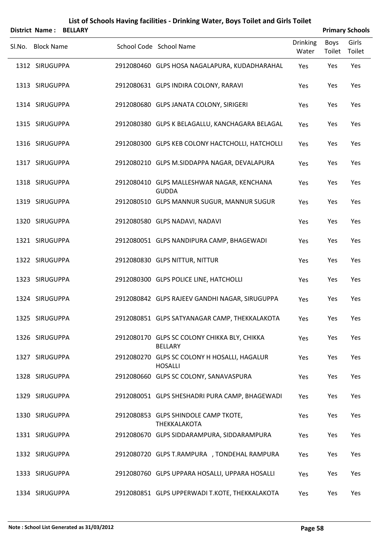|        | <b>District Name:</b> | <b>BELLARY</b> | List of Schools Having facilities - Drinking Water, Boys Toilet and Girls Toilet |                          |                | <b>Primary Schools</b> |
|--------|-----------------------|----------------|----------------------------------------------------------------------------------|--------------------------|----------------|------------------------|
| Sl.No. | <b>Block Name</b>     |                | School Code School Name                                                          | <b>Drinking</b><br>Water | Boys<br>Toilet | Girls<br>Toilet        |
|        | 1312 SIRUGUPPA        |                | 2912080460 GLPS HOSA NAGALAPURA, KUDADHARAHAL                                    | Yes                      | Yes            | Yes                    |
|        | 1313 SIRUGUPPA        |                | 2912080631 GLPS INDIRA COLONY, RARAVI                                            | Yes                      | Yes            | Yes                    |
|        | 1314 SIRUGUPPA        |                | 2912080680 GLPS JANATA COLONY, SIRIGERI                                          | Yes                      | Yes            | Yes                    |
|        | 1315 SIRUGUPPA        |                | 2912080380 GLPS K BELAGALLU, KANCHAGARA BELAGAL                                  | Yes                      | Yes            | Yes                    |
|        | 1316 SIRUGUPPA        |                | 2912080300 GLPS KEB COLONY HACTCHOLLI, HATCHOLLI                                 | Yes                      | Yes            | Yes                    |
|        | 1317 SIRUGUPPA        |                | 2912080210 GLPS M.SIDDAPPA NAGAR, DEVALAPURA                                     | Yes                      | Yes            | Yes                    |
|        | 1318 SIRUGUPPA        |                | 2912080410 GLPS MALLESHWAR NAGAR, KENCHANA<br><b>GUDDA</b>                       | Yes                      | Yes            | Yes                    |
|        | 1319 SIRUGUPPA        |                | 2912080510 GLPS MANNUR SUGUR, MANNUR SUGUR                                       | Yes                      | Yes            | Yes                    |
|        | 1320 SIRUGUPPA        |                | 2912080580 GLPS NADAVI, NADAVI                                                   | Yes                      | Yes            | Yes                    |
|        | 1321 SIRUGUPPA        |                | 2912080051 GLPS NANDIPURA CAMP, BHAGEWADI                                        | Yes                      | Yes            | Yes                    |
|        | 1322 SIRUGUPPA        |                | 2912080830 GLPS NITTUR, NITTUR                                                   | Yes                      | Yes            | Yes                    |
|        | 1323 SIRUGUPPA        |                | 2912080300 GLPS POLICE LINE, HATCHOLLI                                           | Yes                      | Yes            | Yes                    |
|        | 1324 SIRUGUPPA        |                | 2912080842 GLPS RAJEEV GANDHI NAGAR, SIRUGUPPA                                   | Yes                      | Yes            | Yes                    |
|        | 1325 SIRUGUPPA        |                | 2912080851 GLPS SATYANAGAR CAMP, THEKKALAKOTA                                    | Yes                      | Yes            | Yes                    |
|        | 1326 SIRUGUPPA        |                | 2912080170 GLPS SC COLONY CHIKKA BLY, CHIKKA<br><b>BELLARY</b>                   | Yes                      | Yes            | Yes                    |
|        | 1327 SIRUGUPPA        |                | 2912080270 GLPS SC COLONY H HOSALLI, HAGALUR<br><b>HOSALLI</b>                   | Yes                      | Yes            | Yes                    |
|        | 1328 SIRUGUPPA        |                | 2912080660 GLPS SC COLONY, SANAVASPURA                                           | Yes                      | Yes            | Yes                    |
|        | 1329 SIRUGUPPA        |                | 2912080051 GLPS SHESHADRI PURA CAMP, BHAGEWADI                                   | Yes                      | Yes            | Yes                    |
|        | 1330 SIRUGUPPA        |                | 2912080853 GLPS SHINDOLE CAMP TKOTE,<br><b>THEKKALAKOTA</b>                      | Yes                      | Yes            | Yes                    |
|        | 1331 SIRUGUPPA        |                | 2912080670 GLPS SIDDARAMPURA, SIDDARAMPURA                                       | Yes                      | Yes            | Yes                    |
|        | 1332 SIRUGUPPA        |                | 2912080720 GLPS T.RAMPURA , TONDEHAL RAMPURA                                     | Yes                      | Yes            | Yes                    |
|        | 1333 SIRUGUPPA        |                | 2912080760 GLPS UPPARA HOSALLI, UPPARA HOSALLI                                   | Yes                      | Yes            | Yes                    |
|        | 1334 SIRUGUPPA        |                | 2912080851 GLPS UPPERWADI T.KOTE, THEKKALAKOTA                                   | Yes                      | Yes            | Yes                    |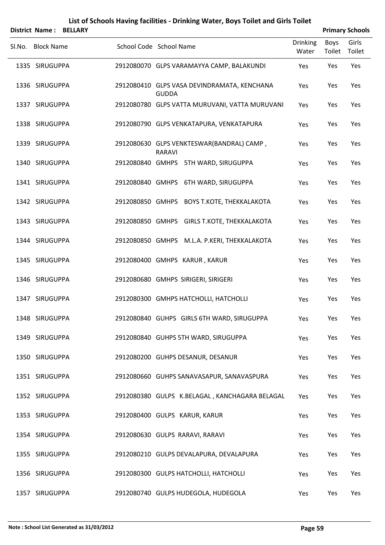|        |                   | <b>District Name: BELLARY</b> |                                                             |                          |                | <b>Primary Schools</b> |
|--------|-------------------|-------------------------------|-------------------------------------------------------------|--------------------------|----------------|------------------------|
| Sl.No. | <b>Block Name</b> |                               | School Code School Name                                     | <b>Drinking</b><br>Water | Boys<br>Toilet | Girls<br>Toilet        |
|        | 1335 SIRUGUPPA    |                               | 2912080070 GLPS VARAMAYYA CAMP, BALAKUNDI                   | Yes                      | Yes            | Yes                    |
|        | 1336 SIRUGUPPA    |                               | 2912080410 GLPS VASA DEVINDRAMATA, KENCHANA<br><b>GUDDA</b> | Yes                      | Yes            | Yes                    |
|        | 1337 SIRUGUPPA    |                               | 2912080780 GLPS VATTA MURUVANI, VATTA MURUVANI              | Yes                      | Yes            | Yes                    |
|        | 1338 SIRUGUPPA    |                               | 2912080790 GLPS VENKATAPURA, VENKATAPURA                    | Yes                      | Yes            | Yes                    |
|        | 1339 SIRUGUPPA    |                               | 2912080630 GLPS VENKTESWAR(BANDRAL) CAMP,<br>RARAVI         | Yes                      | Yes            | Yes                    |
|        | 1340 SIRUGUPPA    |                               | 2912080840 GMHPS 5TH WARD, SIRUGUPPA                        | Yes                      | Yes            | Yes                    |
|        | 1341 SIRUGUPPA    |                               | 2912080840 GMHPS 6TH WARD, SIRUGUPPA                        | Yes                      | Yes            | Yes                    |
|        | 1342 SIRUGUPPA    |                               | 2912080850 GMHPS BOYS T.KOTE, THEKKALAKOTA                  | Yes                      | Yes            | Yes                    |
|        | 1343 SIRUGUPPA    |                               | 2912080850 GMHPS GIRLS T.KOTE, THEKKALAKOTA                 | Yes                      | Yes            | Yes                    |
|        | 1344 SIRUGUPPA    |                               | 2912080850 GMHPS M.L.A. P.KERI, THEKKALAKOTA                | Yes                      | Yes            | Yes                    |
|        | 1345 SIRUGUPPA    |                               | 2912080400 GMHPS KARUR, KARUR                               | Yes                      | Yes            | Yes                    |
|        | 1346 SIRUGUPPA    |                               | 2912080680 GMHPS SIRIGERI, SIRIGERI                         | Yes                      | Yes            | Yes                    |
|        | 1347 SIRUGUPPA    |                               | 2912080300 GMHPS HATCHOLLI, HATCHOLLI                       | Yes                      | Yes            | Yes                    |
|        | 1348 SIRUGUPPA    |                               | 2912080840 GUHPS GIRLS 6TH WARD, SIRUGUPPA                  | Yes                      | Yes            | Yes                    |
|        | 1349 SIRUGUPPA    |                               | 2912080840 GUHPS 5TH WARD, SIRUGUPPA                        | Yes                      | Yes            | Yes                    |
|        | 1350 SIRUGUPPA    |                               | 2912080200 GUHPS DESANUR, DESANUR                           | Yes                      | Yes            | Yes                    |
|        | 1351 SIRUGUPPA    |                               | 2912080660 GUHPS SANAVASAPUR, SANAVASPURA                   | Yes                      | Yes            | Yes                    |
|        | 1352 SIRUGUPPA    |                               | 2912080380 GULPS K.BELAGAL, KANCHAGARA BELAGAL              | Yes                      | Yes            | Yes                    |
|        | 1353 SIRUGUPPA    |                               | 2912080400 GULPS KARUR, KARUR                               | Yes                      | Yes            | Yes                    |
|        | 1354 SIRUGUPPA    |                               | 2912080630 GULPS RARAVI, RARAVI                             | Yes                      | Yes            | Yes                    |
|        | 1355 SIRUGUPPA    |                               | 2912080210 GULPS DEVALAPURA, DEVALAPURA                     | Yes                      | Yes            | Yes                    |
|        | 1356 SIRUGUPPA    |                               | 2912080300 GULPS HATCHOLLI, HATCHOLLI                       | Yes                      | Yes            | Yes                    |
|        | 1357 SIRUGUPPA    |                               | 2912080740 GULPS HUDEGOLA, HUDEGOLA                         | Yes                      | Yes            | Yes                    |